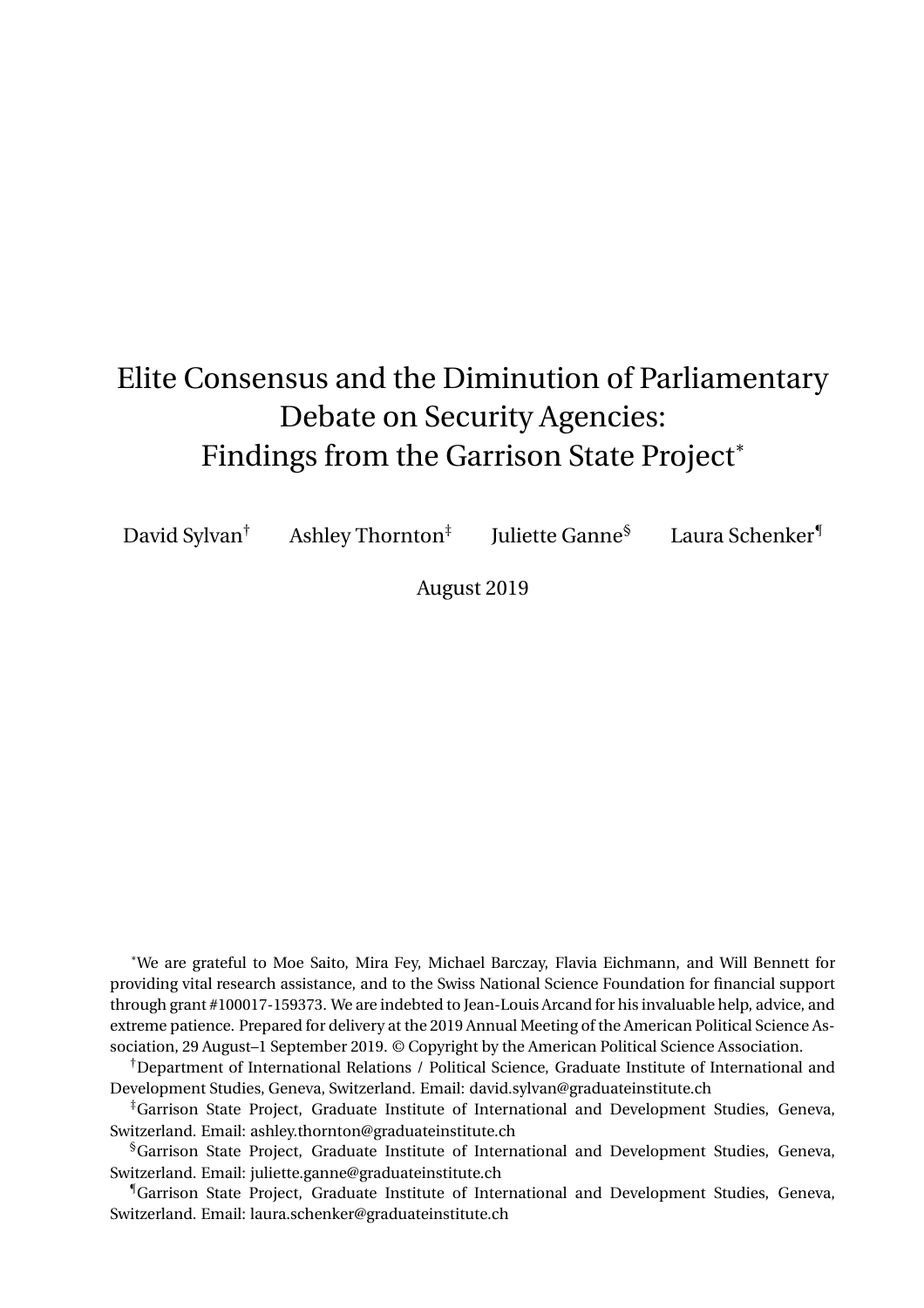# Elite Consensus and the Diminution of Parliamentary Debate on Security Agencies: Findings from the Garrison State Project\*

David Sylvan<sup>†</sup> Ashley Thornton<sup>‡</sup> Juliette Ganne<sup>§</sup> Laura Schenker<sup>¶</sup>

August 2019

\*We are grateful to Moe Saito, Mira Fey, Michael Barczay, Flavia Eichmann, and Will Bennett for providing vital research assistance, and to the Swiss National Science Foundation for financial support through grant #100017-159373. We are indebted to Jean-Louis Arcand for his invaluable help, advice, and extreme patience. Prepared for delivery at the 2019 Annual Meeting of the American Political Science Association, 29 August–1 September 2019. © Copyright by the American Political Science Association.

†Department of International Relations / Political Science, Graduate Institute of International and Development Studies, Geneva, Switzerland. Email: david.sylvan@graduateinstitute.ch

‡Garrison State Project, Graduate Institute of International and Development Studies, Geneva, Switzerland. Email: ashley.thornton@graduateinstitute.ch

§Garrison State Project, Graduate Institute of International and Development Studies, Geneva, Switzerland. Email: juliette.ganne@graduateinstitute.ch

¶Garrison State Project, Graduate Institute of International and Development Studies, Geneva, Switzerland. Email: laura.schenker@graduateinstitute.ch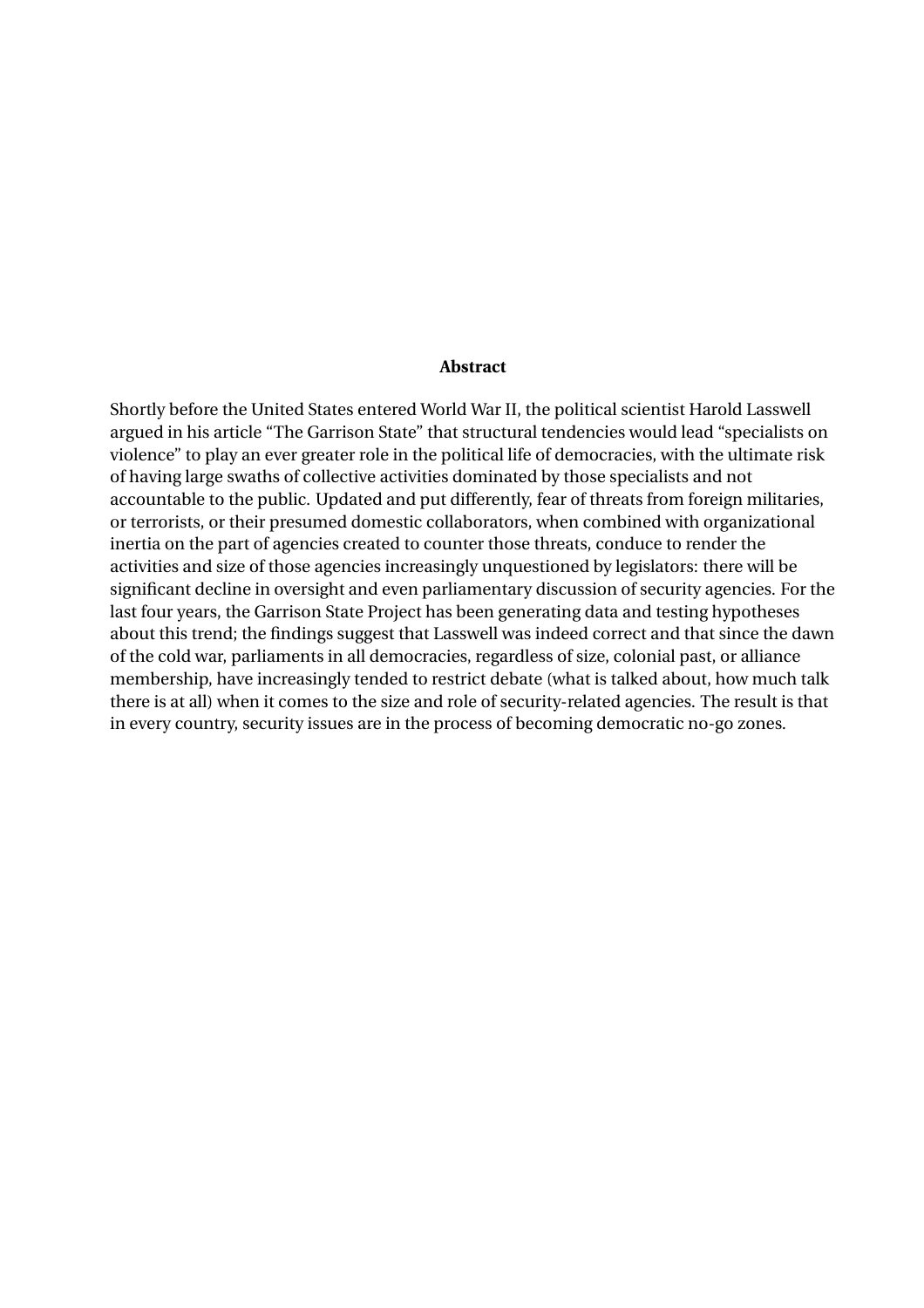### **Abstract**

Shortly before the United States entered World War II, the political scientist Harold Lasswell argued in his article "The Garrison State" that structural tendencies would lead "specialists on violence" to play an ever greater role in the political life of democracies, with the ultimate risk of having large swaths of collective activities dominated by those specialists and not accountable to the public. Updated and put differently, fear of threats from foreign militaries, or terrorists, or their presumed domestic collaborators, when combined with organizational inertia on the part of agencies created to counter those threats, conduce to render the activities and size of those agencies increasingly unquestioned by legislators: there will be significant decline in oversight and even parliamentary discussion of security agencies. For the last four years, the Garrison State Project has been generating data and testing hypotheses about this trend; the findings suggest that Lasswell was indeed correct and that since the dawn of the cold war, parliaments in all democracies, regardless of size, colonial past, or alliance membership, have increasingly tended to restrict debate (what is talked about, how much talk there is at all) when it comes to the size and role of security-related agencies. The result is that in every country, security issues are in the process of becoming democratic no-go zones.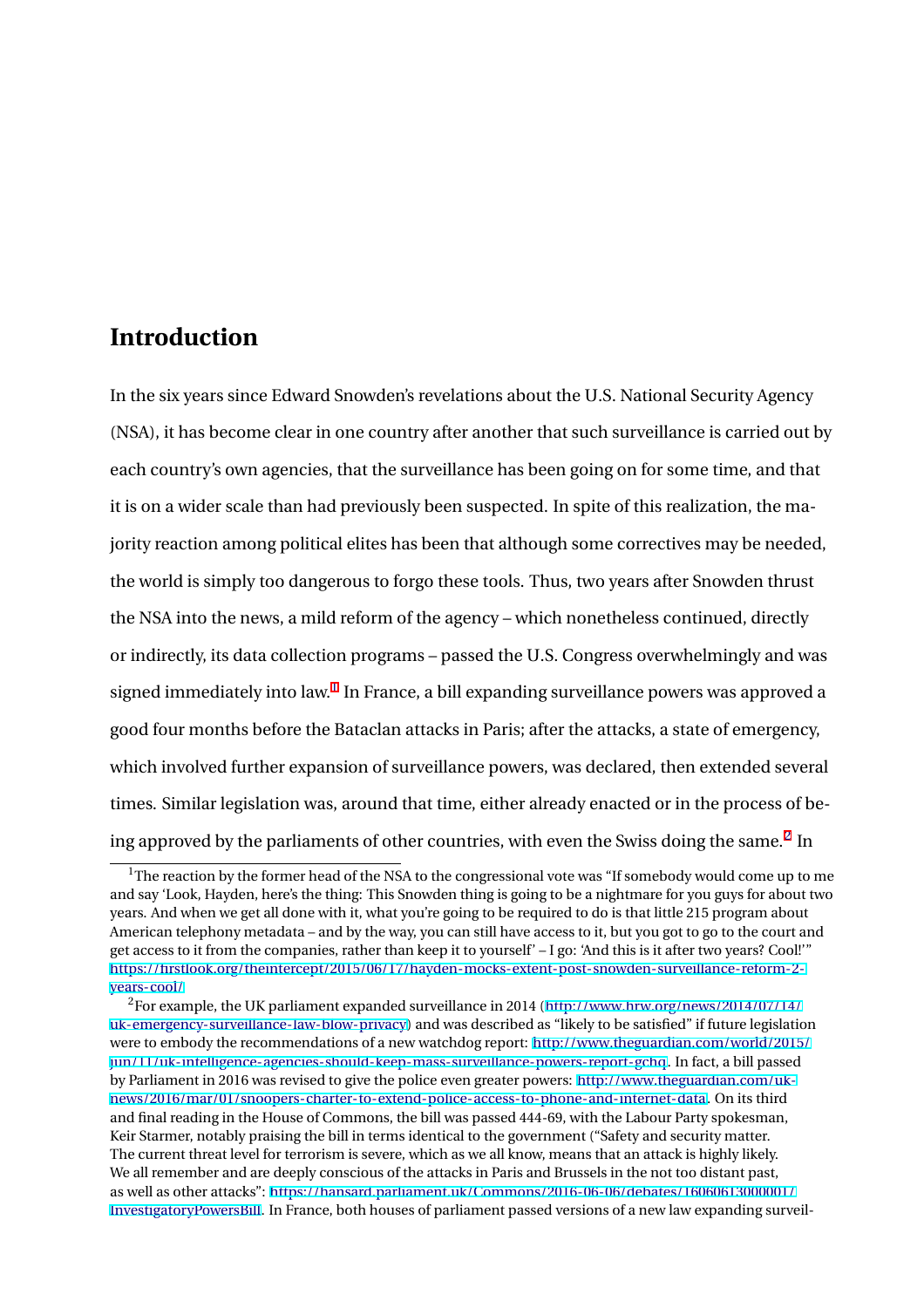## **Introduction**

In the six years since Edward Snowden's revelations about the U.S. National Security Agency (NSA), it has become clear in one country after another that such surveillance is carried out by each country's own agencies, that the surveillance has been going on for some time, and that it is on a wider scale than had previously been suspected. In spite of this realization, the majority reaction among political elites has been that although some correctives may be needed, the world is simply too dangerous to forgo these tools. Thus, two years after Snowden thrust the NSA into the news, a mild reform of the agency – which nonetheless continued, directly or indirectly, its data collection programs – passed the U.S. Congress overwhelmingly and was signed immediately into law.<sup>1</sup> In France, a bill expanding surveillance powers was approved a good four months before the Bataclan attacks in Paris; after the attacks, a state of emergency, which involved further expansion of surveillance powers, was declared, then extended several times. Similar legislation was, around that time, either already enacted or in the process of being approved by the parliaments of other countries, with even the Swiss doing the same.<sup>2</sup> In

<sup>&</sup>lt;sup>1</sup>The reaction by the former head of the NSA to the congressional vote was "If somebody would come up to me and say 'Look, Hayden, here's the thing: This Snowden thing is going to be a nightmare for you guys for about two years. And when we get all done with it, what you're going to be required to do is that little 215 program about American telephony metadata – and by the way, you can still have access to it, but you got to go to the court and get access to it from the companies, rather than keep it to yourself' – I go: 'And this is it after two years? Cool!'" https://firstlook.org/theintercept/2015/06/17/hayden-mocks-extent-post-snowden-surveillance-reform-2 years-cool/

<sup>2</sup>For example, the UK parliament expanded surveillance in 2014 (http://www.hrw.org/news/2014/07/14/ uk-emergency-surveillance-law-blow-privacy) and was described as "likely to be satisfied" if future legislation were to embody the recommendations of a new watchdog report: http://www.theguardian.com/world/2015/ jun/11/uk-intelligence-agencies-should-keep-mass-surveillance-powers-report-gchq. In fact, a bill passed by Parliament in 2016 was revised to give the police even greater powers: [http://www.theguardian.com/uk](http://www.hrw.org/news/2014/07/14/uk-emergency-surveillance-law-blow-privacy)[news/2016/mar/01/snoopers-charter-to-exten](http://www.hrw.org/news/2014/07/14/uk-emergency-surveillance-law-blow-privacy)d-police-access-to-phone-and-internet-data. On its third and final reading in the House of Commons, the bill was passed 4[44-69, with the Labour Party spokesman,](http://www.theguardian.com/world/2015/jun/11/uk-intelligence-agencies-should-keep-mass-surveillance-powers-report-gchq) [Keir Starmer, notably praising the bill in terms identical to the government \("Safety and](http://www.theguardian.com/world/2015/jun/11/uk-intelligence-agencies-should-keep-mass-surveillance-powers-report-gchq) security matter. The current threat level for terrorism is severe, which as we all know, mea[ns that an attack is highly likely.](http://www.theguardian.com/uk-news/2016/mar/01/snoopers-charter-to-extend-police-access-to-phone-and-internet-data) [We all remember and are deeply conscious of the attacks in Paris and Brussels in the not too d](http://www.theguardian.com/uk-news/2016/mar/01/snoopers-charter-to-extend-police-access-to-phone-and-internet-data)istant past, as well as other attacks": https://hansard.parliament.uk/Commons/2016-06-06/debates/16060613000001/ InvestigatoryPowersBill. In France, both houses of parliament passed versions of a new law expanding surveil-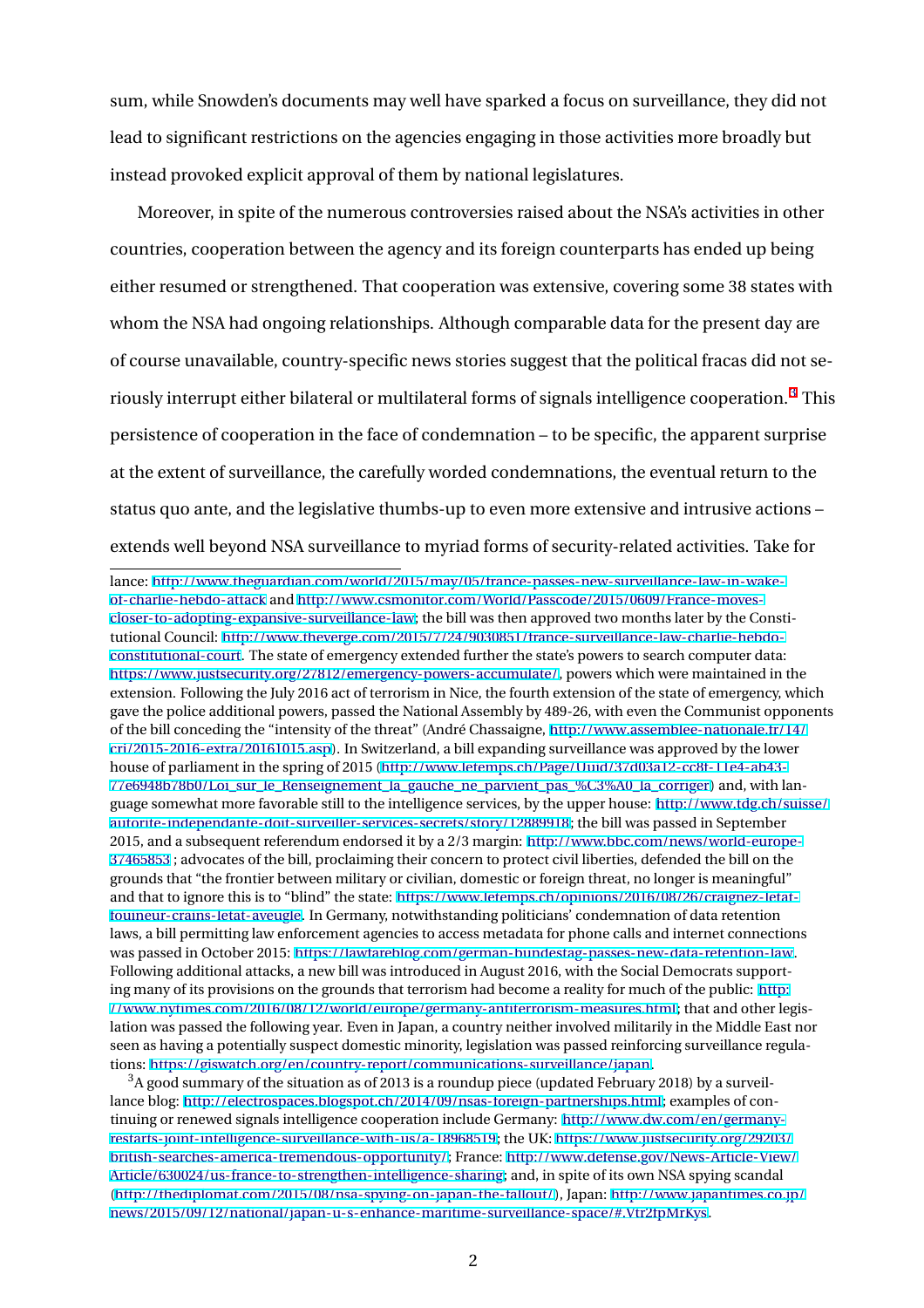sum, while Snowden's documents may well have sparked a focus on surveillance, they did not lead to significant restrictions on the agencies engaging in those activities more broadly but instead provoked explicit approval of them by national legislatures.

Moreover, in spite of the numerous controversies raised about the NSA's activities in other countries, cooperation between the agency and its foreign counterparts has ended up being either resumed or strengthened. That cooperation was extensive, covering some 38 states with whom the NSA had ongoing relationships. Although comparable data for the present day are of course unavailable, country-specific news stories suggest that the political fracas did not seriously interrupt either bilateral or multilateral forms of signals intelligence cooperation.<sup>3</sup> This persistence of cooperation in the face of condemnation – to be specific, the apparent surprise at the extent of surveillance, the carefully worded condemnations, the eventual return to the status quo ante, and the legislative thumbs-up to even more extensive and intrusive actions – extends well beyond NSA surveillance to myriad forms of security-related activities. Take for

 $3A$  good summary of the situation as of 2013 is a roundup piece (updated February 2018) by a surveillance blog: http://electrospaces.blogspot.ch/2014/09/nsas-foreign-partnerships.html; examples of continuing or renewed signals intelligence cooperation include Germany: http://www.dw.com/en/germanyrestarts-joint-intelligence-surveillance-with-us/a-18968519; the UK: https://www.justsecurity.org/29203/ british-searches-america-tremendous-opportunity/; France: http://www.defense.gov/News-Article-View/ Article/630[024/us-france-to-strengthen-intelligence-sharing; and, in spite of its own N](http://electrospaces.blogspot.ch/2014/09/nsas-foreign-partnerships.html)SA spying scandal (http://thediplomat.com/2015/08/nsa-spying-on-japan-the-fallout/), Japan: [http://www.japantimes.co.](http://www.dw.com/en/germany-restarts-joint-intelligence-surveillance-with-us/a-18968519)jp/ [news/2015/09/12/national/japan-u-s-enhance-maritime-su](http://www.dw.com/en/germany-restarts-joint-intelligence-surveillance-with-us/a-18968519)rveillance-space/#.Vtr2fpMrKys.

lance: http://www.theguardian.com/world/2015/may/05/france-passes-new-surveillance-law-in-wakeof-charlie-hebdo-attack and http://www.csmonitor.com/World/Passcode/2015/0609/France-movescloser-to-adopting-expansive-surveillance-law; the bill was then approved two months later by the Constitutional Council: http://www.theverge.com/2015/7/24/9030851/france-surveillance-law-charlie-hebdoconsti[tutional-court. The state of emergency extended further the state's powers to search computer data:](http://www.theguardian.com/world/2015/may/05/france-passes-new-surveillance-law-in-wake-of-charlie-hebdo-attack) [https://www.justsecurity](http://www.theguardian.com/world/2015/may/05/france-passes-new-surveillance-law-in-wake-of-charlie-hebdo-attack).org[/27812/emergency-powers-accumulate/, powers which were maintained](http://www.csmonitor.com/World/Passcode/2015/0609/France-moves-closer-to-adopting-expansive-surveillance-law) in the [extension. Following the July 2016 act of terroris](http://www.csmonitor.com/World/Passcode/2015/0609/France-moves-closer-to-adopting-expansive-surveillance-law)m in Nice, the fourth extension of the state of emergency, which gave the police a[dditional powers, passed the National Assembly by 489-26, with even the Communist opp](http://www.theverge.com/2015/7/24/9030851/france-surveillance-law-charlie-hebdo-constitutional-court)onents [of the bill conceding](http://www.theverge.com/2015/7/24/9030851/france-surveillance-law-charlie-hebdo-constitutional-court) the "intensity of the threat" (André Chassaigne, http://www.assemblee-nationale.fr/14/ cri/2015-2016-extra/20161015.asp). In Switzerland, a bill expanding surveillance was approved by the lower house of parliament in the spring of 2015 (http://www.letemps.ch/Page/Uuid/37d03a12-cc8f-11e4-ab43- 77e6948b78b0/Loi\_sur\_le\_Renseignement\_la\_gauche\_ne\_parvient\_pas\_%C3%A0\_la\_corriger) and, with language somewhat more favorable still to the intelligence services, by the upper house: [http://www.tdg.ch/suis](http://www.assemblee-nationale.fr/14/cri/2015-2016-extra/20161015.asp)se/ [autorite-independante-doit-surve](http://www.assemblee-nationale.fr/14/cri/2015-2016-extra/20161015.asp)iller-services-secrets/story/12889918; the bill was passed in September 2015, and a subsequent referendum endorsed it by a 2/3 margin: [http://www.bbc.com/news/world-europ](http://www.letemps.ch/Page/Uuid/37d03a12-cc8f-11e4-ab43-77e6948b78b0/Loi_sur_le_Renseignement_la_gauche_ne_parvient_pas_%C3%A0_la_corriger)e-37465853 [; advocates of the bill, proclaiming their concern to protect civil liberties, defended th](http://www.letemps.ch/Page/Uuid/37d03a12-cc8f-11e4-ab43-77e6948b78b0/Loi_sur_le_Renseignement_la_gauche_ne_parvient_pas_%C3%A0_la_corriger)e bill on the grounds that "the frontier between military or civilian, domestic or foreign threat, no [longer is meaningful"](http://www.tdg.ch/suisse/autorite-independante-doit-surveiller-services-secrets/story/12889918) [and that to ignore this is to "blind" the state:](http://www.tdg.ch/suisse/autorite-independante-doit-surveiller-services-secrets/story/12889918) https://www.letemps.ch/opinions/2016/08/26/craignez-letatfouineur-crains-letat-aveugle. In Germany, notwithstanding poli[ticians' condemnation of data retention](http://www.bbc.com/news/world-europe-37465853) [laws, a bil](http://www.bbc.com/news/world-europe-37465853)l permitting law enforcement agencies to access metadata for phone calls and internet connections was passed in October 2015: https://lawfareblog.com/german-bundestag-passes-new-data-retention-law. Following additional attacks, a new bill was introduced in August 2016, with the Social Democrats supporting many of its provisions on the grounds that terrorism had become a reality for much of the public: http: //www.nytimes.com/2016/08/12/world/europe/germany-antiterrorism-measures.html; that and other legislation was passed the following year. Even in Japan, a country neither involved militarily in the Middle East nor seen as having a potentially suspect domestic minority, legislation was passed reinforcing surveillance regulations: https://giswatch.org/en/country-report/communications-surveillance/japan.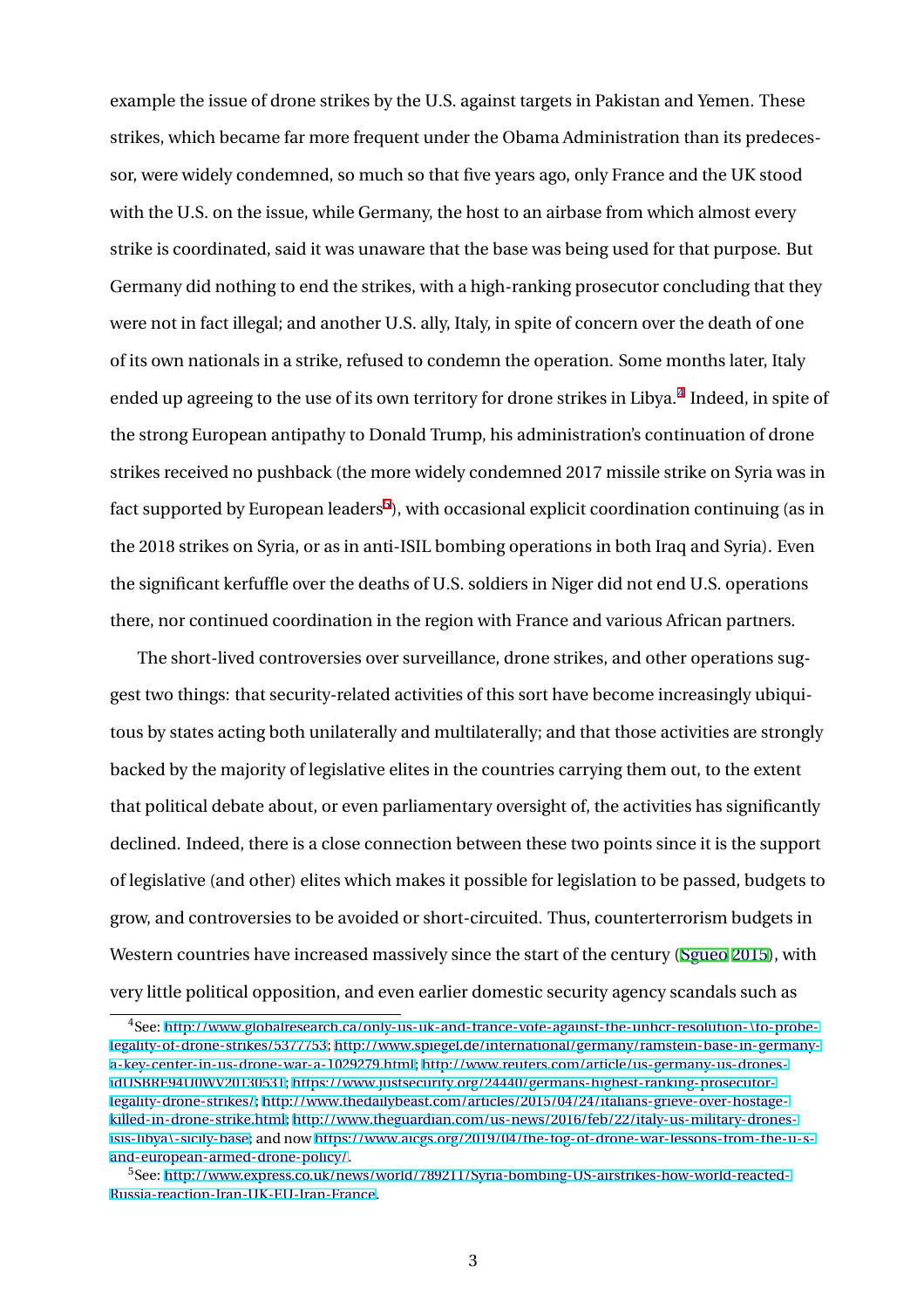example the issue of drone strikes by the U.S. against targets in Pakistan and Yemen. These strikes, which became far more frequent under the Obama Administration than its predecessor, were widely condemned, so much so that five years ago, only France and the UK stood with the U.S. on the issue, while Germany, the host to an airbase from which almost every strike is coordinated, said it was unaware that the base was being used for that purpose. But Germany did nothing to end the strikes, with a high-ranking prosecutor concluding that they were not in fact illegal; and another U.S. ally, Italy, in spite of concern over the death of one of its own nationals in a strike, refused to condemn the operation. Some months later, Italy ended up agreeing to the use of its own territory for drone strikes in Libya.<sup>4</sup> Indeed, in spite of the strong European antipathy to Donald Trump, his administration's continuation of drone strikes received no pushback (the more widely condemned 2017 missile strike on Syria was in fact supported by European leaders<sup>5</sup>), with occasional explicit coordination continuing (as in the 2018 strikes on Syria, or as in anti-ISIL bombing operations in both Iraq and Syria). Even the significant kerfuffle over the deaths of U.S. soldiers in Niger did not end U.S. operations there, nor continued coordination in the region with France and various African partners.

The short-lived controversies over surveillance, drone strikes, and other operations suggest two things: that security-related activities of this sort have become increasingly ubiquitous by states acting both unilaterally and multilaterally; and that those activities are strongly backed by the majority of legislative elites in the countries carrying them out, to the extent that political debate about, or even parliamentary oversight of, the activities has significantly declined. Indeed, there is a close connection between these two points since it is the support of legislative (and other) elites which makes it possible for legislation to be passed, budgets to grow, and controversies to be avoided or short-circuited. Thus, counterterrorism budgets in Western countries have increased massively since the start of the century (Sgueo 2015), with very little political opposition, and even earlier domestic security agency scandals such as

<sup>4</sup>See: http://www.globalresearch.ca/only-us-uk-and-france-vote-against-the-unhcr-[resolution-\to-](#page-39-0)probelegality-of-drone-strikes/5377753; http://www.spiegel.de/international/germany/ramstein-base-in-germanya-key-center-in-us-drone-war-a-1029279.html; http://www.reuters.com/article/us-germany-us-dronesidUSBRE94U0WV20130531; https://www.justsecurity.org/24440/germans-highest-ranking-prosecutorlegality-drone-strikes/; [http://www.thedailybeast.com/articles/2015/04/24/italians-grieve-over-hostage](http://www.globalresearch.ca/only-us-uk-and-france-vote-against-the-unhcr-resolution-/to -probe-legality-of-drone-strikes/5377753)[killed-in-drone-strike.html;](http://www.globalresearch.ca/only-us-uk-and-france-vote-against-the-unhcr-resolution-/to -probe-legality-of-drone-strikes/5377753) http:/[/www.theguardian.com/us-news/2016/feb/22/italy-us-military-drones](http://www.spiegel.de/international/germany/ramstein-base-in-germany-a-key-center-in-us-drone-war-a-1029279.html)[isis-libya\-sicily-base; and now](http://www.spiegel.de/international/germany/ramstein-base-in-germany-a-key-center-in-us-drone-war-a-1029279.html) https://www.aic[gs.org/2019/04/the-fog-of-drone-war-lessons-from-the-u](http://www.reuters.com/article/us-germany-us-drones-idUSBRE94U0WV20130531)-s[and-european-armed-dron](http://www.reuters.com/article/us-germany-us-drones-idUSBRE94U0WV20130531)e-policy/.

<sup>5</sup>See: http://www.ex[press.co.uk/news/world/789211/Syria-bombing-US-airstrikes-how-world-reacted-](http://www.thedailybeast.com/articles/2015/04/24/italians-grieve-over-hostage-killed-in-drone-strike.html)[Russia-reaction-Iran-UK-EU](http://www.thedailybeast.com/articles/2015/04/24/italians-grieve-over-hostage-killed-in-drone-strike.html)[-Iran-France.](http://www.theguardian.com/us-news/2016/feb/22/italy-us-military-drones-isis-libya/-sicily-base)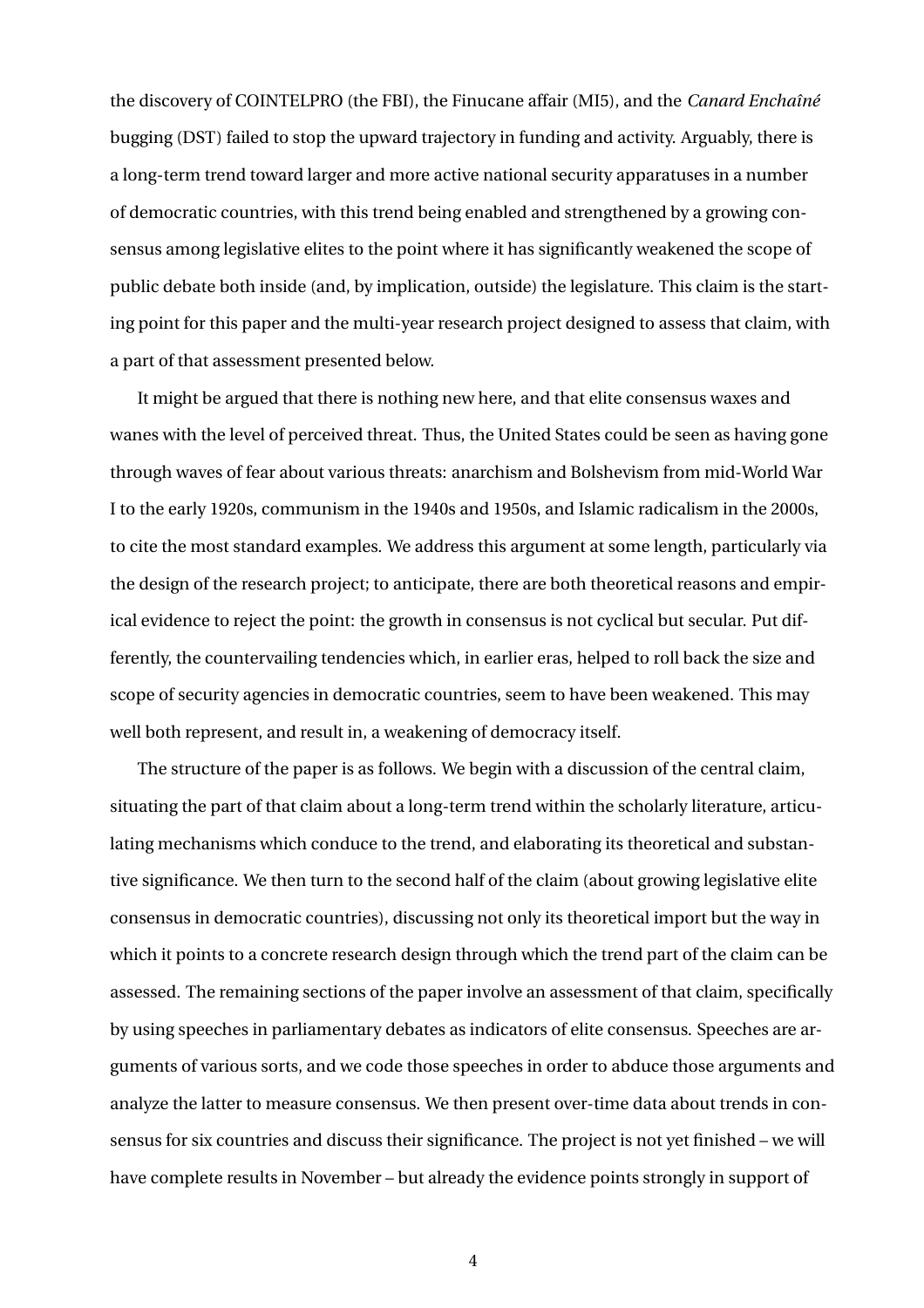the discovery of COINTELPRO (the FBI), the Finucane affair (MI5), and the *Canard Enchaîné* bugging (DST) failed to stop the upward trajectory in funding and activity. Arguably, there is a long-term trend toward larger and more active national security apparatuses in a number of democratic countries, with this trend being enabled and strengthened by a growing consensus among legislative elites to the point where it has significantly weakened the scope of public debate both inside (and, by implication, outside) the legislature. This claim is the starting point for this paper and the multi-year research project designed to assess that claim, with a part of that assessment presented below.

It might be argued that there is nothing new here, and that elite consensus waxes and wanes with the level of perceived threat. Thus, the United States could be seen as having gone through waves of fear about various threats: anarchism and Bolshevism from mid-World War I to the early 1920s, communism in the 1940s and 1950s, and Islamic radicalism in the 2000s, to cite the most standard examples. We address this argument at some length, particularly via the design of the research project; to anticipate, there are both theoretical reasons and empirical evidence to reject the point: the growth in consensus is not cyclical but secular. Put differently, the countervailing tendencies which, in earlier eras, helped to roll back the size and scope of security agencies in democratic countries, seem to have been weakened. This may well both represent, and result in, a weakening of democracy itself.

The structure of the paper is as follows. We begin with a discussion of the central claim, situating the part of that claim about a long-term trend within the scholarly literature, articulating mechanisms which conduce to the trend, and elaborating its theoretical and substantive significance. We then turn to the second half of the claim (about growing legislative elite consensus in democratic countries), discussing not only its theoretical import but the way in which it points to a concrete research design through which the trend part of the claim can be assessed. The remaining sections of the paper involve an assessment of that claim, specifically by using speeches in parliamentary debates as indicators of elite consensus. Speeches are arguments of various sorts, and we code those speeches in order to abduce those arguments and analyze the latter to measure consensus. We then present over-time data about trends in consensus for six countries and discuss their significance. The project is not yet finished – we will have complete results in November – but already the evidence points strongly in support of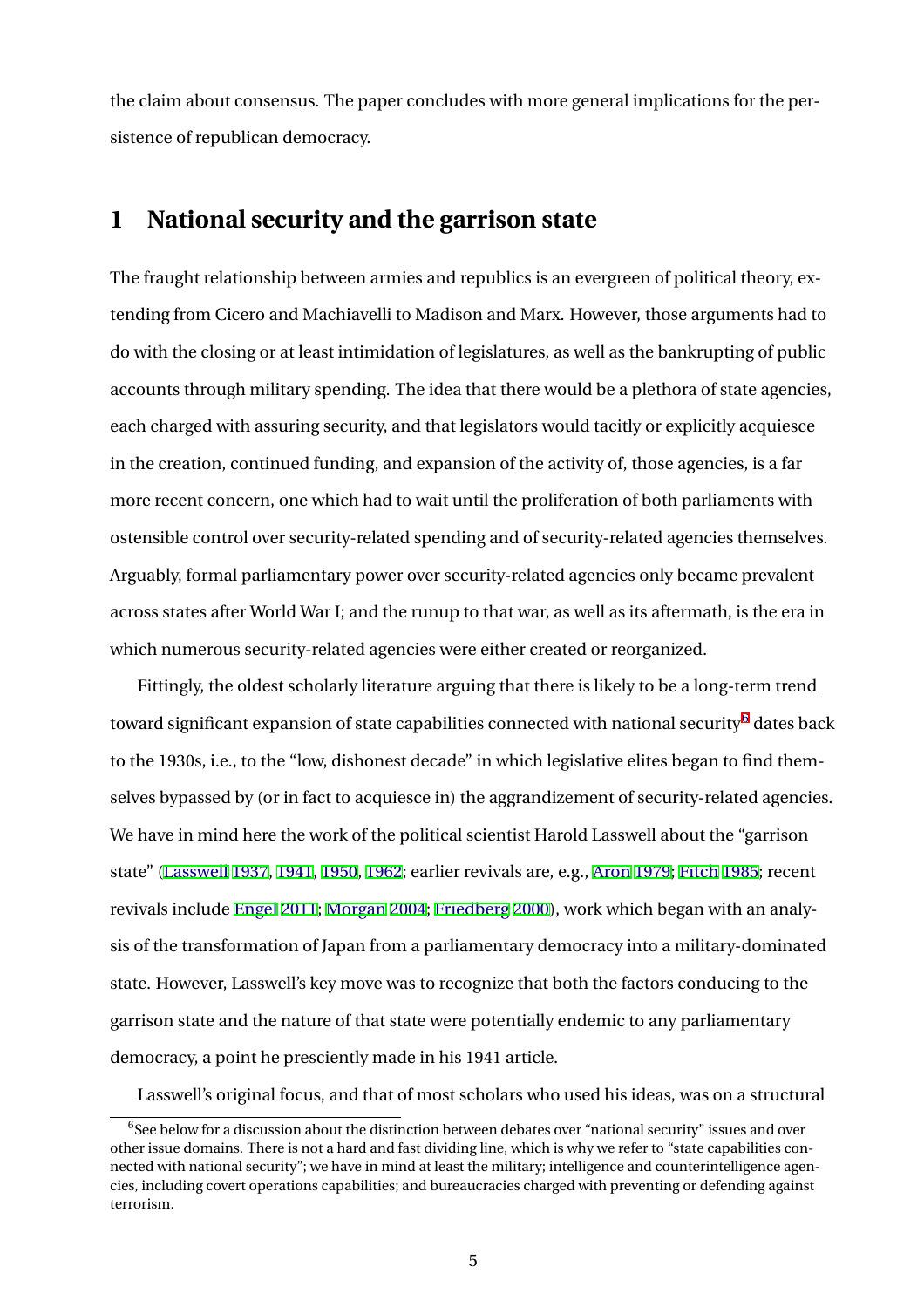the claim about consensus. The paper concludes with more general implications for the persistence of republican democracy.

## **1 National security and the garrison state**

The fraught relationship between armies and republics is an evergreen of political theory, extending from Cicero and Machiavelli to Madison and Marx. However, those arguments had to do with the closing or at least intimidation of legislatures, as well as the bankrupting of public accounts through military spending. The idea that there would be a plethora of state agencies, each charged with assuring security, and that legislators would tacitly or explicitly acquiesce in the creation, continued funding, and expansion of the activity of, those agencies, is a far more recent concern, one which had to wait until the proliferation of both parliaments with ostensible control over security-related spending and of security-related agencies themselves. Arguably, formal parliamentary power over security-related agencies only became prevalent across states after World War I; and the runup to that war, as well as its aftermath, is the era in which numerous security-related agencies were either created or reorganized.

Fittingly, the oldest scholarly literature arguing that there is likely to be a long-term trend toward significant expansion of state capabilities connected with national security $6$  dates back to the 1930s, i.e., to the "low, dishonest decade" in which legislative elites began to find themselves bypassed by (or in fact to acquiesce in) the aggrandizement of security-related agencies. We have in mind here the work of the political scientist Harold Lasswell about the "garrison state" (Lasswell 1937, 1941, 1950, 1962; earlier revivals are, e.g., Aron 1979; Fitch 1985; recent revivals include Engel 2011; Morgan 2004; Friedberg 2000), work which began with an analysis of t[he transformation of Japan from](#page-38-0) a parliamentary democ[racy into a](#page-37-0) [military-do](#page-37-0)minated state. However, [Lasswell's k](#page-37-0)[ey move was to](#page-39-0) [recognize that](#page-37-0) both the factors conducing to the garrison state and the nature of that state were potentially endemic to any parliamentary democracy, a point he presciently made in his 1941 article.

Lasswell's original focus, and that of most scholars who used his ideas, was on a structural

<sup>&</sup>lt;sup>6</sup>See below for a discussion about the distinction between debates over "national security" issues and over other issue domains. There is not a hard and fast dividing line, which is why we refer to "state capabilities connected with national security"; we have in mind at least the military; intelligence and counterintelligence agencies, including covert operations capabilities; and bureaucracies charged with preventing or defending against terrorism.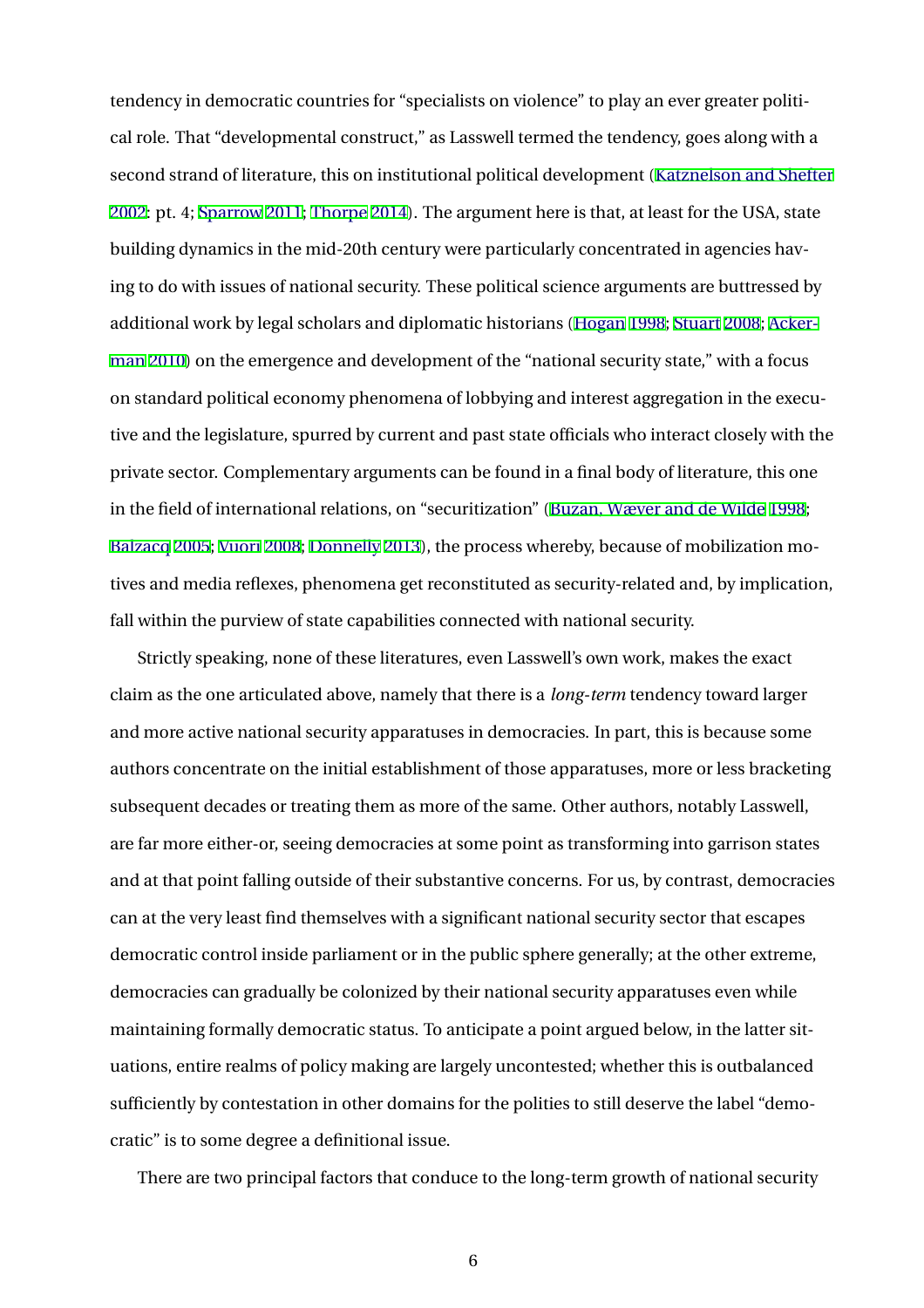tendency in democratic countries for "specialists on violence" to play an ever greater political role. That "developmental construct," as Lasswell termed the tendency, goes along with a second strand of literature, this on institutional political development (Katznelson and Shefter 2002: pt. 4; Sparrow 2011; Thorpe 2014). The argument here is that, at least for the USA, state building dynamics in the mid-20th century were particularly concentr[ated in agencies hav](#page-38-0)[ing to](#page-38-0) do w[ith issues of national securit](#page-40-0)y. These political science arguments are buttressed by additional work by legal scholars and diplomatic historians (Hogan 1998; Stuart 2008; Ackerman 2010) on the emergence and development of the "national security state," with a focus on standard political economy phenomena of lobbying and [interest aggr](#page-38-0)[egation in th](#page-40-0)[e execu](#page-37-0)[tive and th](#page-37-0)e legislature, spurred by current and past state officials who interact closely with the private sector. Complementary arguments can be found in a final body of literature, this one in the field of international relations, on "securitization" (Buzan, Wæver and de Wilde 1998; Balzacq 2005; Vuori 2008; Donnelly 2013), the process whereby, because of mobilization motives and media reflexes, phenomena get reconstituted a[s security-related and, by implicati](#page-37-0)on, [fall within the](#page-37-0) [purview of](#page-40-0) [state capabilitie](#page-37-0)s connected with national security.

Strictly speaking, none of these literatures, even Lasswell's own work, makes the exact claim as the one articulated above, namely that there is a *long-term* tendency toward larger and more active national security apparatuses in democracies. In part, this is because some authors concentrate on the initial establishment of those apparatuses, more or less bracketing subsequent decades or treating them as more of the same. Other authors, notably Lasswell, are far more either-or, seeing democracies at some point as transforming into garrison states and at that point falling outside of their substantive concerns. For us, by contrast, democracies can at the very least find themselves with a significant national security sector that escapes democratic control inside parliament or in the public sphere generally; at the other extreme, democracies can gradually be colonized by their national security apparatuses even while maintaining formally democratic status. To anticipate a point argued below, in the latter situations, entire realms of policy making are largely uncontested; whether this is outbalanced sufficiently by contestation in other domains for the polities to still deserve the label "democratic" is to some degree a definitional issue.

There are two principal factors that conduce to the long-term growth of national security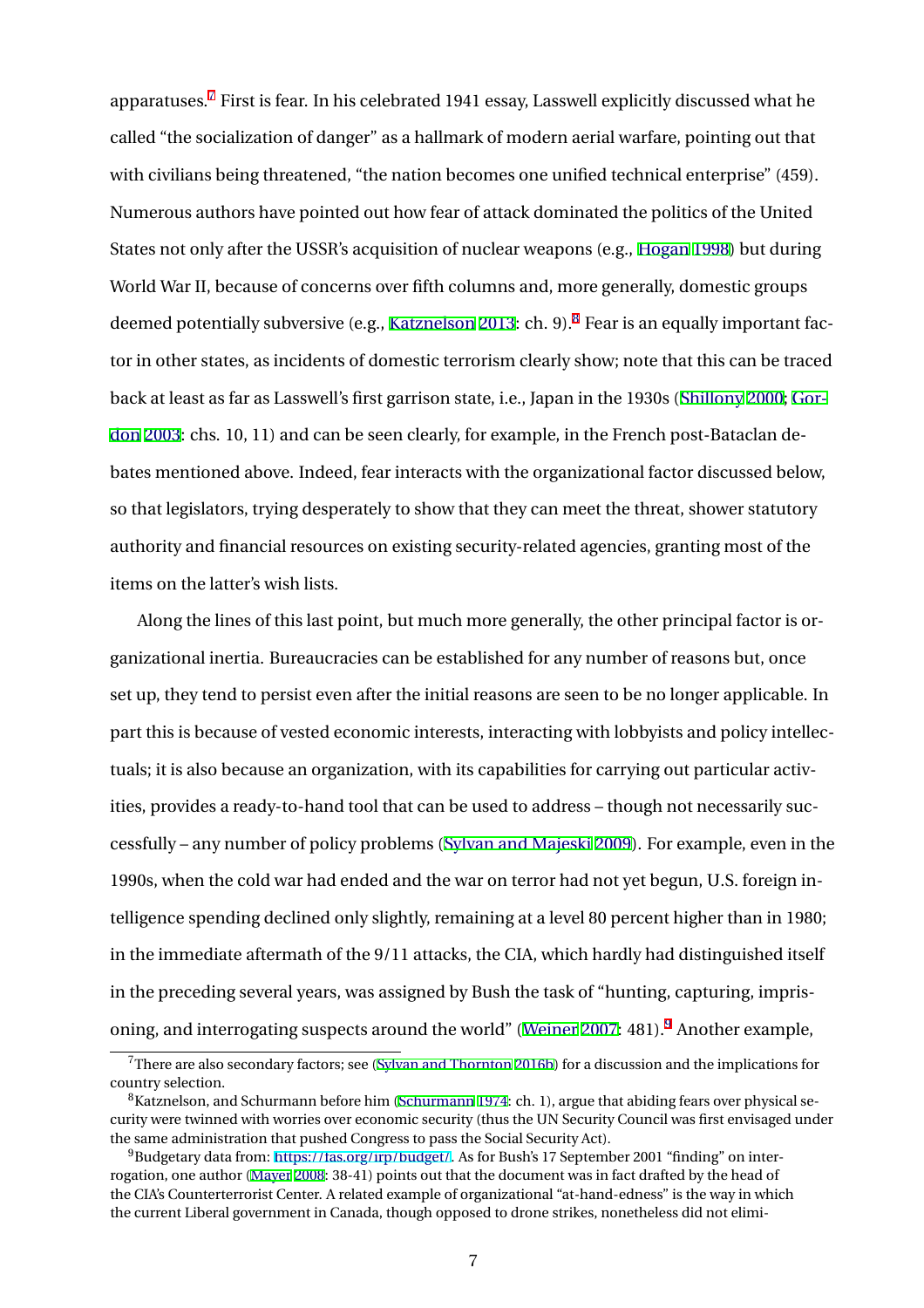apparatuses.<sup>7</sup> First is fear. In his celebrated 1941 essay, Lasswell explicitly discussed what he called "the socialization of danger" as a hallmark of modern aerial warfare, pointing out that with civilians being threatened, "the nation becomes one unified technical enterprise" (459). Numerous authors have pointed out how fear of attack dominated the politics of the United States not only after the USSR's acquisition of nuclear weapons (e.g., Hogan 1998) but during World War II, because of concerns over fifth columns and, more generally, domestic groups deemed potentially subversive (e.g., Katznelson 2013: ch. 9).<sup>8</sup> Fear is [an equally im](#page-38-0)portant factor in other states, as incidents of domestic terrorism clearly show; note that this can be traced back at least as far as Lasswell's first [garrison state, i.e](#page-38-0)., Japan in the 1930s (Shillony 2000; Gordon 2003: chs. 10, 11) and can be seen clearly, for example, in the French post-Bataclan debates mentioned above. Indeed, fear interacts with the organizational fact[or discussed b](#page-39-0)[elow,](#page-38-0) [so that leg](#page-38-0)islators, trying desperately to show that they can meet the threat, shower statutory authority and financial resources on existing security-related agencies, granting most of the items on the latter's wish lists.

Along the lines of this last point, but much more generally, the other principal factor is organizational inertia. Bureaucracies can be established for any number of reasons but, once set up, they tend to persist even after the initial reasons are seen to be no longer applicable. In part this is because of vested economic interests, interacting with lobbyists and policy intellectuals; it is also because an organization, with its capabilities for carrying out particular activities, provides a ready-to-hand tool that can be used to address – though not necessarily successfully – any number of policy problems (Sylvan and Majeski 2009). For example, even in the 1990s, when the cold war had ended and the war on terror had not yet begun, U.S. foreign intelligence spending declined only slightly, r[emaining at a level 80 per](#page-40-0)cent higher than in 1980; in the immediate aftermath of the 9/11 attacks, the CIA, which hardly had distinguished itself in the preceding several years, was assigned by Bush the task of "hunting, capturing, imprisoning, and interrogating suspects around the world" (Weiner 2007:  $481$ ).<sup>9</sup> Another example,

 $7$ There are also secondary factors; see (Sylvan and Thornton 2016b) for a discussion and the implications for country selection.

 $8$ Katznelson, and Schurmann before him (Schurmann 1974: c[h. 1\), argue tha](#page-40-0)t abiding fears over physical security were twinned with worries over economic security (thus the UN Security Council was first envisaged under the same administration that pushed Con[gress to pass the Social Secu](#page-40-0)rity Act).

<sup>9</sup>Budgetary data from: https://fas.org/irp/budget/. As for Bush's 17 September 2001 "finding" on interrogation, one author (Mayer 2008: 38-41) poi[nts out that the do](#page-39-0)cument was in fact drafted by the head of the CIA's Counterterrorist Center. A related example of organizational "at-hand-edness" is the way in which the current Liberal government in Canada, though opposed to drone strikes, nonetheless did not elimi-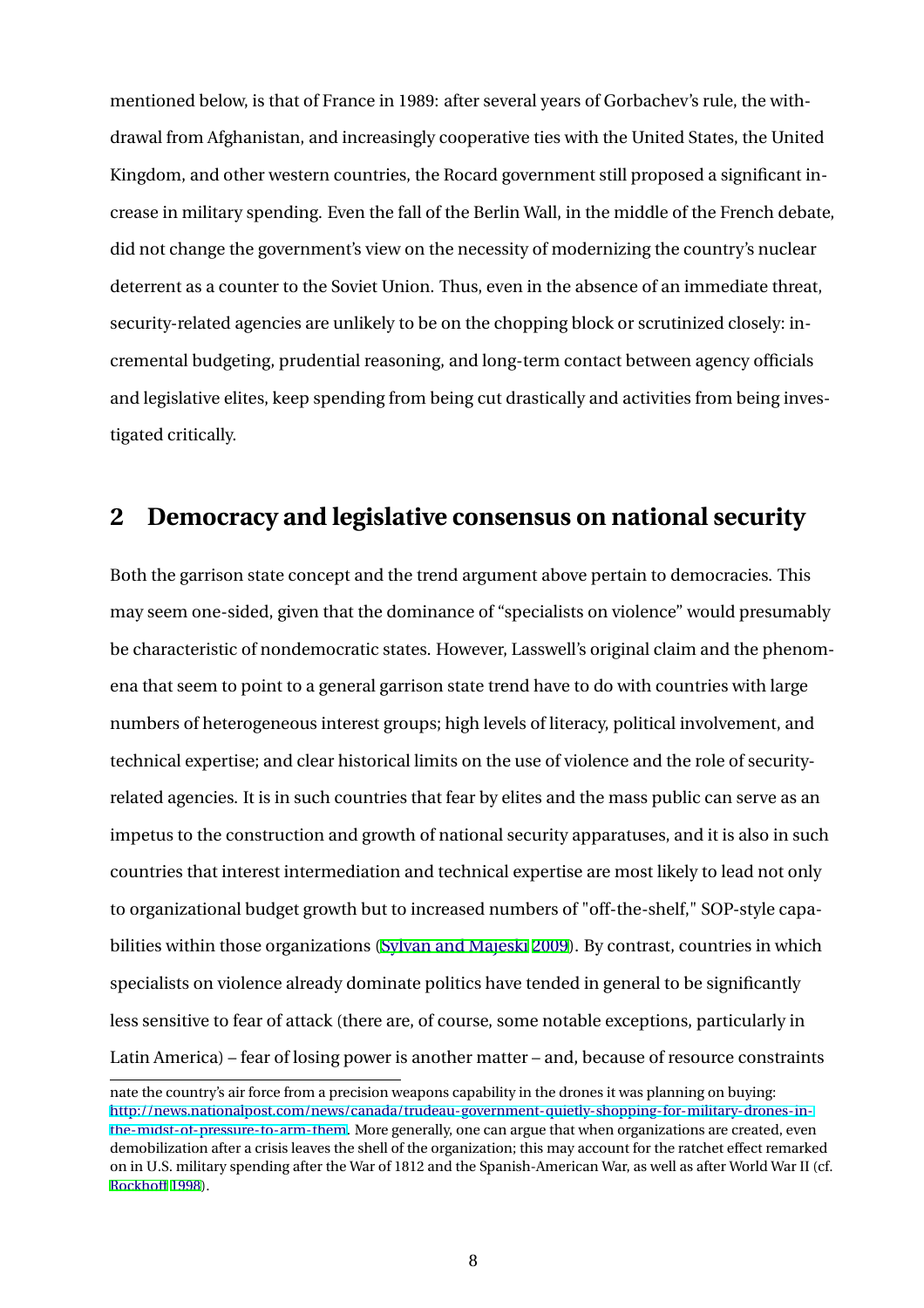mentioned below, is that of France in 1989: after several years of Gorbachev's rule, the withdrawal from Afghanistan, and increasingly cooperative ties with the United States, the United Kingdom, and other western countries, the Rocard government still proposed a significant increase in military spending. Even the fall of the Berlin Wall, in the middle of the French debate, did not change the government's view on the necessity of modernizing the country's nuclear deterrent as a counter to the Soviet Union. Thus, even in the absence of an immediate threat, security-related agencies are unlikely to be on the chopping block or scrutinized closely: incremental budgeting, prudential reasoning, and long-term contact between agency officials and legislative elites, keep spending from being cut drastically and activities from being investigated critically.

## **2 Democracy and legislative consensus on national security**

Both the garrison state concept and the trend argument above pertain to democracies. This may seem one-sided, given that the dominance of "specialists on violence" would presumably be characteristic of nondemocratic states. However, Lasswell's original claim and the phenomena that seem to point to a general garrison state trend have to do with countries with large numbers of heterogeneous interest groups; high levels of literacy, political involvement, and technical expertise; and clear historical limits on the use of violence and the role of securityrelated agencies. It is in such countries that fear by elites and the mass public can serve as an impetus to the construction and growth of national security apparatuses, and it is also in such countries that interest intermediation and technical expertise are most likely to lead not only to organizational budget growth but to increased numbers of "off-the-shelf," SOP-style capabilities within those organizations (Sylvan and Majeski 2009). By contrast, countries in which specialists on violence already dominate politics have tended in general to be significantly less sensitive to fear of attack (ther[e are, of course, some not](#page-40-0)able exceptions, particularly in Latin America) – fear of losing power is another matter – and, because of resource constraints

nate the country's air force from a precision weapons capability in the drones it was planning on buying: http://news.nationalpost.com/news/canada/trudeau-government-quietly-shopping-for-military-drones-inthe-midst-of-pressure-to-arm-them. More generally, one can argue that when organizations are created, even demobilization after a crisis leaves the shell of the organization; this may account for the ratchet effect remarked on in U.S. military spending after the War of 1812 and the Spanish-American War, as well as after World War II (cf. [Rockhoff 1998\).](http://news.nationalpost.com/news/canada/trudeau-government-quietly-shopping-for-military-drones-in-the-midst-of-pressure-to-arm-them)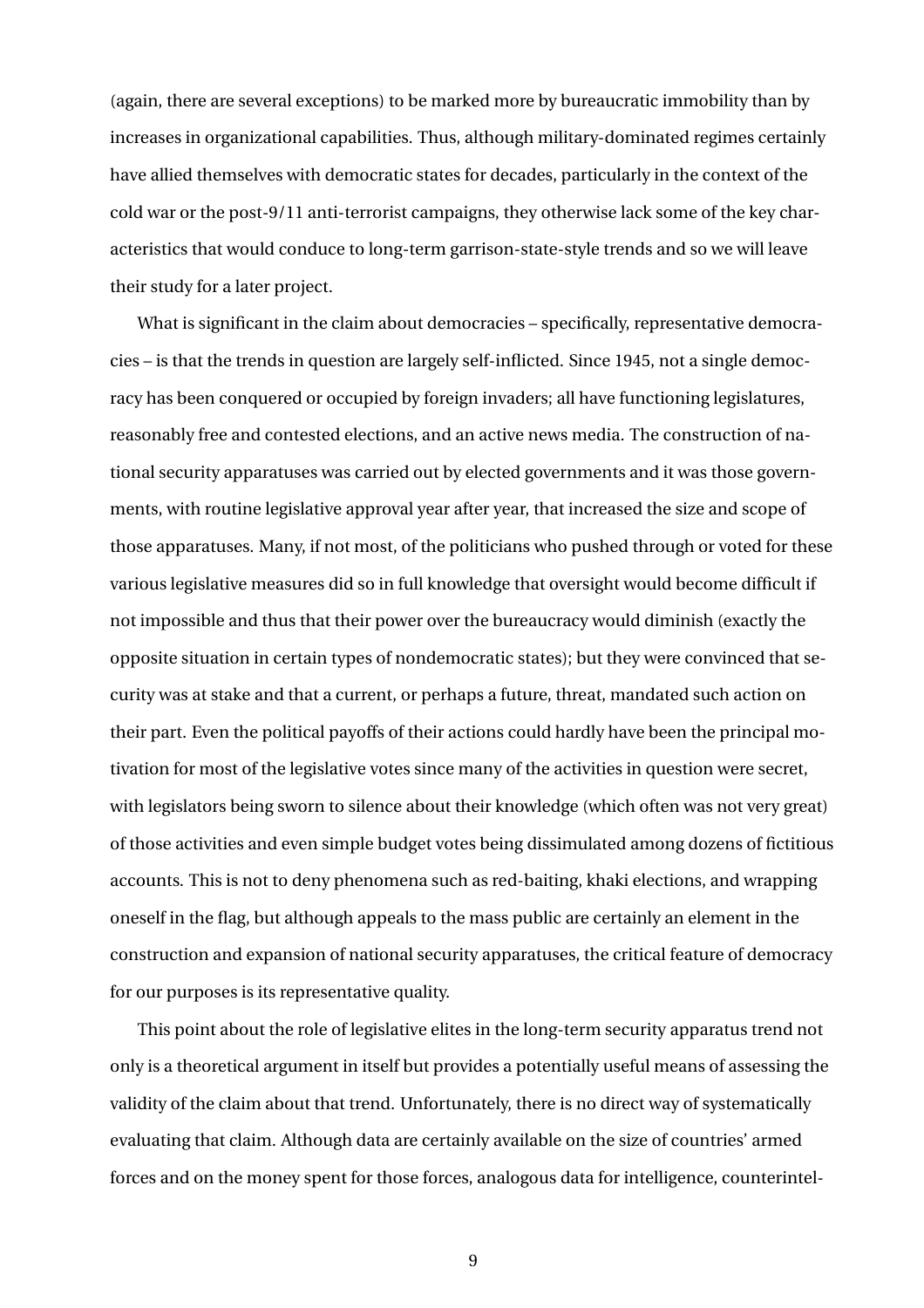(again, there are several exceptions) to be marked more by bureaucratic immobility than by increases in organizational capabilities. Thus, although military-dominated regimes certainly have allied themselves with democratic states for decades, particularly in the context of the cold war or the post-9/11 anti-terrorist campaigns, they otherwise lack some of the key characteristics that would conduce to long-term garrison-state-style trends and so we will leave their study for a later project.

What is significant in the claim about democracies – specifically, representative democracies – is that the trends in question are largely self-inflicted. Since 1945, not a single democracy has been conquered or occupied by foreign invaders; all have functioning legislatures, reasonably free and contested elections, and an active news media. The construction of national security apparatuses was carried out by elected governments and it was those governments, with routine legislative approval year after year, that increased the size and scope of those apparatuses. Many, if not most, of the politicians who pushed through or voted for these various legislative measures did so in full knowledge that oversight would become difficult if not impossible and thus that their power over the bureaucracy would diminish (exactly the opposite situation in certain types of nondemocratic states); but they were convinced that security was at stake and that a current, or perhaps a future, threat, mandated such action on their part. Even the political payoffs of their actions could hardly have been the principal motivation for most of the legislative votes since many of the activities in question were secret, with legislators being sworn to silence about their knowledge (which often was not very great) of those activities and even simple budget votes being dissimulated among dozens of fictitious accounts. This is not to deny phenomena such as red-baiting, khaki elections, and wrapping oneself in the flag, but although appeals to the mass public are certainly an element in the construction and expansion of national security apparatuses, the critical feature of democracy for our purposes is its representative quality.

This point about the role of legislative elites in the long-term security apparatus trend not only is a theoretical argument in itself but provides a potentially useful means of assessing the validity of the claim about that trend. Unfortunately, there is no direct way of systematically evaluating that claim. Although data are certainly available on the size of countries' armed forces and on the money spent for those forces, analogous data for intelligence, counterintel-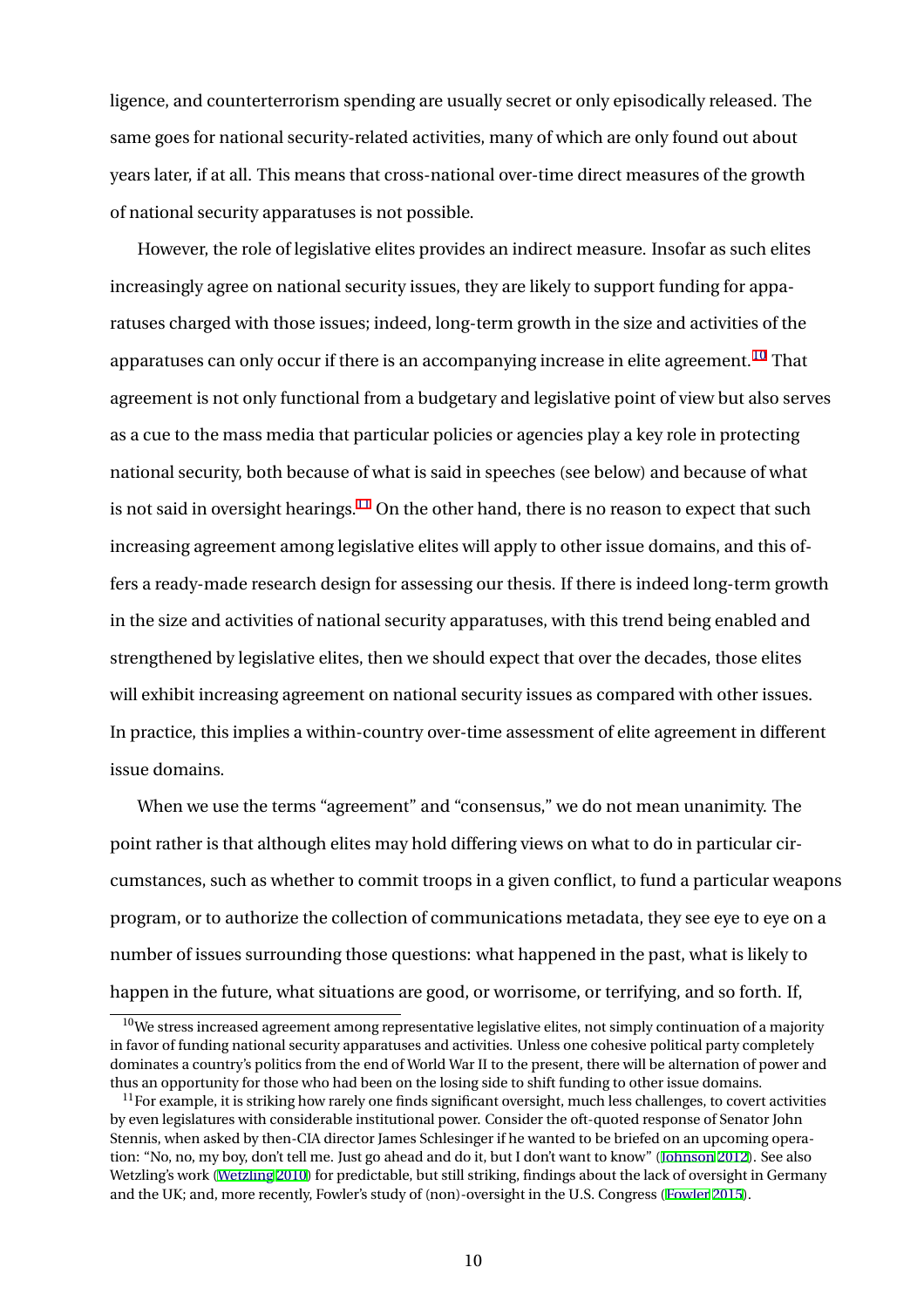ligence, and counterterrorism spending are usually secret or only episodically released. The same goes for national security-related activities, many of which are only found out about years later, if at all. This means that cross-national over-time direct measures of the growth of national security apparatuses is not possible.

However, the role of legislative elites provides an indirect measure. Insofar as such elites increasingly agree on national security issues, they are likely to support funding for apparatuses charged with those issues; indeed, long-term growth in the size and activities of the apparatuses can only occur if there is an accompanying increase in elite agreement.<sup>10</sup> That agreement is not only functional from a budgetary and legislative point of view but also serves as a cue to the mass media that particular policies or agencies play a key role in protecting national security, both because of what is said in speeches (see below) and because of what is not said in oversight hearings.<sup>11</sup> On the other hand, there is no reason to expect that such increasing agreement among legislative elites will apply to other issue domains, and this offers a ready-made research design for assessing our thesis. If there is indeed long-term growth in the size and activities of national security apparatuses, with this trend being enabled and strengthened by legislative elites, then we should expect that over the decades, those elites will exhibit increasing agreement on national security issues as compared with other issues. In practice, this implies a within-country over-time assessment of elite agreement in different issue domains.

When we use the terms "agreement" and "consensus," we do not mean unanimity. The point rather is that although elites may hold differing views on what to do in particular circumstances, such as whether to commit troops in a given conflict, to fund a particular weapons program, or to authorize the collection of communications metadata, they see eye to eye on a number of issues surrounding those questions: what happened in the past, what is likely to happen in the future, what situations are good, or worrisome, or terrifying, and so forth. If,

<sup>&</sup>lt;sup>10</sup>We stress increased agreement among representative legislative elites, not simply continuation of a majority in favor of funding national security apparatuses and activities. Unless one cohesive political party completely dominates a country's politics from the end of World War II to the present, there will be alternation of power and thus an opportunity for those who had been on the losing side to shift funding to other issue domains.

 $11$  For example, it is striking how rarely one finds significant oversight, much less challenges, to covert activities by even legislatures with considerable institutional power. Consider the oft-quoted response of Senator John Stennis, when asked by then-CIA director James Schlesinger if he wanted to be briefed on an upcoming operation: "No, no, my boy, don't tell me. Just go ahead and do it, but I don't want to know" (Johnson 2012). See also Wetzling's work (Wetzling 2010) for predictable, but still striking, findings about the lack of oversight in Germany and the UK; and, more recently, Fowler's study of (non)-oversight in the U.S. Congress (Fowler 2015).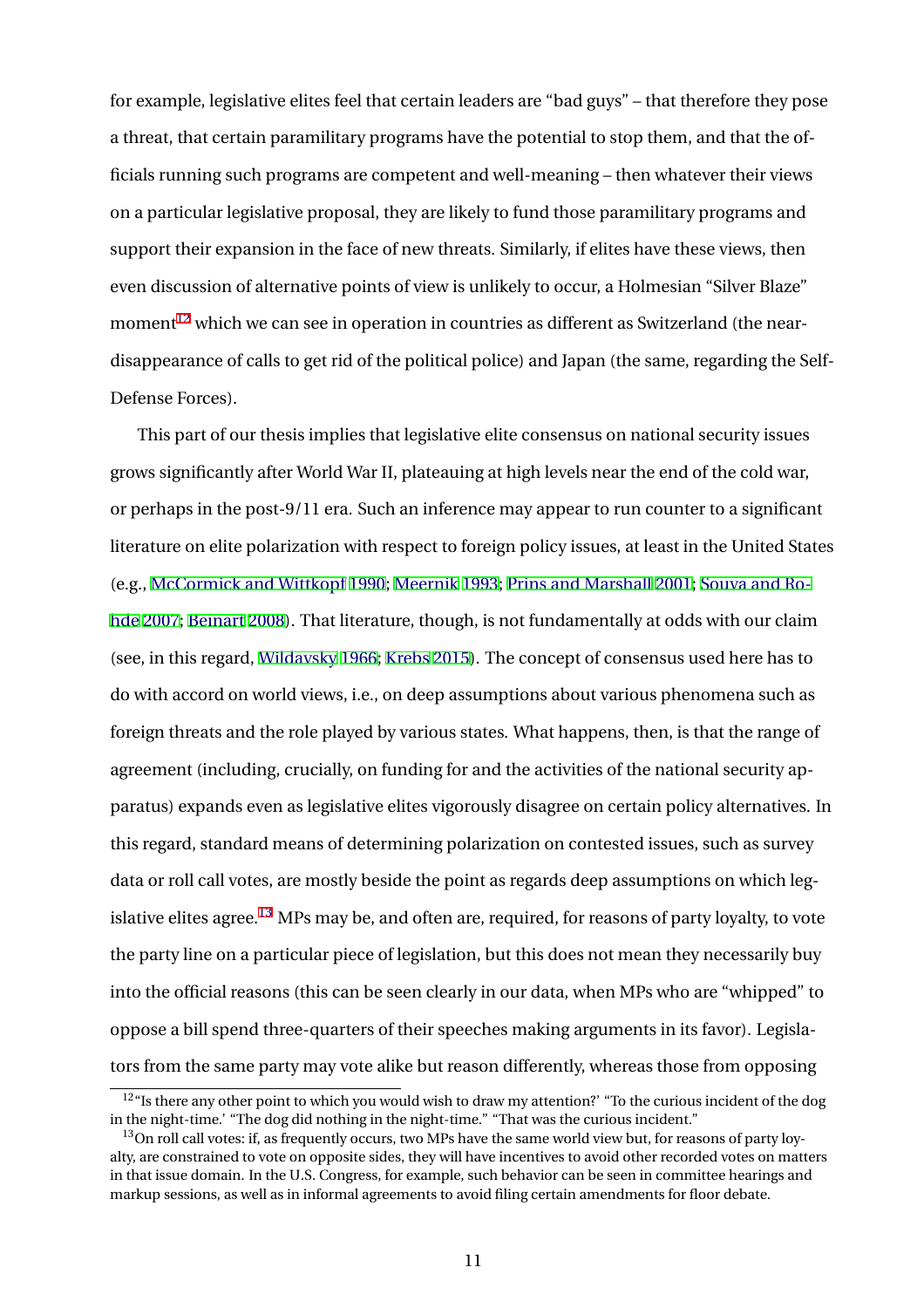for example, legislative elites feel that certain leaders are "bad guys" – that therefore they pose a threat, that certain paramilitary programs have the potential to stop them, and that the officials running such programs are competent and well-meaning – then whatever their views on a particular legislative proposal, they are likely to fund those paramilitary programs and support their expansion in the face of new threats. Similarly, if elites have these views, then even discussion of alternative points of view is unlikely to occur, a Holmesian "Silver Blaze" moment<sup>12</sup> which we can see in operation in countries as different as Switzerland (the neardisappearance of calls to get rid of the political police) and Japan (the same, regarding the Self-Defense Forces).

This part of our thesis implies that legislative elite consensus on national security issues grows significantly after World War II, plateauing at high levels near the end of the cold war, or perhaps in the post-9/11 era. Such an inference may appear to run counter to a significant literature on elite polarization with respect to foreign policy issues, at least in the United States (e.g., McCormick and Wittkopf 1990; Meernik 1993; Prins and Marshall 2001; Souva and Rohde 2007; Beinart 2008). That literature, though, is not fundamentally at odds with our claim (see, [in this regard,](#page-38-0) Wildavsky [1966;](#page-38-0) [Krebs 2015\). Th](#page-38-0)[e concept of consensus used here has to](#page-39-0) [do with a](#page-39-0)[ccord on worl](#page-37-0)d views, i.e., on deep assumptions about various phenomena such as foreign threats and [the role played](#page-41-0) [by various st](#page-38-0)ates. What happens, then, is that the range of agreement (including, crucially, on funding for and the activities of the national security apparatus) expands even as legislative elites vigorously disagree on certain policy alternatives. In this regard, standard means of determining polarization on contested issues, such as survey data or roll call votes, are mostly beside the point as regards deep assumptions on which legislative elites agree.<sup>13</sup> MPs may be, and often are, required, for reasons of party loyalty, to vote the party line on a particular piece of legislation, but this does not mean they necessarily buy into the official reasons (this can be seen clearly in our data, when MPs who are "whipped" to oppose a bill spend three-quarters of their speeches making arguments in its favor). Legislators from the same party may vote alike but reason differently, whereas those from opposing

 $12^{\circ}$  Is there any other point to which you would wish to draw my attention?' "To the curious incident of the dog in the night-time.' "The dog did nothing in the night-time." "That was the curious incident."

 $13$ On roll call votes: if, as frequently occurs, two MPs have the same world view but, for reasons of party loyalty, are constrained to vote on opposite sides, they will have incentives to avoid other recorded votes on matters in that issue domain. In the U.S. Congress, for example, such behavior can be seen in committee hearings and markup sessions, as well as in informal agreements to avoid filing certain amendments for floor debate.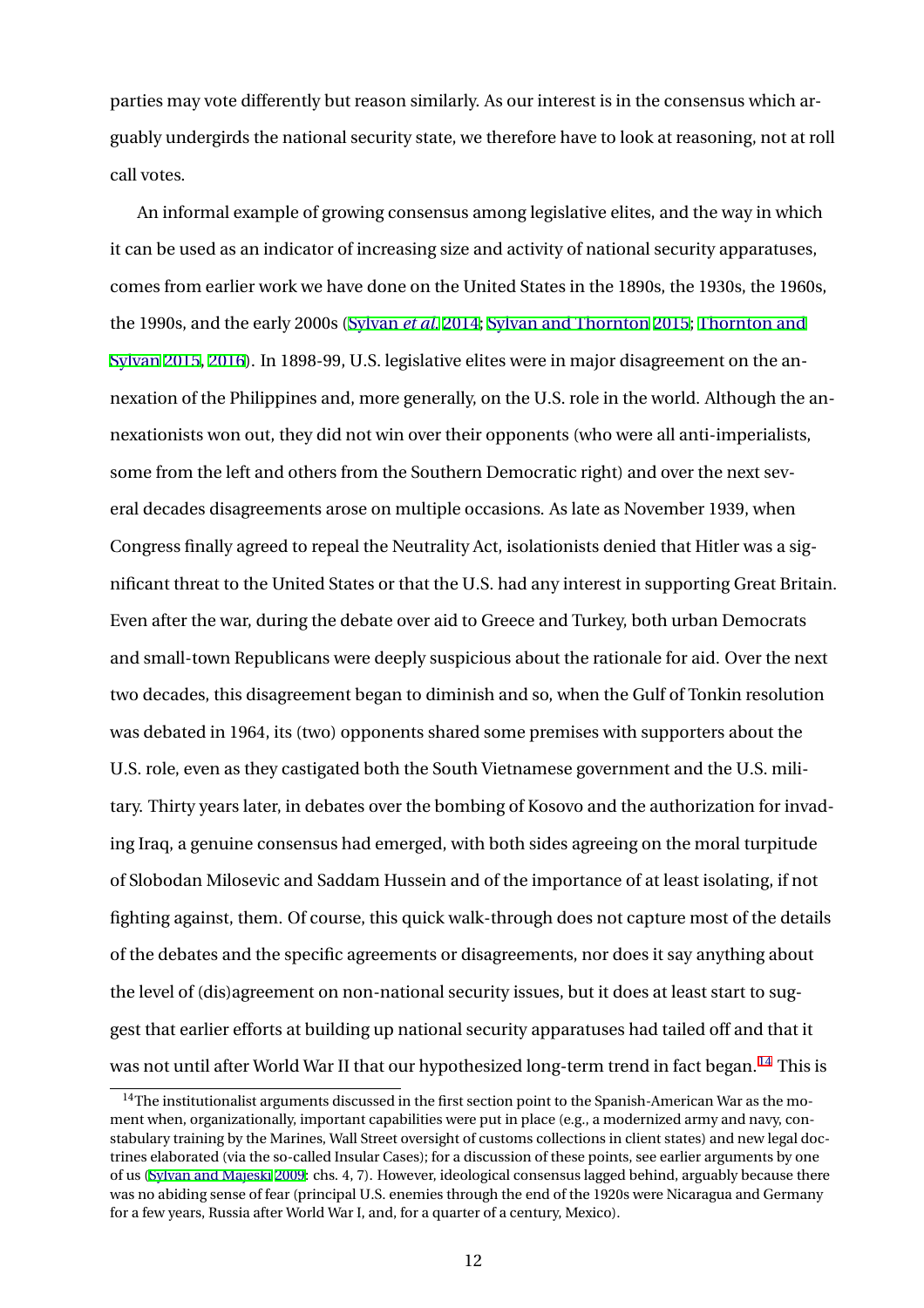parties may vote differently but reason similarly. As our interest is in the consensus which arguably undergirds the national security state, we therefore have to look at reasoning, not at roll call votes.

An informal example of growing consensus among legislative elites, and the way in which it can be used as an indicator of increasing size and activity of national security apparatuses, comes from earlier work we have done on the United States in the 1890s, the 1930s, the 1960s, the 1990s, and the early 2000s (Sylvan *et al.* 2014; Sylvan and Thornton 2015; Thornton and Sylvan 2015, 2016). In 1898-99, U.S. legislative elites were in major disagreement on the annexation of the Philippines an[d, more generally,](#page-40-0) [on the U.S. role in the](#page-40-0) [world. Although the](#page-40-0) an[nexationists won o](#page-40-0)ut, they did not win over their opponents (who were all anti-imperialists, some from the left and others from the Southern Democratic right) and over the next several decades disagreements arose on multiple occasions. As late as November 1939, when Congress finally agreed to repeal the Neutrality Act, isolationists denied that Hitler was a significant threat to the United States or that the U.S. had any interest in supporting Great Britain. Even after the war, during the debate over aid to Greece and Turkey, both urban Democrats and small-town Republicans were deeply suspicious about the rationale for aid. Over the next two decades, this disagreement began to diminish and so, when the Gulf of Tonkin resolution was debated in 1964, its (two) opponents shared some premises with supporters about the U.S. role, even as they castigated both the South Vietnamese government and the U.S. military. Thirty years later, in debates over the bombing of Kosovo and the authorization for invading Iraq, a genuine consensus had emerged, with both sides agreeing on the moral turpitude of Slobodan Milosevic and Saddam Hussein and of the importance of at least isolating, if not fighting against, them. Of course, this quick walk-through does not capture most of the details of the debates and the specific agreements or disagreements, nor does it say anything about the level of (dis)agreement on non-national security issues, but it does at least start to suggest that earlier efforts at building up national security apparatuses had tailed off and that it was not until after World War II that our hypothesized long-term trend in fact began.  $^{14}$  This is

 $14$ The institutionalist arguments discussed in the first section point to the Spanish-American War as the moment when, organizationally, important capabilities were put in place (e.g., a modernized army and navy, constabulary training by the Marines, Wall Street oversight of customs collections in client states) and new legal doctrines elaborated (via the so-called Insular Cases); for a discussion of these points, see earlier arguments by one of us (Sylvan and Majeski 2009: chs. 4, 7). However, ideological consensus lagged behind, arguably because there was no abiding sense of fear (principal U.S. enemies through the end of the 1920s were Nicaragua and Germany for a few years, Russia after World War I, and, for a quarter of a century, Mexico).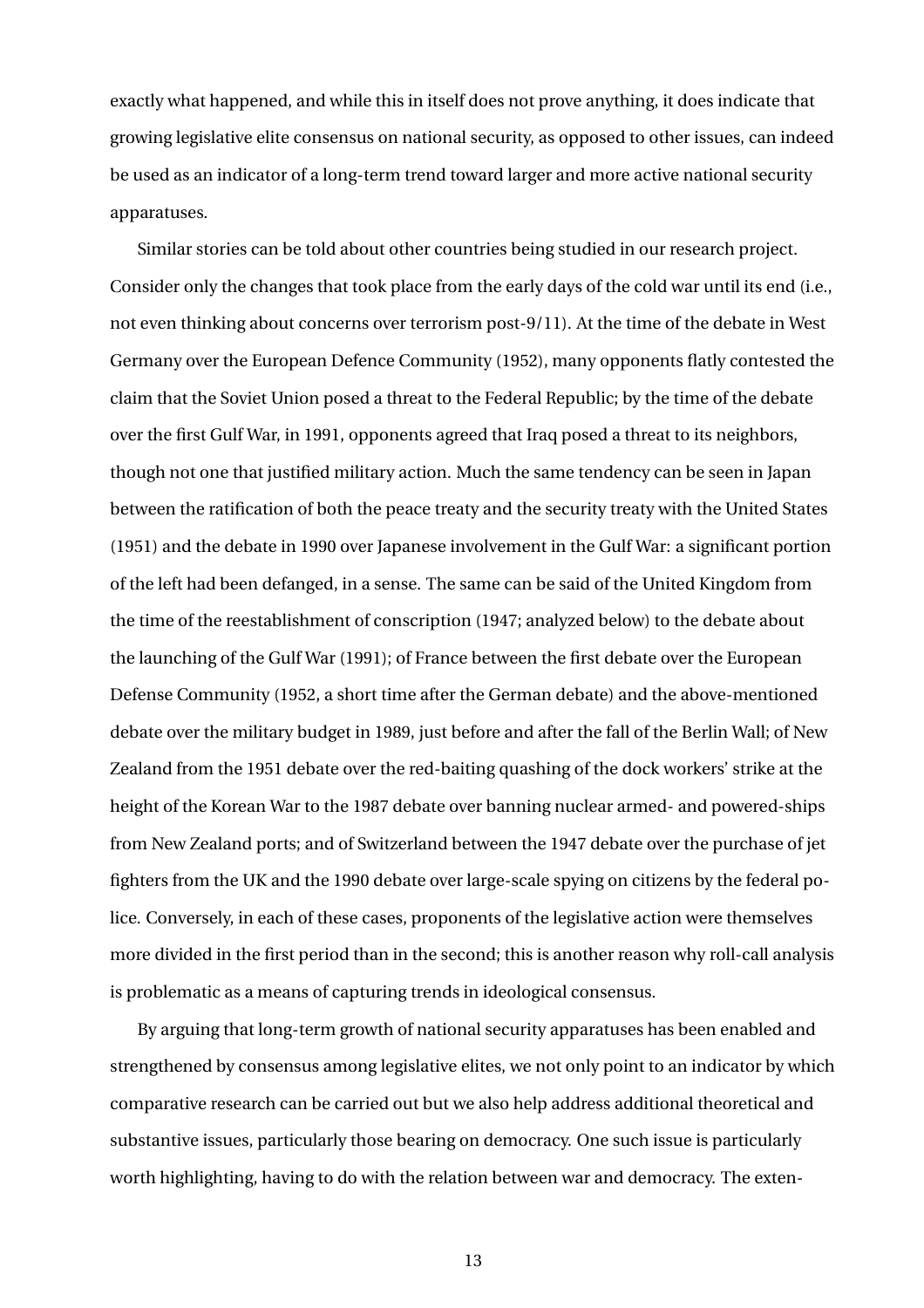exactly what happened, and while this in itself does not prove anything, it does indicate that growing legislative elite consensus on national security, as opposed to other issues, can indeed be used as an indicator of a long-term trend toward larger and more active national security apparatuses.

Similar stories can be told about other countries being studied in our research project. Consider only the changes that took place from the early days of the cold war until its end (i.e., not even thinking about concerns over terrorism post-9/11). At the time of the debate in West Germany over the European Defence Community (1952), many opponents flatly contested the claim that the Soviet Union posed a threat to the Federal Republic; by the time of the debate over the first Gulf War, in 1991, opponents agreed that Iraq posed a threat to its neighbors, though not one that justified military action. Much the same tendency can be seen in Japan between the ratification of both the peace treaty and the security treaty with the United States (1951) and the debate in 1990 over Japanese involvement in the Gulf War: a significant portion of the left had been defanged, in a sense. The same can be said of the United Kingdom from the time of the reestablishment of conscription (1947; analyzed below) to the debate about the launching of the Gulf War (1991); of France between the first debate over the European Defense Community (1952, a short time after the German debate) and the above-mentioned debate over the military budget in 1989, just before and after the fall of the Berlin Wall; of New Zealand from the 1951 debate over the red-baiting quashing of the dock workers' strike at the height of the Korean War to the 1987 debate over banning nuclear armed- and powered-ships from New Zealand ports; and of Switzerland between the 1947 debate over the purchase of jet fighters from the UK and the 1990 debate over large-scale spying on citizens by the federal police. Conversely, in each of these cases, proponents of the legislative action were themselves more divided in the first period than in the second; this is another reason why roll-call analysis is problematic as a means of capturing trends in ideological consensus.

By arguing that long-term growth of national security apparatuses has been enabled and strengthened by consensus among legislative elites, we not only point to an indicator by which comparative research can be carried out but we also help address additional theoretical and substantive issues, particularly those bearing on democracy. One such issue is particularly worth highlighting, having to do with the relation between war and democracy. The exten-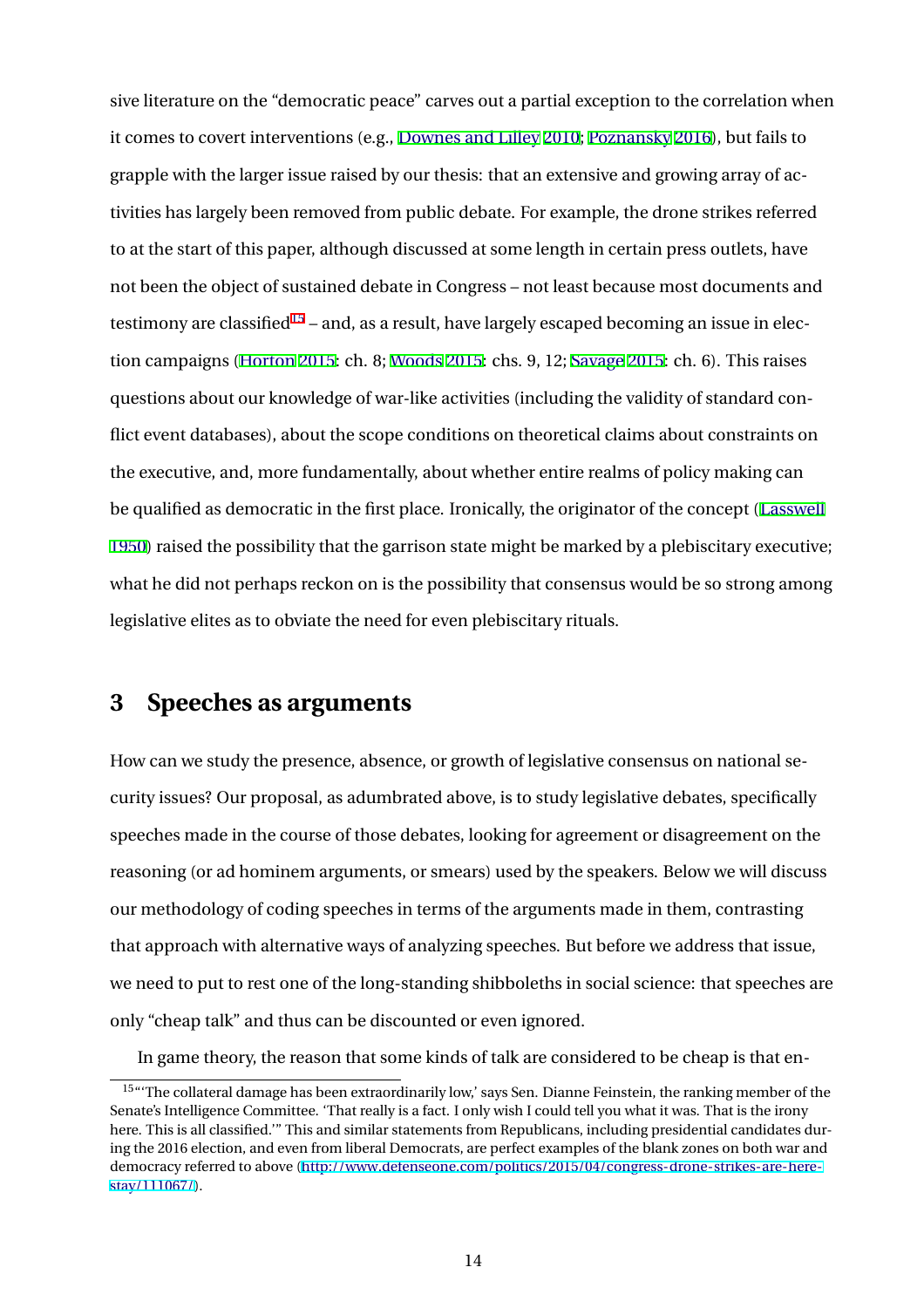sive literature on the "democratic peace" carves out a partial exception to the correlation when it comes to covert interventions (e.g., Downes and Lilley 2010; Poznansky 2016), but fails to grapple with the larger issue raised by our thesis: that an extensive and growing array of activities has largely been removed fro[m public debate. For exam](#page-37-0)[ple, the drone st](#page-39-0)rikes referred to at the start of this paper, although discussed at some length in certain press outlets, have not been the object of sustained debate in Congress – not least because most documents and testimony are classified<sup>15</sup> – and, as a result, have largely escaped becoming an issue in election campaigns (Horton 2015: ch. 8; Woods 2015: chs. 9, 12; Savage 2015: ch. 6). This raises questions about our knowledge of war-like activities (including the validity of standard conflict event datab[ases\), about t](#page-38-0)he sco[pe conditions](#page-41-0) on theore[tical claims a](#page-39-0)bout constraints on the executive, and, more fundamentally, about whether entire realms of policy making can be qualified as democratic in the first place. Ironically, the originator of the concept (Lasswell 1950) raised the possibility that the garrison state might be marked by a plebiscitary executive; what he did not perhaps reckon on is the possibility that consensus would be so stro[ng among](#page-38-0) [legisl](#page-38-0)ative elites as to obviate the need for even plebiscitary rituals.

## **3 Speeches as arguments**

How can we study the presence, absence, or growth of legislative consensus on national security issues? Our proposal, as adumbrated above, is to study legislative debates, specifically speeches made in the course of those debates, looking for agreement or disagreement on the reasoning (or ad hominem arguments, or smears) used by the speakers. Below we will discuss our methodology of coding speeches in terms of the arguments made in them, contrasting that approach with alternative ways of analyzing speeches. But before we address that issue, we need to put to rest one of the long-standing shibboleths in social science: that speeches are only "cheap talk" and thus can be discounted or even ignored.

In game theory, the reason that some kinds of talk are considered to be cheap is that en-

<sup>&</sup>lt;sup>15</sup>"The collateral damage has been extraordinarily low,' says Sen. Dianne Feinstein, the ranking member of the Senate's Intelligence Committee. 'That really is a fact. I only wish I could tell you what it was. That is the irony here. This is all classified.'" This and similar statements from Republicans, including presidential candidates during the 2016 election, and even from liberal Democrats, are perfect examples of the blank zones on both war and democracy referred to above (http://www.defenseone.com/politics/2015/04/congress-drone-strikes-are-herestay/111067/).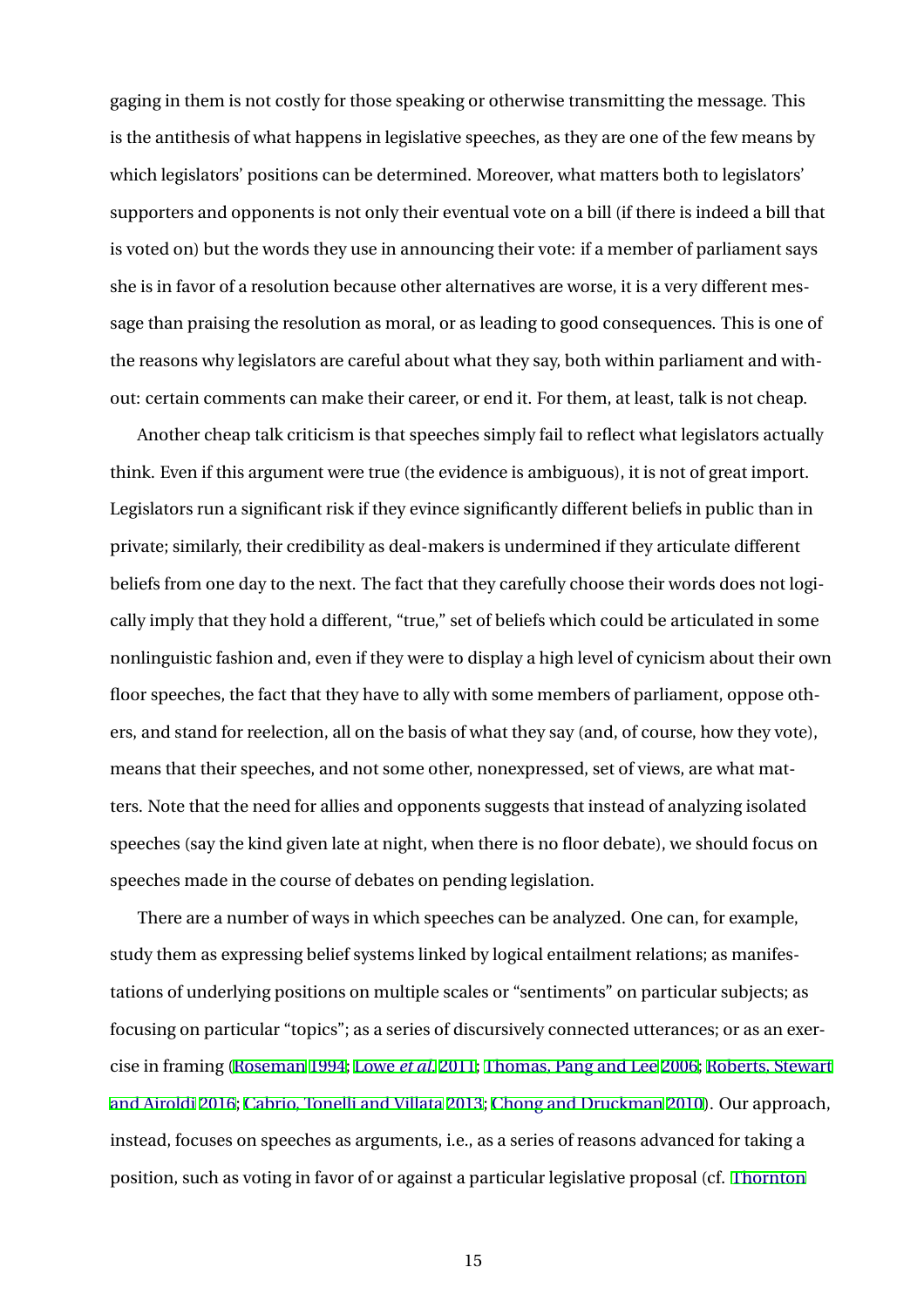gaging in them is not costly for those speaking or otherwise transmitting the message. This is the antithesis of what happens in legislative speeches, as they are one of the few means by which legislators' positions can be determined. Moreover, what matters both to legislators' supporters and opponents is not only their eventual vote on a bill (if there is indeed a bill that is voted on) but the words they use in announcing their vote: if a member of parliament says she is in favor of a resolution because other alternatives are worse, it is a very different message than praising the resolution as moral, or as leading to good consequences. This is one of the reasons why legislators are careful about what they say, both within parliament and without: certain comments can make their career, or end it. For them, at least, talk is not cheap.

Another cheap talk criticism is that speeches simply fail to reflect what legislators actually think. Even if this argument were true (the evidence is ambiguous), it is not of great import. Legislators run a significant risk if they evince significantly different beliefs in public than in private; similarly, their credibility as deal-makers is undermined if they articulate different beliefs from one day to the next. The fact that they carefully choose their words does not logically imply that they hold a different, "true," set of beliefs which could be articulated in some nonlinguistic fashion and, even if they were to display a high level of cynicism about their own floor speeches, the fact that they have to ally with some members of parliament, oppose others, and stand for reelection, all on the basis of what they say (and, of course, how they vote), means that their speeches, and not some other, nonexpressed, set of views, are what matters. Note that the need for allies and opponents suggests that instead of analyzing isolated speeches (say the kind given late at night, when there is no floor debate), we should focus on speeches made in the course of debates on pending legislation.

There are a number of ways in which speeches can be analyzed. One can, for example, study them as expressing belief systems linked by logical entailment relations; as manifestations of underlying positions on multiple scales or "sentiments" on particular subjects; as focusing on particular "topics"; as a series of discursively connected utterances; or as an exercise in framing (Roseman 1994; Lowe *et al.* 2011; Thomas, Pang and Lee 2006; Roberts, Stewart and Airoldi 2016; Cabrio, Tonelli and Villata 2013; Chong and Druckman 2010). Our approach, instead, focuses [on speeches as](#page-39-0) [arguments, i.e.,](#page-38-0) [as a series of reasons advance](#page-40-0)[d for taking a](#page-39-0) [position, such as](#page-39-0) [voting in favor of or against a particular legislative proposal \(](#page-37-0)cf. Thornton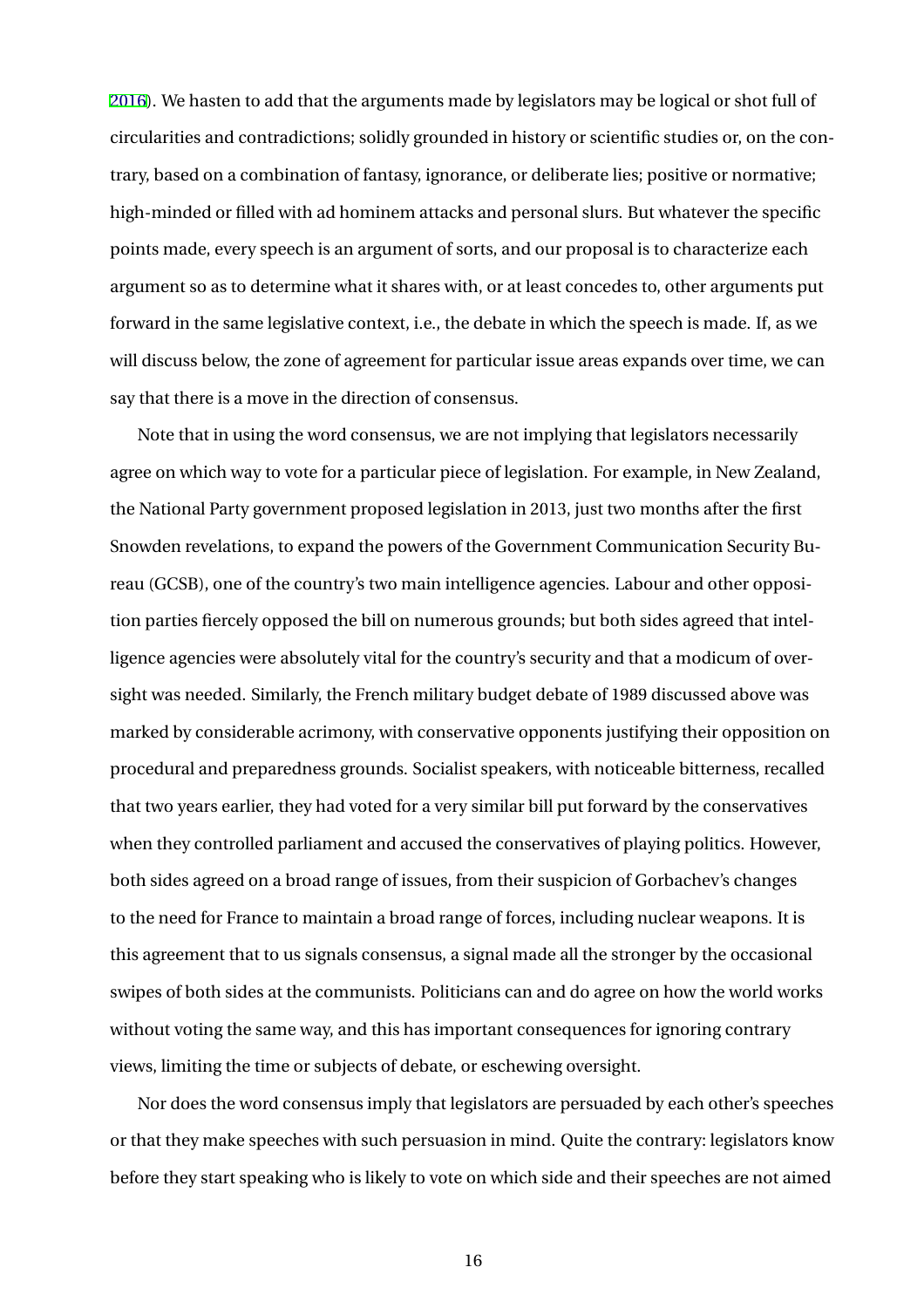2016). We hasten to add that the arguments made by legislators may be logical or shot full of circularities and contradictions; solidly grounded in history or scientific studies or, on the con[trary,](#page-40-0) based on a combination of fantasy, ignorance, or deliberate lies; positive or normative; high-minded or filled with ad hominem attacks and personal slurs. But whatever the specific points made, every speech is an argument of sorts, and our proposal is to characterize each argument so as to determine what it shares with, or at least concedes to, other arguments put forward in the same legislative context, i.e., the debate in which the speech is made. If, as we will discuss below, the zone of agreement for particular issue areas expands over time, we can say that there is a move in the direction of consensus.

Note that in using the word consensus, we are not implying that legislators necessarily agree on which way to vote for a particular piece of legislation. For example, in New Zealand, the National Party government proposed legislation in 2013, just two months after the first Snowden revelations, to expand the powers of the Government Communication Security Bureau (GCSB), one of the country's two main intelligence agencies. Labour and other opposition parties fiercely opposed the bill on numerous grounds; but both sides agreed that intelligence agencies were absolutely vital for the country's security and that a modicum of oversight was needed. Similarly, the French military budget debate of 1989 discussed above was marked by considerable acrimony, with conservative opponents justifying their opposition on procedural and preparedness grounds. Socialist speakers, with noticeable bitterness, recalled that two years earlier, they had voted for a very similar bill put forward by the conservatives when they controlled parliament and accused the conservatives of playing politics. However, both sides agreed on a broad range of issues, from their suspicion of Gorbachev's changes to the need for France to maintain a broad range of forces, including nuclear weapons. It is this agreement that to us signals consensus, a signal made all the stronger by the occasional swipes of both sides at the communists. Politicians can and do agree on how the world works without voting the same way, and this has important consequences for ignoring contrary views, limiting the time or subjects of debate, or eschewing oversight.

Nor does the word consensus imply that legislators are persuaded by each other's speeches or that they make speeches with such persuasion in mind. Quite the contrary: legislators know before they start speaking who is likely to vote on which side and their speeches are not aimed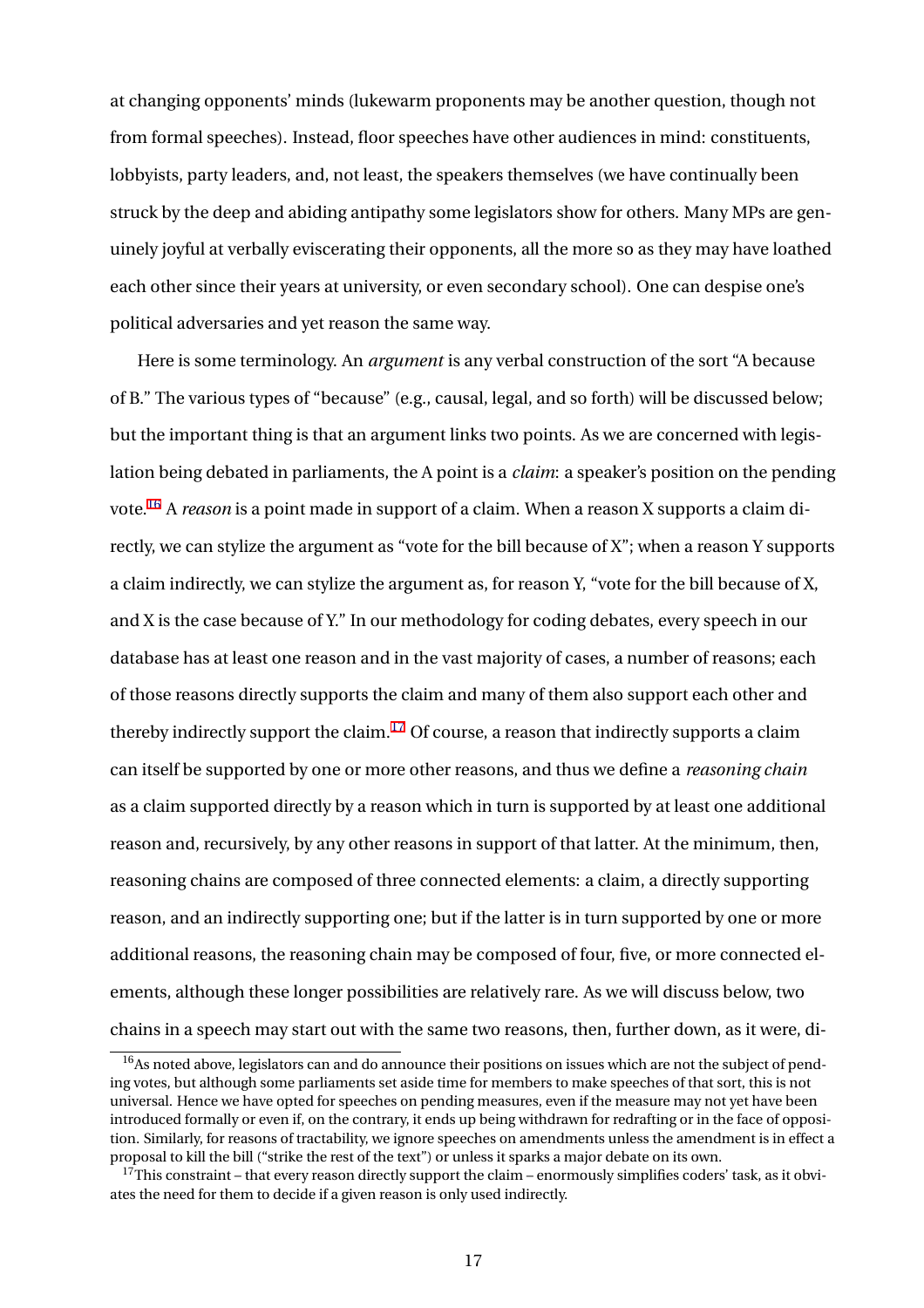at changing opponents' minds (lukewarm proponents may be another question, though not from formal speeches). Instead, floor speeches have other audiences in mind: constituents, lobbyists, party leaders, and, not least, the speakers themselves (we have continually been struck by the deep and abiding antipathy some legislators show for others. Many MPs are genuinely joyful at verbally eviscerating their opponents, all the more so as they may have loathed each other since their years at university, or even secondary school). One can despise one's political adversaries and yet reason the same way.

Here is some terminology. An *argument* is any verbal construction of the sort "A because of B." The various types of "because" (e.g., causal, legal, and so forth) will be discussed below; but the important thing is that an argument links two points. As we are concerned with legislation being debated in parliaments, the A point is a *claim*: a speaker's position on the pending vote.<sup>16</sup> A *reason* is a point made in support of a claim. When a reason X supports a claim directly, we can stylize the argument as "vote for the bill because of X"; when a reason Y supports a claim indirectly, we can stylize the argument as, for reason Y, "vote for the bill because of X, and X is the case because of Y." In our methodology for coding debates, every speech in our database has at least one reason and in the vast majority of cases, a number of reasons; each of those reasons directly supports the claim and many of them also support each other and thereby indirectly support the claim.<sup>17</sup> Of course, a reason that indirectly supports a claim can itself be supported by one or more other reasons, and thus we define a *reasoning chain* as a claim supported directly by a reason which in turn is supported by at least one additional reason and, recursively, by any other reasons in support of that latter. At the minimum, then, reasoning chains are composed of three connected elements: a claim, a directly supporting reason, and an indirectly supporting one; but if the latter is in turn supported by one or more additional reasons, the reasoning chain may be composed of four, five, or more connected elements, although these longer possibilities are relatively rare. As we will discuss below, two chains in a speech may start out with the same two reasons, then, further down, as it were, di-

<sup>&</sup>lt;sup>16</sup>As noted above, legislators can and do announce their positions on issues which are not the subject of pending votes, but although some parliaments set aside time for members to make speeches of that sort, this is not universal. Hence we have opted for speeches on pending measures, even if the measure may not yet have been introduced formally or even if, on the contrary, it ends up being withdrawn for redrafting or in the face of opposition. Similarly, for reasons of tractability, we ignore speeches on amendments unless the amendment is in effect a proposal to kill the bill ("strike the rest of the text") or unless it sparks a major debate on its own.

 $17$ This constraint – that every reason directly support the claim – enormously simplifies coders' task, as it obviates the need for them to decide if a given reason is only used indirectly.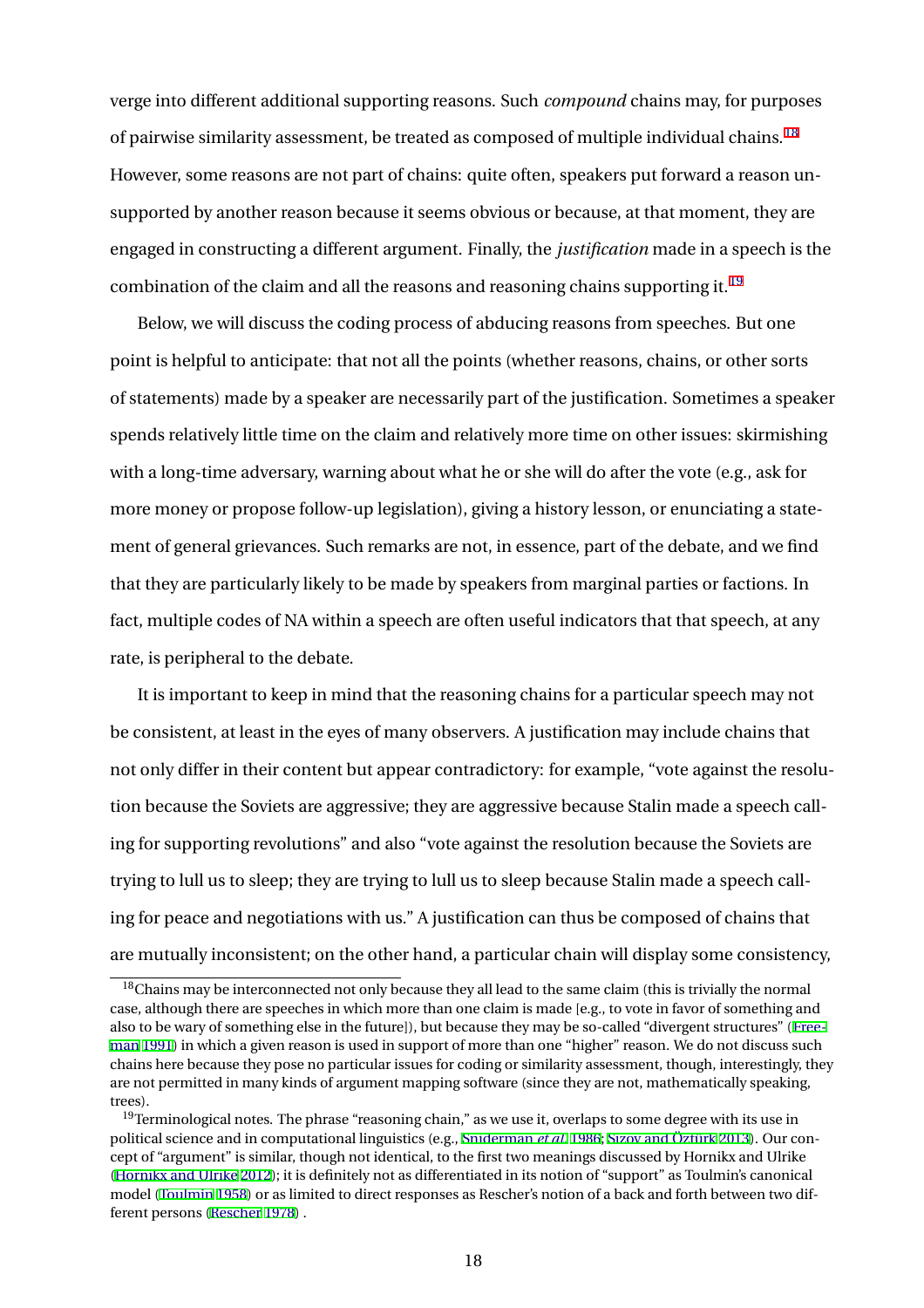verge into different additional supporting reasons. Such *compound* chains may, for purposes of pairwise similarity assessment, be treated as composed of multiple individual chains.<sup>18</sup> However, some reasons are not part of chains: quite often, speakers put forward a reason unsupported by another reason because it seems obvious or because, at that moment, they are engaged in constructing a different argument. Finally, the *justification* made in a speech is the combination of the claim and all the reasons and reasoning chains supporting it.<sup>19</sup>

Below, we will discuss the coding process of abducing reasons from speeches. But one point is helpful to anticipate: that not all the points (whether reasons, chains, or other sorts of statements) made by a speaker are necessarily part of the justification. Sometimes a speaker spends relatively little time on the claim and relatively more time on other issues: skirmishing with a long-time adversary, warning about what he or she will do after the vote (e.g., ask for more money or propose follow-up legislation), giving a history lesson, or enunciating a statement of general grievances. Such remarks are not, in essence, part of the debate, and we find that they are particularly likely to be made by speakers from marginal parties or factions. In fact, multiple codes of NA within a speech are often useful indicators that that speech, at any rate, is peripheral to the debate.

It is important to keep in mind that the reasoning chains for a particular speech may not be consistent, at least in the eyes of many observers. A justification may include chains that not only differ in their content but appear contradictory: for example, "vote against the resolution because the Soviets are aggressive; they are aggressive because Stalin made a speech calling for supporting revolutions" and also "vote against the resolution because the Soviets are trying to lull us to sleep; they are trying to lull us to sleep because Stalin made a speech calling for peace and negotiations with us." A justification can thus be composed of chains that are mutually inconsistent; on the other hand, a particular chain will display some consistency,

<sup>&</sup>lt;sup>18</sup>Chains may be interconnected not only because they all lead to the same claim (this is trivially the normal case, although there are speeches in which more than one claim is made [e.g., to vote in favor of something and also to be wary of something else in the future]), but because they may be so-called "divergent structures" (Freeman 1991) in which a given reason is used in support of more than one "higher" reason. We do not discuss such chains here because they pose no particular issues for coding or similarity assessment, though, interestingly, they are not permitted in many kinds of argument mapping software (since they are not, mathematically speaking, trees).

<sup>&</sup>lt;sup>19</sup>Terminological notes. The phrase "reasoning chain," as we use it, overlaps to some degree with its use in political science and in computational linguistics (e.g., Sniderman *et al.* 1986; Sizov and Öztürk 2013). Our concept of "argument" is similar, though not identical, to the first two meanings discussed by Hornikx and Ulrike (Hornikx and Ulrike 2012); it is definitely not as differentiated in its notion of "support" as Toulmin's canonical model (Toulmin 1958) or as limited to direct responses as Rescher's notion of a back and forth between two different persons (Rescher 1978) .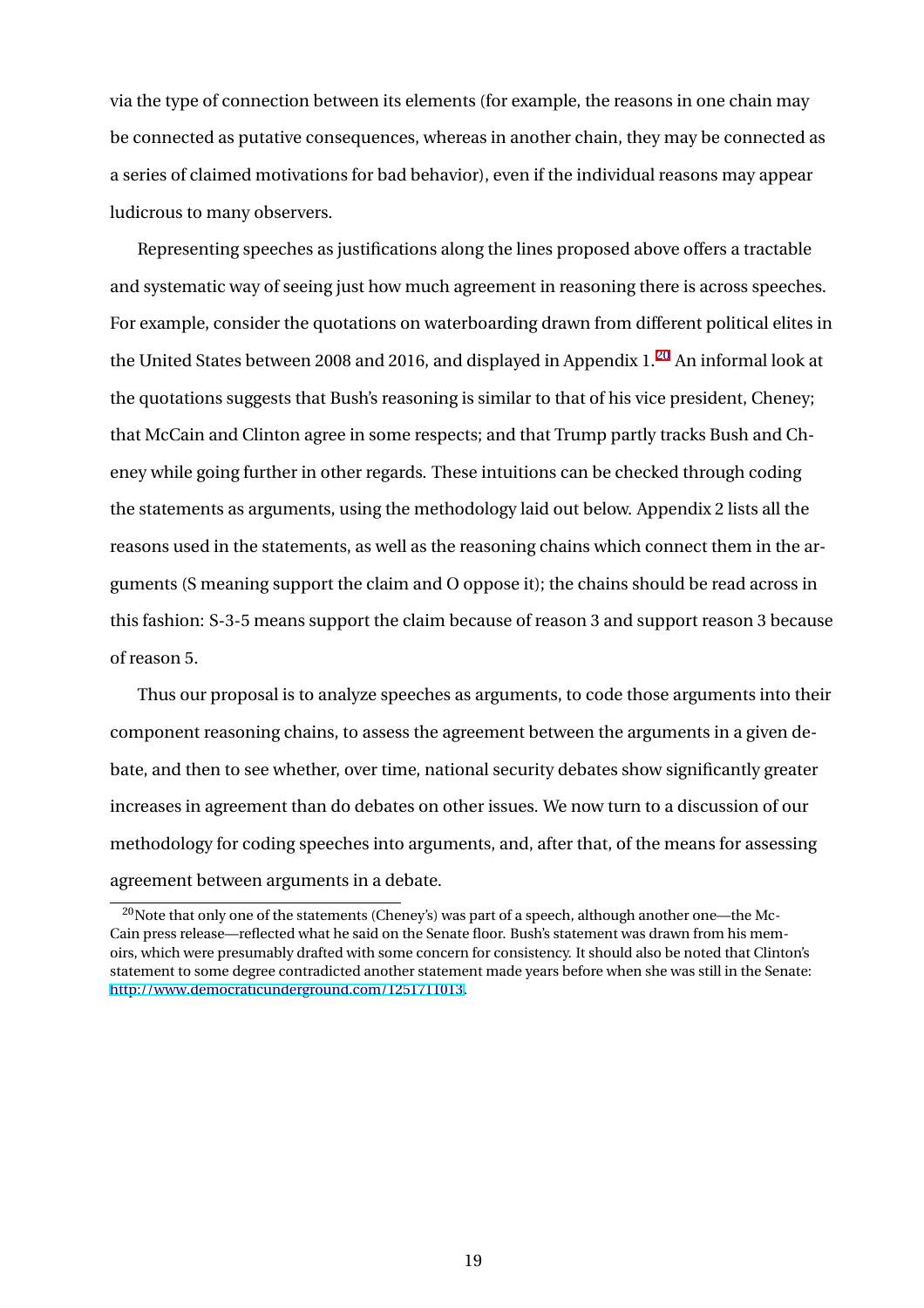via the type of connection between its elements (for example, the reasons in one chain may be connected as putative consequences, whereas in another chain, they may be connected as a series of claimed motivations for bad behavior), even if the individual reasons may appear ludicrous to many observers.

Representing speeches as justifications along the lines proposed above offers a tractable and systematic way of seeing just how much agreement in reasoning there is across speeches. For example, consider the quotations on waterboarding drawn from different political elites in the United States between 2008 and 2016, and displayed in Appendix  $1.^{20}$  An informal look at the quotations suggests that Bush's reasoning is similar to that of his vice president, Cheney; that McCain and Clinton agree in some respects; and that Trump partly tracks Bush and Cheney while going further in other regards. These intuitions can be checked through coding the statements as arguments, using the methodology laid out below. Appendix 2 lists all the reasons used in the statements, as well as the reasoning chains which connect them in the arguments (S meaning support the claim and O oppose it); the chains should be read across in this fashion: S-3-5 means support the claim because of reason 3 and support reason 3 because of reason 5.

Thus our proposal is to analyze speeches as arguments, to code those arguments into their component reasoning chains, to assess the agreement between the arguments in a given debate, and then to see whether, over time, national security debates show significantly greater increases in agreement than do debates on other issues. We now turn to a discussion of our methodology for coding speeches into arguments, and, after that, of the means for assessing agreement between arguments in a debate.

<sup>&</sup>lt;sup>20</sup>Note that only one of the statements (Cheney's) was part of a speech, although another one—the Mc-Cain press release—reflected what he said on the Senate floor. Bush's statement was drawn from his memoirs, which were presumably drafted with some concern for consistency. It should also be noted that Clinton's statement to some degree contradicted another statement made years before when she was still in the Senate: http://www.democraticunderground.com/1251711013.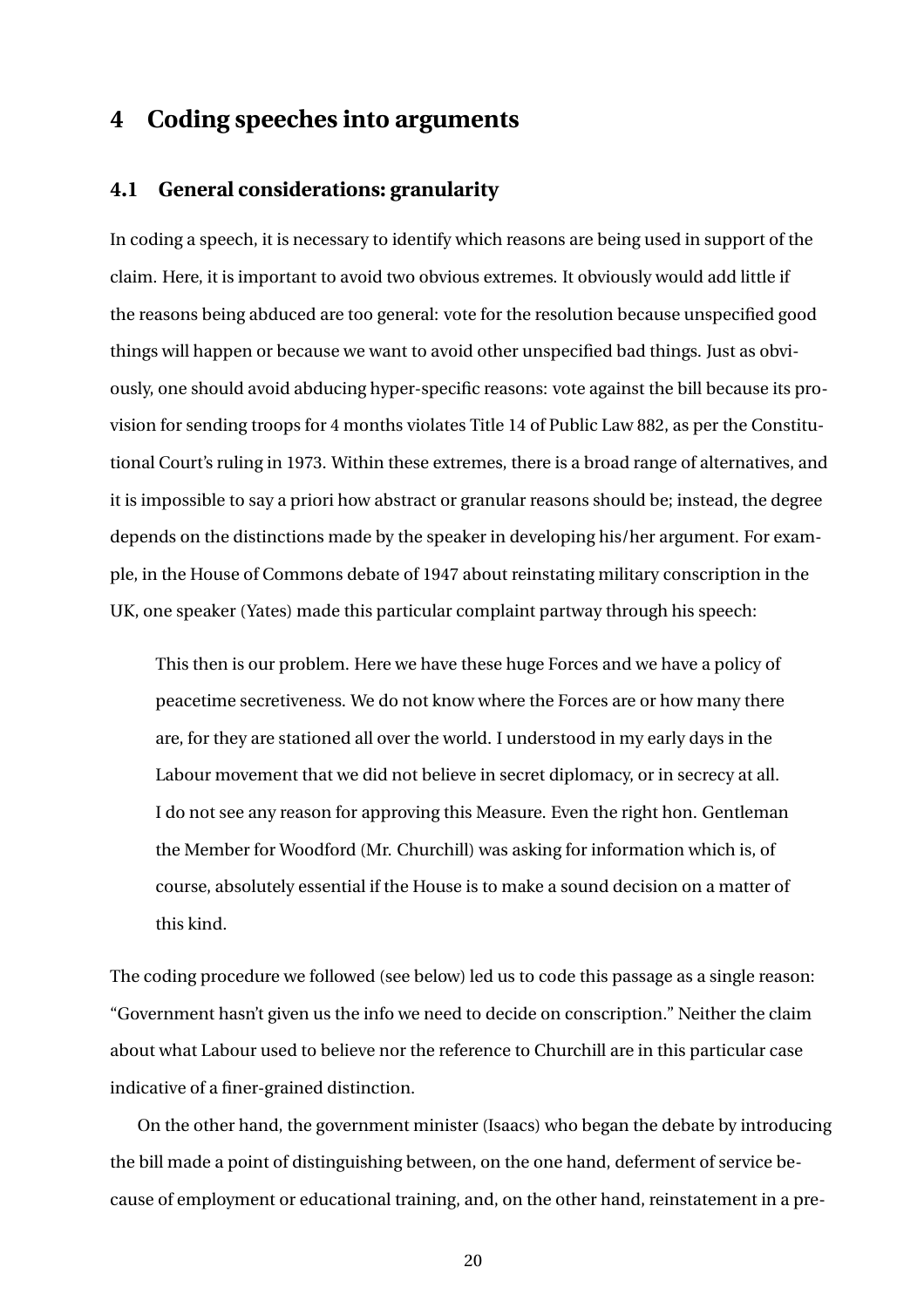## **4 Coding speeches into arguments**

### **4.1 General considerations: granularity**

In coding a speech, it is necessary to identify which reasons are being used in support of the claim. Here, it is important to avoid two obvious extremes. It obviously would add little if the reasons being abduced are too general: vote for the resolution because unspecified good things will happen or because we want to avoid other unspecified bad things. Just as obviously, one should avoid abducing hyper-specific reasons: vote against the bill because its provision for sending troops for 4 months violates Title 14 of Public Law 882, as per the Constitutional Court's ruling in 1973. Within these extremes, there is a broad range of alternatives, and it is impossible to say a priori how abstract or granular reasons should be; instead, the degree depends on the distinctions made by the speaker in developing his/her argument. For example, in the House of Commons debate of 1947 about reinstating military conscription in the UK, one speaker (Yates) made this particular complaint partway through his speech:

This then is our problem. Here we have these huge Forces and we have a policy of peacetime secretiveness. We do not know where the Forces are or how many there are, for they are stationed all over the world. I understood in my early days in the Labour movement that we did not believe in secret diplomacy, or in secrecy at all. I do not see any reason for approving this Measure. Even the right hon. Gentleman the Member for Woodford (Mr. Churchill) was asking for information which is, of course, absolutely essential if the House is to make a sound decision on a matter of this kind.

The coding procedure we followed (see below) led us to code this passage as a single reason: "Government hasn't given us the info we need to decide on conscription." Neither the claim about what Labour used to believe nor the reference to Churchill are in this particular case indicative of a finer-grained distinction.

On the other hand, the government minister (Isaacs) who began the debate by introducing the bill made a point of distinguishing between, on the one hand, deferment of service because of employment or educational training, and, on the other hand, reinstatement in a pre-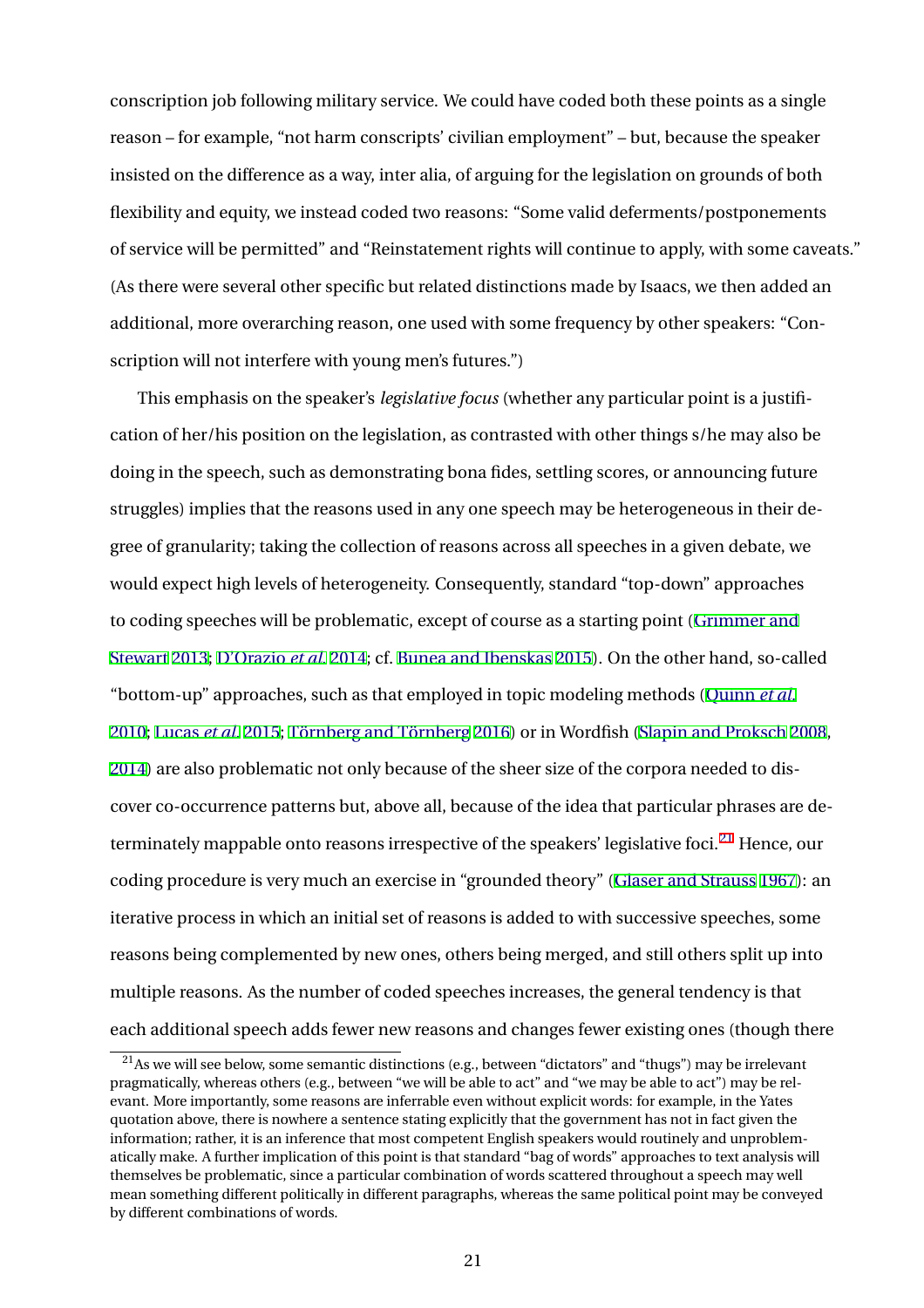conscription job following military service. We could have coded both these points as a single reason – for example, "not harm conscripts' civilian employment" – but, because the speaker insisted on the difference as a way, inter alia, of arguing for the legislation on grounds of both flexibility and equity, we instead coded two reasons: "Some valid deferments/postponements of service will be permitted" and "Reinstatement rights will continue to apply, with some caveats." (As there were several other specific but related distinctions made by Isaacs, we then added an additional, more overarching reason, one used with some frequency by other speakers: "Conscription will not interfere with young men's futures.")

This emphasis on the speaker's *legislative focus* (whether any particular point is a justification of her/his position on the legislation, as contrasted with other things s/he may also be doing in the speech, such as demonstrating bona fides, settling scores, or announcing future struggles) implies that the reasons used in any one speech may be heterogeneous in their degree of granularity; taking the collection of reasons across all speeches in a given debate, we would expect high levels of heterogeneity. Consequently, standard "top-down" approaches to coding speeches will be problematic, except of course as a starting point (Grimmer and Stewart 2013; D'Orazio *et al.* 2014; cf. Bunea and Ibenskas 2015). On the other hand, so-called "bottom-up" approaches, such as that employed in topic modeling method[s \(Quinn](#page-38-0) *et al.* [2010;](#page-38-0) L[ucas](#page-38-0) *et al.* [2015;](#page-37-0) Törn[berg a](#page-37-0)nd [Törnberg 2016\) or in Word](#page-37-0)fish (Slapin and Proksch 2008, 2014) are also problematic not only because of the sheer size of the corpora n[eeded to dis](#page-39-0)[cover](#page-39-0) [co-occurrence p](#page-38-0)[atterns but, above all, because](#page-40-0) of the idea that [particular phrases are de](#page-39-0)[term](#page-39-0)inately mappable onto reasons irrespective of the speakers' legislative foci.<sup>21</sup> Hence, our coding procedure is very much an exercise in "grounded theory" (Glaser and Strauss 1967): an iterative process in which an initial set of reasons is added to with successive speeches, some reasons being complemented by new ones, others being merged, [and still others split up i](#page-37-0)nto multiple reasons. As the number of coded speeches increases, the general tendency is that each additional speech adds fewer new reasons and changes fewer existing ones (though there

 $21$ As we will see below, some semantic distinctions (e.g., between "dictators" and "thugs") may be irrelevant pragmatically, whereas others (e.g., between "we will be able to act" and "we may be able to act") may be relevant. More importantly, some reasons are inferrable even without explicit words: for example, in the Yates quotation above, there is nowhere a sentence stating explicitly that the government has not in fact given the information; rather, it is an inference that most competent English speakers would routinely and unproblematically make. A further implication of this point is that standard "bag of words" approaches to text analysis will themselves be problematic, since a particular combination of words scattered throughout a speech may well mean something different politically in different paragraphs, whereas the same political point may be conveyed by different combinations of words.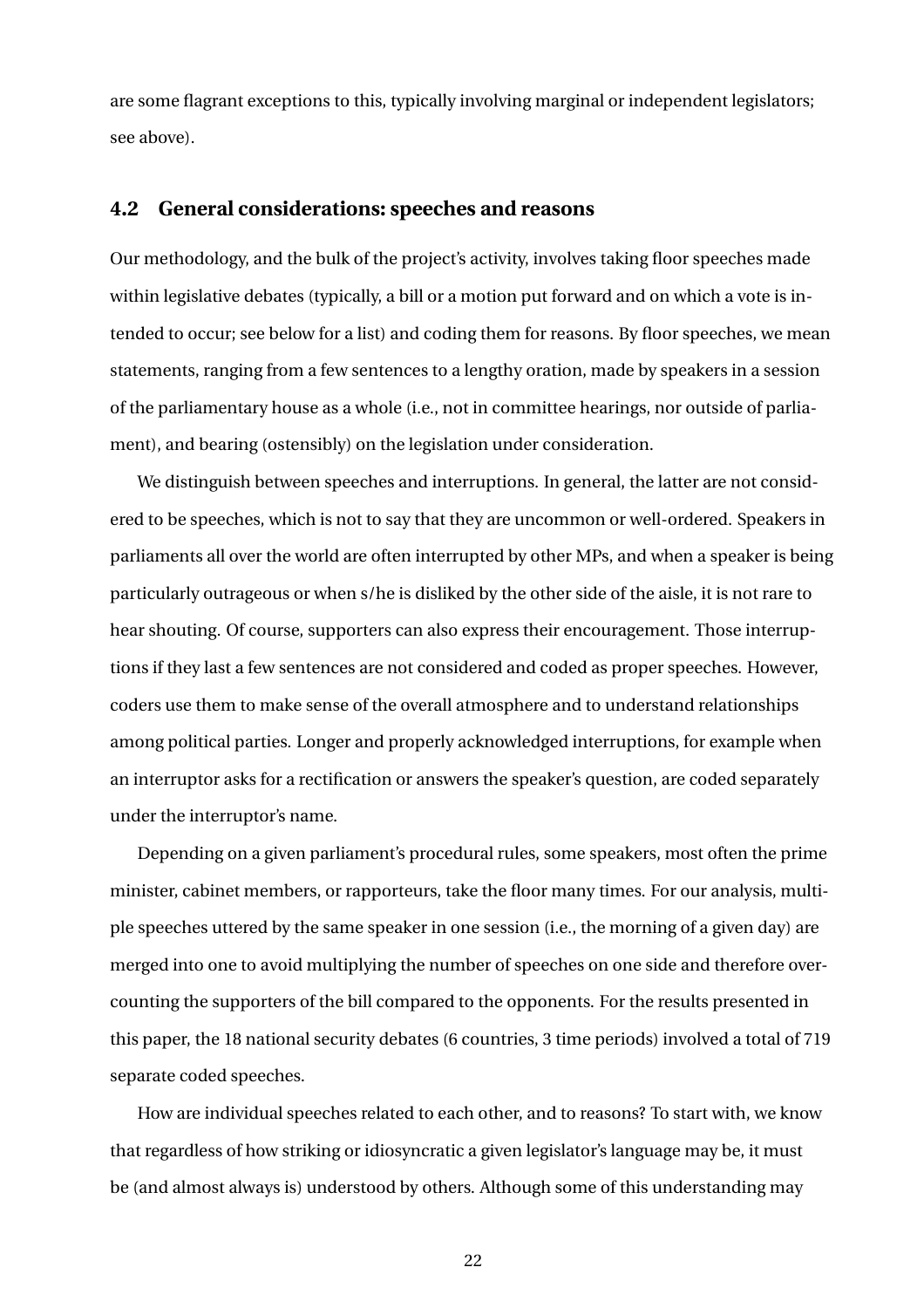are some flagrant exceptions to this, typically involving marginal or independent legislators; see above).

### **4.2 General considerations: speeches and reasons**

Our methodology, and the bulk of the project's activity, involves taking floor speeches made within legislative debates (typically, a bill or a motion put forward and on which a vote is intended to occur; see below for a list) and coding them for reasons. By floor speeches, we mean statements, ranging from a few sentences to a lengthy oration, made by speakers in a session of the parliamentary house as a whole (i.e., not in committee hearings, nor outside of parliament), and bearing (ostensibly) on the legislation under consideration.

We distinguish between speeches and interruptions. In general, the latter are not considered to be speeches, which is not to say that they are uncommon or well-ordered. Speakers in parliaments all over the world are often interrupted by other MPs, and when a speaker is being particularly outrageous or when s/he is disliked by the other side of the aisle, it is not rare to hear shouting. Of course, supporters can also express their encouragement. Those interruptions if they last a few sentences are not considered and coded as proper speeches. However, coders use them to make sense of the overall atmosphere and to understand relationships among political parties. Longer and properly acknowledged interruptions, for example when an interruptor asks for a rectification or answers the speaker's question, are coded separately under the interruptor's name.

Depending on a given parliament's procedural rules, some speakers, most often the prime minister, cabinet members, or rapporteurs, take the floor many times. For our analysis, multiple speeches uttered by the same speaker in one session (i.e., the morning of a given day) are merged into one to avoid multiplying the number of speeches on one side and therefore overcounting the supporters of the bill compared to the opponents. For the results presented in this paper, the 18 national security debates (6 countries, 3 time periods) involved a total of 719 separate coded speeches.

How are individual speeches related to each other, and to reasons? To start with, we know that regardless of how striking or idiosyncratic a given legislator's language may be, it must be (and almost always is) understood by others. Although some of this understanding may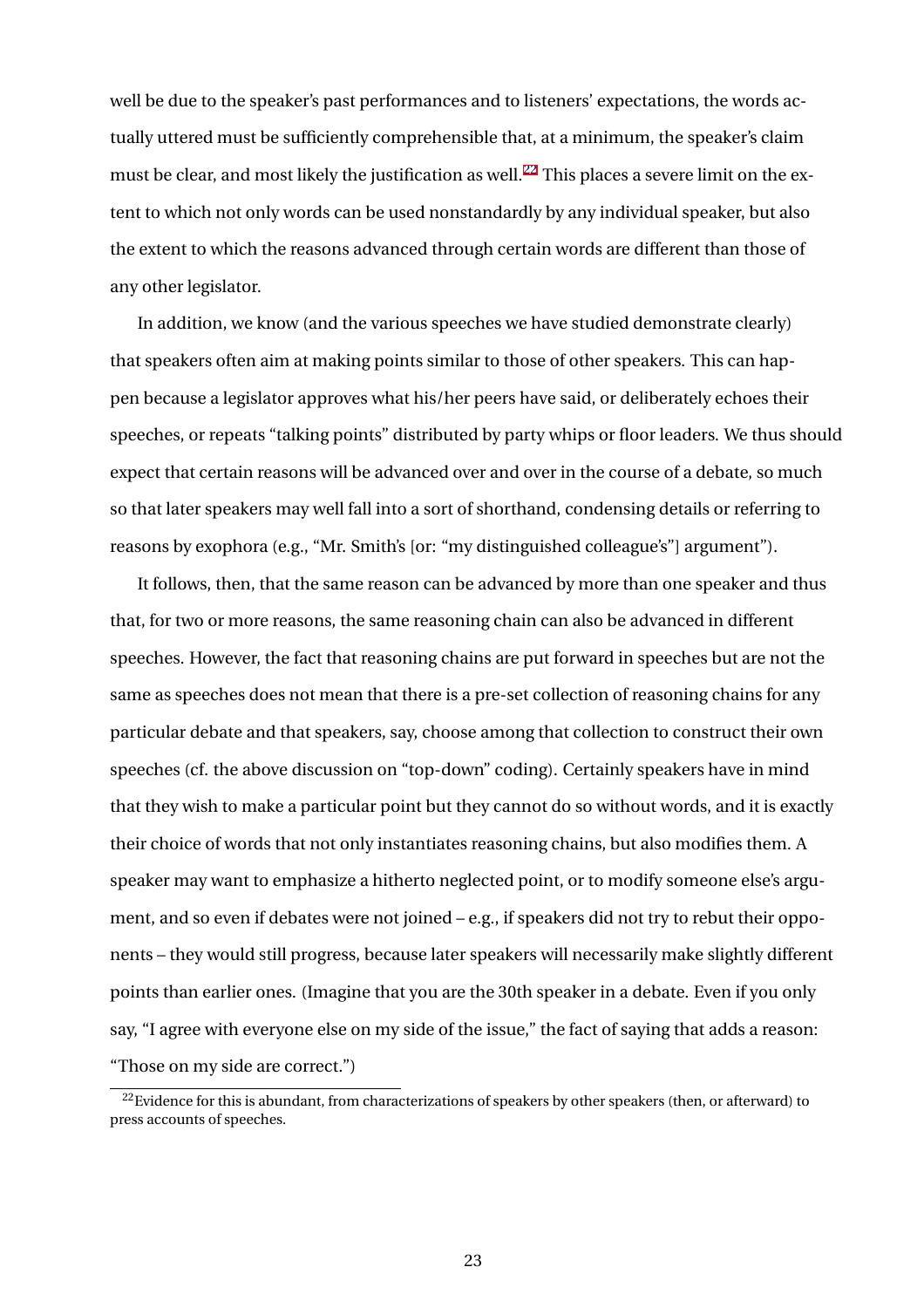well be due to the speaker's past performances and to listeners' expectations, the words actually uttered must be sufficiently comprehensible that, at a minimum, the speaker's claim must be clear, and most likely the justification as well.<sup>22</sup> This places a severe limit on the extent to which not only words can be used nonstandardly by any individual speaker, but also the extent to which the reasons advanced through certain words are different than those of any other legislator.

In addition, we know (and the various speeches we have studied demonstrate clearly) that speakers often aim at making points similar to those of other speakers. This can happen because a legislator approves what his/her peers have said, or deliberately echoes their speeches, or repeats "talking points" distributed by party whips or floor leaders. We thus should expect that certain reasons will be advanced over and over in the course of a debate, so much so that later speakers may well fall into a sort of shorthand, condensing details or referring to reasons by exophora (e.g., "Mr. Smith's [or: "my distinguished colleague's"] argument").

It follows, then, that the same reason can be advanced by more than one speaker and thus that, for two or more reasons, the same reasoning chain can also be advanced in different speeches. However, the fact that reasoning chains are put forward in speeches but are not the same as speeches does not mean that there is a pre-set collection of reasoning chains for any particular debate and that speakers, say, choose among that collection to construct their own speeches (cf. the above discussion on "top-down" coding). Certainly speakers have in mind that they wish to make a particular point but they cannot do so without words, and it is exactly their choice of words that not only instantiates reasoning chains, but also modifies them. A speaker may want to emphasize a hitherto neglected point, or to modify someone else's argument, and so even if debates were not joined – e.g., if speakers did not try to rebut their opponents – they would still progress, because later speakers will necessarily make slightly different points than earlier ones. (Imagine that you are the 30th speaker in a debate. Even if you only say, "I agree with everyone else on my side of the issue," the fact of saying that adds a reason: "Those on my side are correct.")

<sup>&</sup>lt;sup>22</sup> Evidence for this is abundant, from characterizations of speakers by other speakers (then, or afterward) to press accounts of speeches.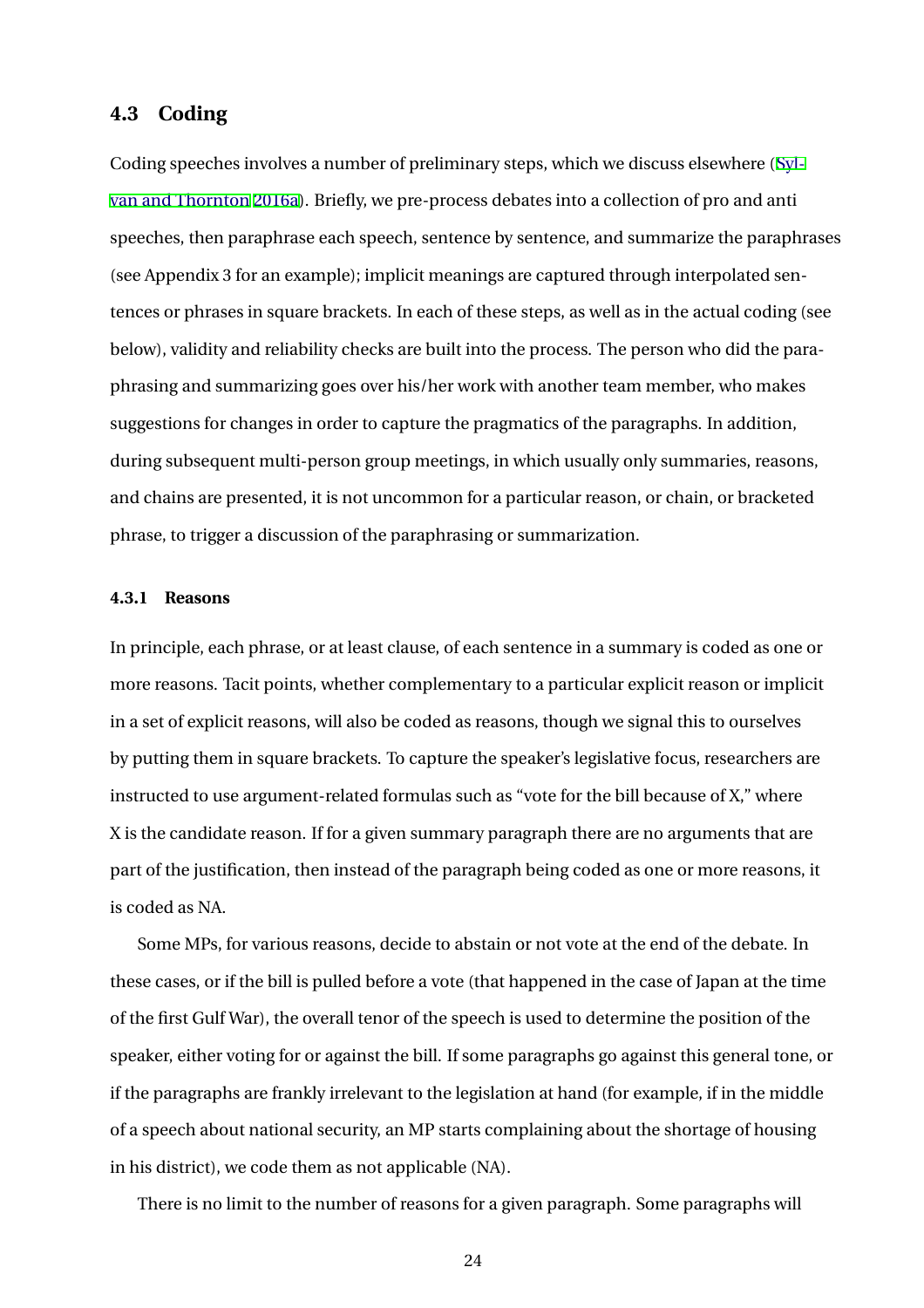### **4.3 Coding**

Coding speeches involves a number of preliminary steps, which we discuss elsewhere (Sylvan and Thornton 2016a). Briefly, we pre-process debates into a collection of pro and anti speeches, then paraphrase each speech, sentence by sentence, and summarize the par[aphr](#page-40-0)ases [\(see Appendix 3 for an ex](#page-40-0)ample); implicit meanings are captured through interpolated sentences or phrases in square brackets. In each of these steps, as well as in the actual coding (see below), validity and reliability checks are built into the process. The person who did the paraphrasing and summarizing goes over his/her work with another team member, who makes suggestions for changes in order to capture the pragmatics of the paragraphs. In addition, during subsequent multi-person group meetings, in which usually only summaries, reasons, and chains are presented, it is not uncommon for a particular reason, or chain, or bracketed phrase, to trigger a discussion of the paraphrasing or summarization.

#### **4.3.1 Reasons**

In principle, each phrase, or at least clause, of each sentence in a summary is coded as one or more reasons. Tacit points, whether complementary to a particular explicit reason or implicit in a set of explicit reasons, will also be coded as reasons, though we signal this to ourselves by putting them in square brackets. To capture the speaker's legislative focus, researchers are instructed to use argument-related formulas such as "vote for the bill because of X," where X is the candidate reason. If for a given summary paragraph there are no arguments that are part of the justification, then instead of the paragraph being coded as one or more reasons, it is coded as NA.

Some MPs, for various reasons, decide to abstain or not vote at the end of the debate. In these cases, or if the bill is pulled before a vote (that happened in the case of Japan at the time of the first Gulf War), the overall tenor of the speech is used to determine the position of the speaker, either voting for or against the bill. If some paragraphs go against this general tone, or if the paragraphs are frankly irrelevant to the legislation at hand (for example, if in the middle of a speech about national security, an MP starts complaining about the shortage of housing in his district), we code them as not applicable (NA).

There is no limit to the number of reasons for a given paragraph. Some paragraphs will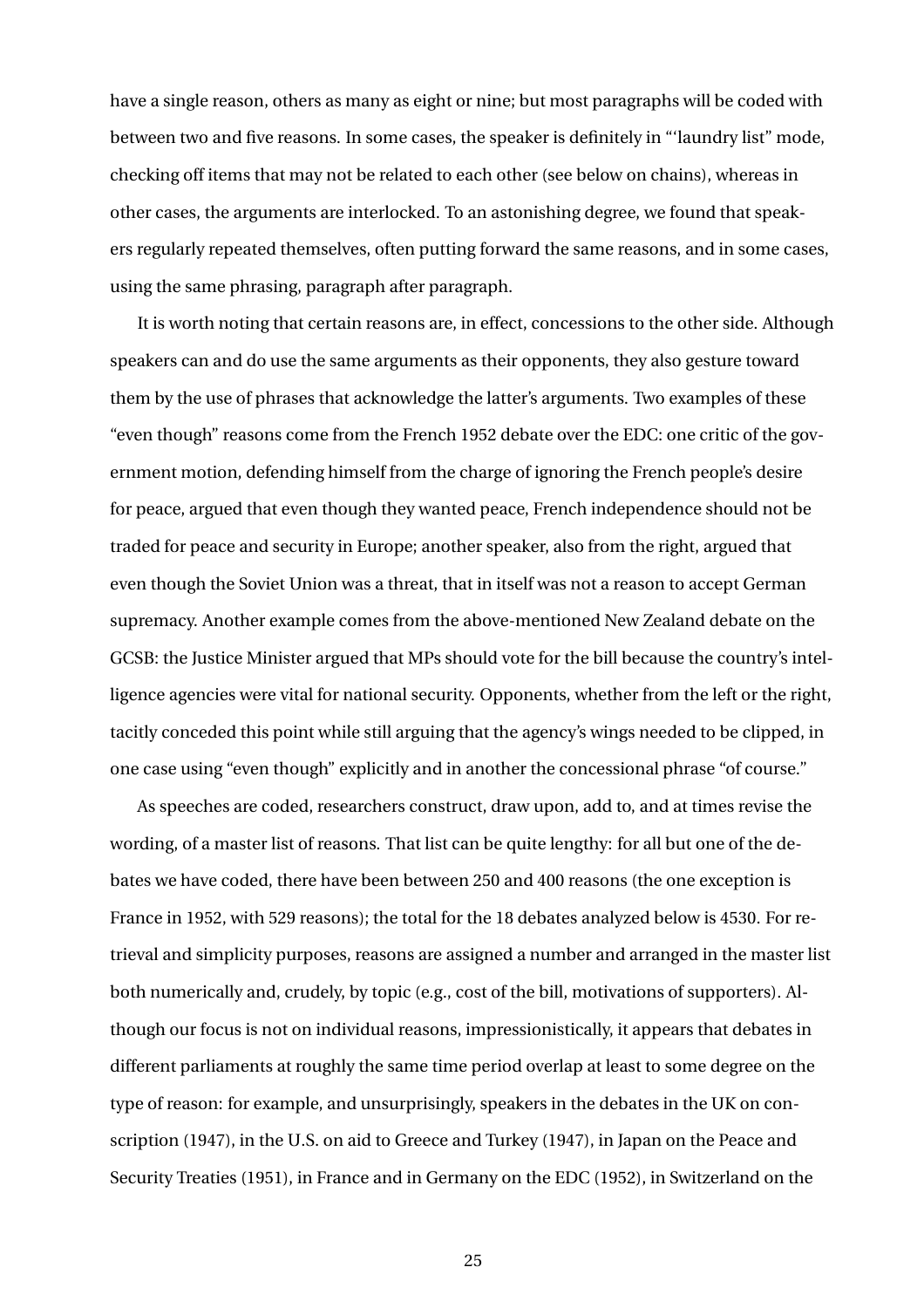have a single reason, others as many as eight or nine; but most paragraphs will be coded with between two and five reasons. In some cases, the speaker is definitely in "'laundry list" mode, checking off items that may not be related to each other (see below on chains), whereas in other cases, the arguments are interlocked. To an astonishing degree, we found that speakers regularly repeated themselves, often putting forward the same reasons, and in some cases, using the same phrasing, paragraph after paragraph.

It is worth noting that certain reasons are, in effect, concessions to the other side. Although speakers can and do use the same arguments as their opponents, they also gesture toward them by the use of phrases that acknowledge the latter's arguments. Two examples of these "even though" reasons come from the French 1952 debate over the EDC: one critic of the government motion, defending himself from the charge of ignoring the French people's desire for peace, argued that even though they wanted peace, French independence should not be traded for peace and security in Europe; another speaker, also from the right, argued that even though the Soviet Union was a threat, that in itself was not a reason to accept German supremacy. Another example comes from the above-mentioned New Zealand debate on the GCSB: the Justice Minister argued that MPs should vote for the bill because the country's intelligence agencies were vital for national security. Opponents, whether from the left or the right, tacitly conceded this point while still arguing that the agency's wings needed to be clipped, in one case using "even though" explicitly and in another the concessional phrase "of course."

As speeches are coded, researchers construct, draw upon, add to, and at times revise the wording, of a master list of reasons. That list can be quite lengthy: for all but one of the debates we have coded, there have been between 250 and 400 reasons (the one exception is France in 1952, with 529 reasons); the total for the 18 debates analyzed below is 4530. For retrieval and simplicity purposes, reasons are assigned a number and arranged in the master list both numerically and, crudely, by topic (e.g., cost of the bill, motivations of supporters). Although our focus is not on individual reasons, impressionistically, it appears that debates in different parliaments at roughly the same time period overlap at least to some degree on the type of reason: for example, and unsurprisingly, speakers in the debates in the UK on conscription (1947), in the U.S. on aid to Greece and Turkey (1947), in Japan on the Peace and Security Treaties (1951), in France and in Germany on the EDC (1952), in Switzerland on the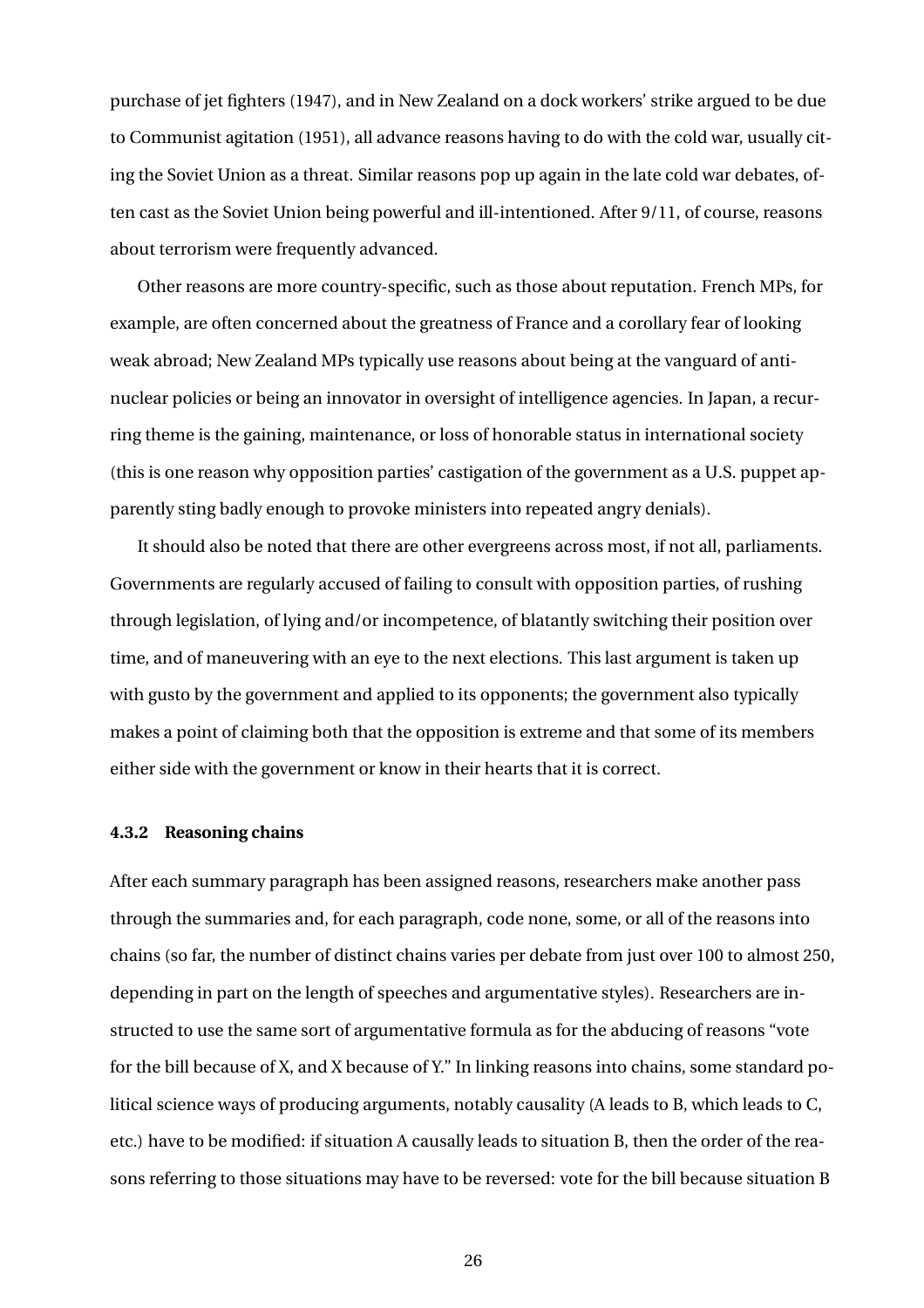purchase of jet fighters (1947), and in New Zealand on a dock workers' strike argued to be due to Communist agitation (1951), all advance reasons having to do with the cold war, usually citing the Soviet Union as a threat. Similar reasons pop up again in the late cold war debates, often cast as the Soviet Union being powerful and ill-intentioned. After 9/11, of course, reasons about terrorism were frequently advanced.

Other reasons are more country-specific, such as those about reputation. French MPs, for example, are often concerned about the greatness of France and a corollary fear of looking weak abroad; New Zealand MPs typically use reasons about being at the vanguard of antinuclear policies or being an innovator in oversight of intelligence agencies. In Japan, a recurring theme is the gaining, maintenance, or loss of honorable status in international society (this is one reason why opposition parties' castigation of the government as a U.S. puppet apparently sting badly enough to provoke ministers into repeated angry denials).

It should also be noted that there are other evergreens across most, if not all, parliaments. Governments are regularly accused of failing to consult with opposition parties, of rushing through legislation, of lying and/or incompetence, of blatantly switching their position over time, and of maneuvering with an eye to the next elections. This last argument is taken up with gusto by the government and applied to its opponents; the government also typically makes a point of claiming both that the opposition is extreme and that some of its members either side with the government or know in their hearts that it is correct.

#### **4.3.2 Reasoning chains**

After each summary paragraph has been assigned reasons, researchers make another pass through the summaries and, for each paragraph, code none, some, or all of the reasons into chains (so far, the number of distinct chains varies per debate from just over 100 to almost 250, depending in part on the length of speeches and argumentative styles). Researchers are instructed to use the same sort of argumentative formula as for the abducing of reasons "vote for the bill because of X, and X because of Y." In linking reasons into chains, some standard political science ways of producing arguments, notably causality (A leads to B, which leads to C, etc.) have to be modified: if situation A causally leads to situation B, then the order of the reasons referring to those situations may have to be reversed: vote for the bill because situation B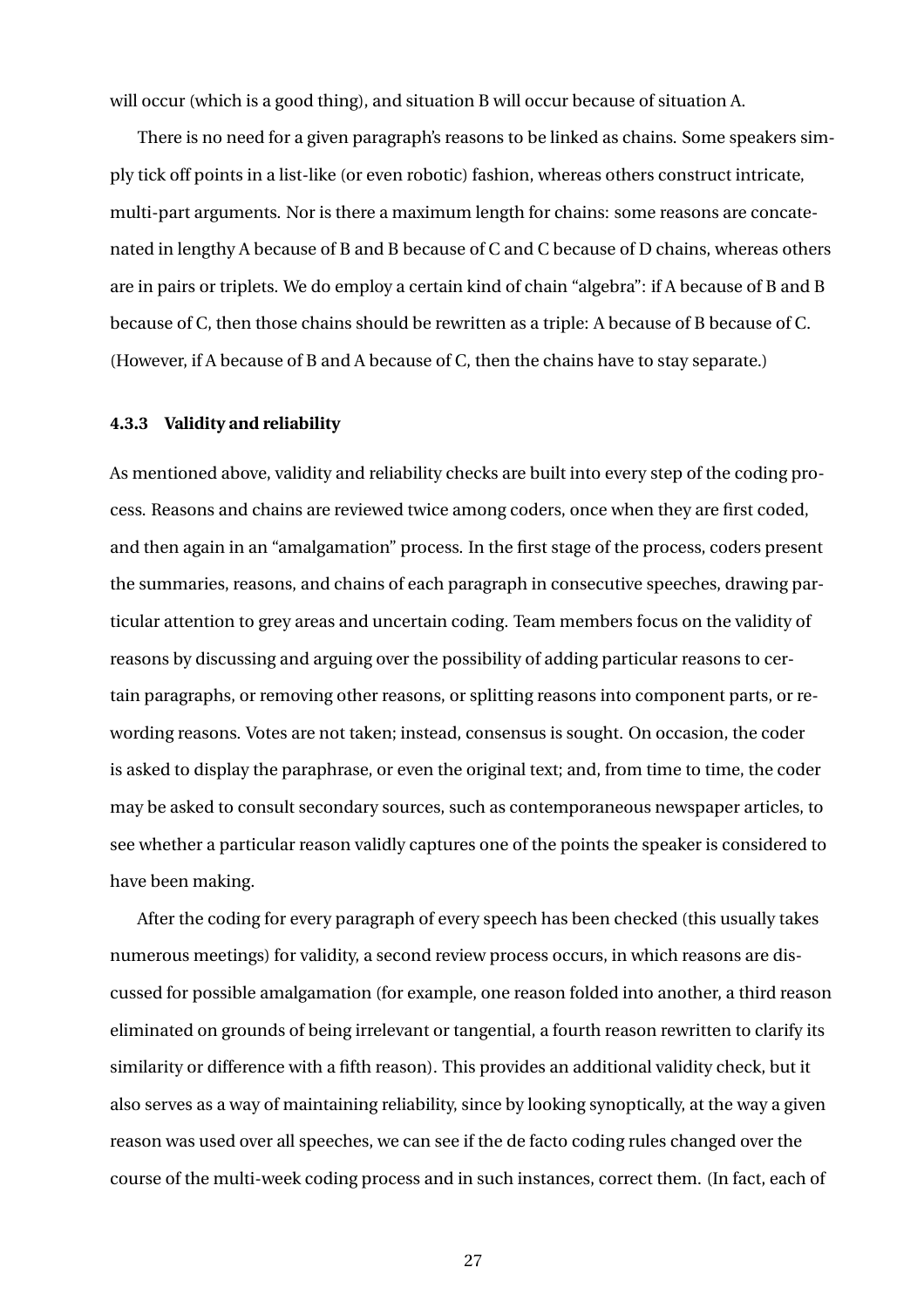will occur (which is a good thing), and situation B will occur because of situation A.

There is no need for a given paragraph's reasons to be linked as chains. Some speakers simply tick off points in a list-like (or even robotic) fashion, whereas others construct intricate, multi-part arguments. Nor is there a maximum length for chains: some reasons are concatenated in lengthy A because of B and B because of C and C because of D chains, whereas others are in pairs or triplets. We do employ a certain kind of chain "algebra": if A because of B and B because of C, then those chains should be rewritten as a triple: A because of B because of C. (However, if A because of B and A because of C, then the chains have to stay separate.)

#### **4.3.3 Validity and reliability**

As mentioned above, validity and reliability checks are built into every step of the coding process. Reasons and chains are reviewed twice among coders, once when they are first coded, and then again in an "amalgamation" process. In the first stage of the process, coders present the summaries, reasons, and chains of each paragraph in consecutive speeches, drawing particular attention to grey areas and uncertain coding. Team members focus on the validity of reasons by discussing and arguing over the possibility of adding particular reasons to certain paragraphs, or removing other reasons, or splitting reasons into component parts, or rewording reasons. Votes are not taken; instead, consensus is sought. On occasion, the coder is asked to display the paraphrase, or even the original text; and, from time to time, the coder may be asked to consult secondary sources, such as contemporaneous newspaper articles, to see whether a particular reason validly captures one of the points the speaker is considered to have been making.

After the coding for every paragraph of every speech has been checked (this usually takes numerous meetings) for validity, a second review process occurs, in which reasons are discussed for possible amalgamation (for example, one reason folded into another, a third reason eliminated on grounds of being irrelevant or tangential, a fourth reason rewritten to clarify its similarity or difference with a fifth reason). This provides an additional validity check, but it also serves as a way of maintaining reliability, since by looking synoptically, at the way a given reason was used over all speeches, we can see if the de facto coding rules changed over the course of the multi-week coding process and in such instances, correct them. (In fact, each of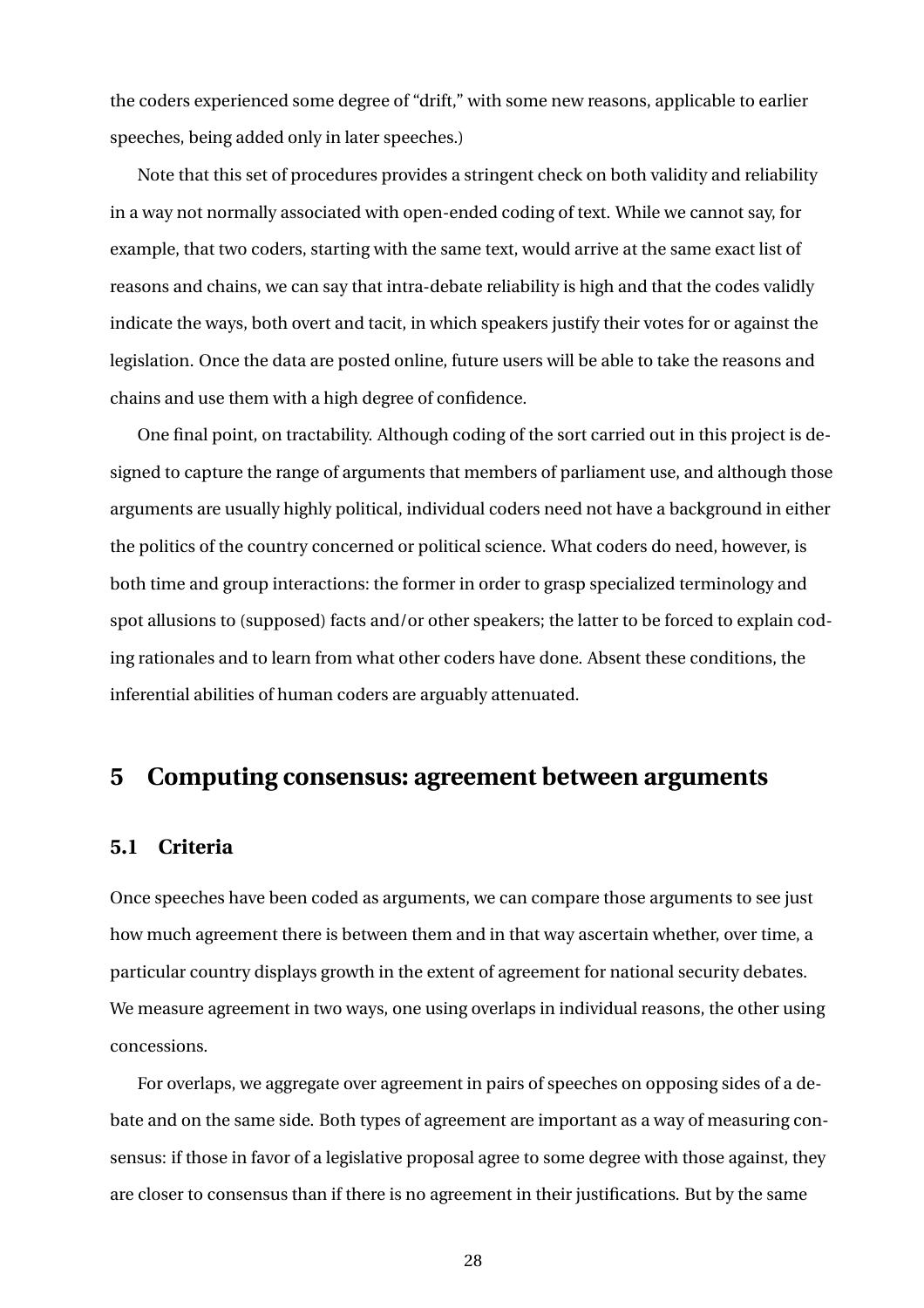the coders experienced some degree of "drift," with some new reasons, applicable to earlier speeches, being added only in later speeches.)

Note that this set of procedures provides a stringent check on both validity and reliability in a way not normally associated with open-ended coding of text. While we cannot say, for example, that two coders, starting with the same text, would arrive at the same exact list of reasons and chains, we can say that intra-debate reliability is high and that the codes validly indicate the ways, both overt and tacit, in which speakers justify their votes for or against the legislation. Once the data are posted online, future users will be able to take the reasons and chains and use them with a high degree of confidence.

One final point, on tractability. Although coding of the sort carried out in this project is designed to capture the range of arguments that members of parliament use, and although those arguments are usually highly political, individual coders need not have a background in either the politics of the country concerned or political science. What coders do need, however, is both time and group interactions: the former in order to grasp specialized terminology and spot allusions to (supposed) facts and/or other speakers; the latter to be forced to explain coding rationales and to learn from what other coders have done. Absent these conditions, the inferential abilities of human coders are arguably attenuated.

## **5 Computing consensus: agreement between arguments**

### **5.1 Criteria**

Once speeches have been coded as arguments, we can compare those arguments to see just how much agreement there is between them and in that way ascertain whether, over time, a particular country displays growth in the extent of agreement for national security debates. We measure agreement in two ways, one using overlaps in individual reasons, the other using concessions.

For overlaps, we aggregate over agreement in pairs of speeches on opposing sides of a debate and on the same side. Both types of agreement are important as a way of measuring consensus: if those in favor of a legislative proposal agree to some degree with those against, they are closer to consensus than if there is no agreement in their justifications. But by the same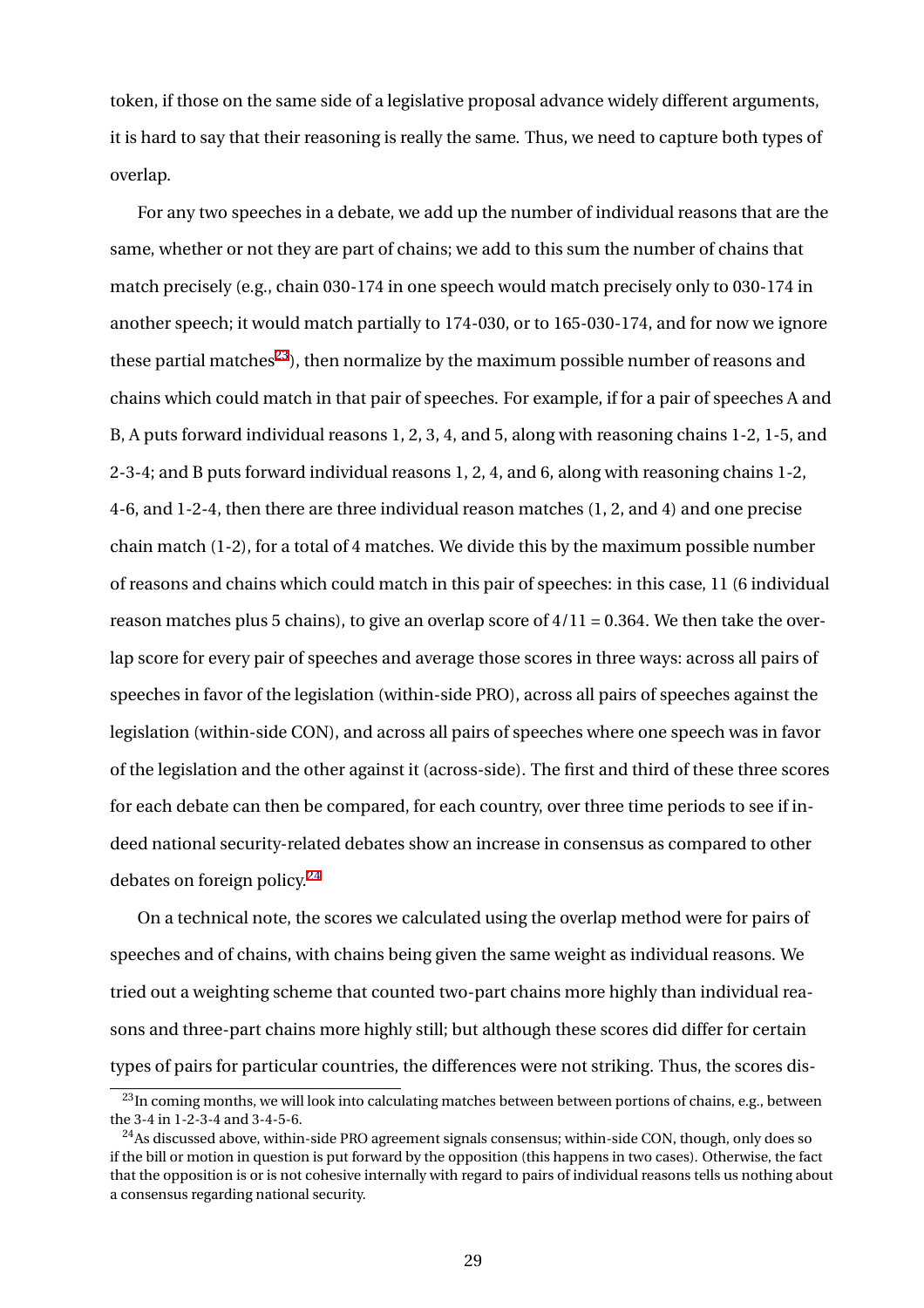token, if those on the same side of a legislative proposal advance widely different arguments, it is hard to say that their reasoning is really the same. Thus, we need to capture both types of overlap.

For any two speeches in a debate, we add up the number of individual reasons that are the same, whether or not they are part of chains; we add to this sum the number of chains that match precisely (e.g., chain 030-174 in one speech would match precisely only to 030-174 in another speech; it would match partially to 174-030, or to 165-030-174, and for now we ignore these partial matches<sup>23</sup>), then normalize by the maximum possible number of reasons and chains which could match in that pair of speeches. For example, if for a pair of speeches A and B, A puts forward individual reasons 1, 2, 3, 4, and 5, along with reasoning chains 1-2, 1-5, and 2-3-4; and B puts forward individual reasons 1, 2, 4, and 6, along with reasoning chains 1-2, 4-6, and 1-2-4, then there are three individual reason matches (1, 2, and 4) and one precise chain match (1-2), for a total of 4 matches. We divide this by the maximum possible number of reasons and chains which could match in this pair of speeches: in this case, 11 (6 individual reason matches plus 5 chains), to give an overlap score of 4/11 = 0.364. We then take the overlap score for every pair of speeches and average those scores in three ways: across all pairs of speeches in favor of the legislation (within-side PRO), across all pairs of speeches against the legislation (within-side CON), and across all pairs of speeches where one speech was in favor of the legislation and the other against it (across-side). The first and third of these three scores for each debate can then be compared, for each country, over three time periods to see if indeed national security-related debates show an increase in consensus as compared to other debates on foreign policy. $^{24}$ 

On a technical note, the scores we calculated using the overlap method were for pairs of speeches and of chains, with chains being given the same weight as individual reasons. We tried out a weighting scheme that counted two-part chains more highly than individual reasons and three-part chains more highly still; but although these scores did differ for certain types of pairs for particular countries, the differences were not striking. Thus, the scores dis-

<sup>&</sup>lt;sup>23</sup>In coming months, we will look into calculating matches between between portions of chains, e.g., between the 3-4 in 1-2-3-4 and 3-4-5-6.

<sup>&</sup>lt;sup>24</sup>As discussed above, within-side PRO agreement signals consensus; within-side CON, though, only does so if the bill or motion in question is put forward by the opposition (this happens in two cases). Otherwise, the fact that the opposition is or is not cohesive internally with regard to pairs of individual reasons tells us nothing about a consensus regarding national security.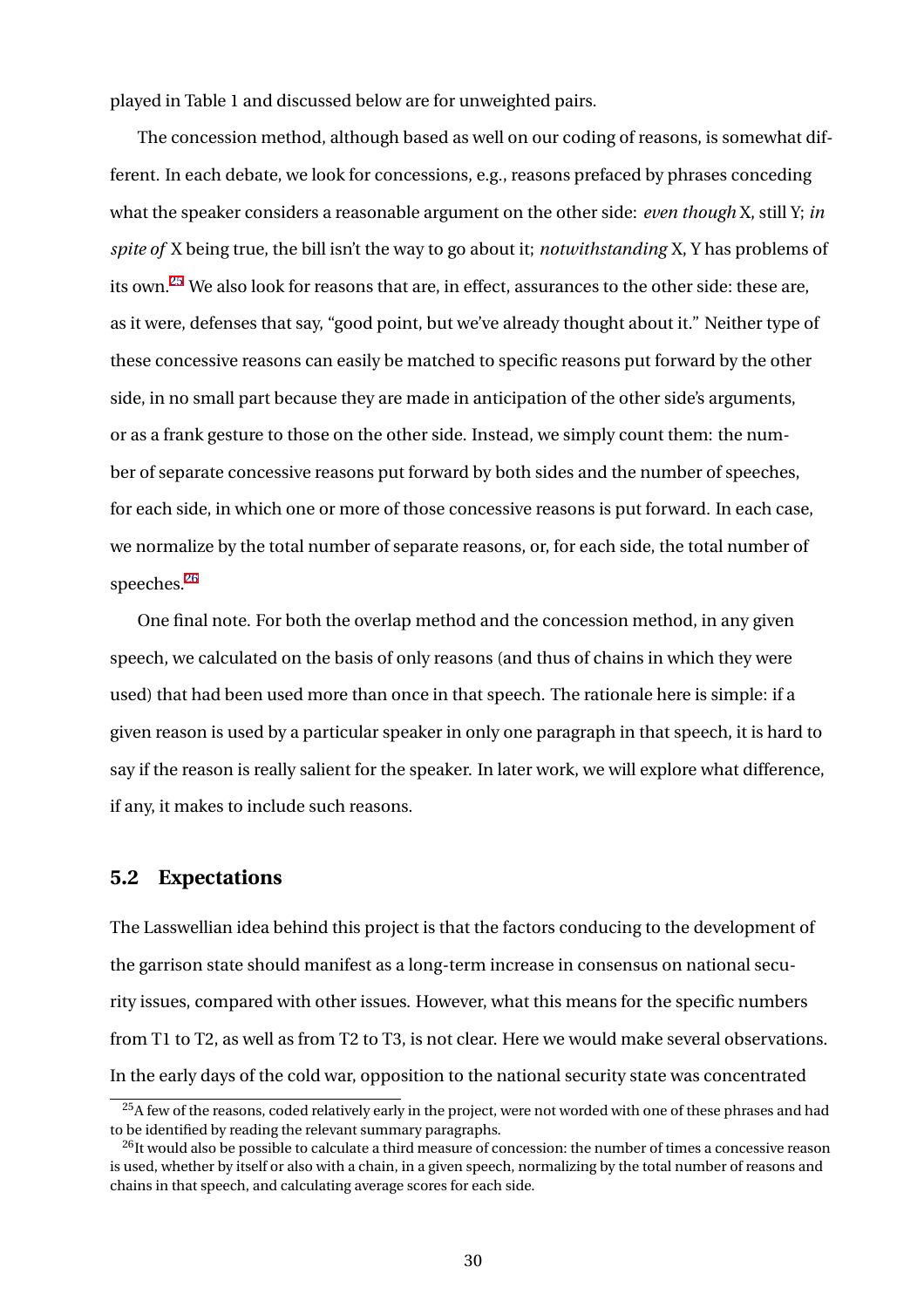played in Table 1 and discussed below are for unweighted pairs.

The concession method, although based as well on our coding of reasons, is somewhat different. In each debate, we look for concessions, e.g., reasons prefaced by phrases conceding what the speaker considers a reasonable argument on the other side: *even though* X, still Y; *in spite of* X being true, the bill isn't the way to go about it; *notwithstanding* X, Y has problems of its own.<sup>25</sup> We also look for reasons that are, in effect, assurances to the other side: these are, as it were, defenses that say, "good point, but we've already thought about it." Neither type of these concessive reasons can easily be matched to specific reasons put forward by the other side, in no small part because they are made in anticipation of the other side's arguments, or as a frank gesture to those on the other side. Instead, we simply count them: the number of separate concessive reasons put forward by both sides and the number of speeches, for each side, in which one or more of those concessive reasons is put forward. In each case, we normalize by the total number of separate reasons, or, for each side, the total number of speeches.<sup>26</sup>

One final note. For both the overlap method and the concession method, in any given speech, we calculated on the basis of only reasons (and thus of chains in which they were used) that had been used more than once in that speech. The rationale here is simple: if a given reason is used by a particular speaker in only one paragraph in that speech, it is hard to say if the reason is really salient for the speaker. In later work, we will explore what difference, if any, it makes to include such reasons.

### **5.2 Expectations**

The Lasswellian idea behind this project is that the factors conducing to the development of the garrison state should manifest as a long-term increase in consensus on national security issues, compared with other issues. However, what this means for the specific numbers from T1 to T2, as well as from T2 to T3, is not clear. Here we would make several observations. In the early days of the cold war, opposition to the national security state was concentrated

<sup>&</sup>lt;sup>25</sup>A few of the reasons, coded relatively early in the project, were not worded with one of these phrases and had to be identified by reading the relevant summary paragraphs.

 $^{26}$ It would also be possible to calculate a third measure of concession: the number of times a concessive reason is used, whether by itself or also with a chain, in a given speech, normalizing by the total number of reasons and chains in that speech, and calculating average scores for each side.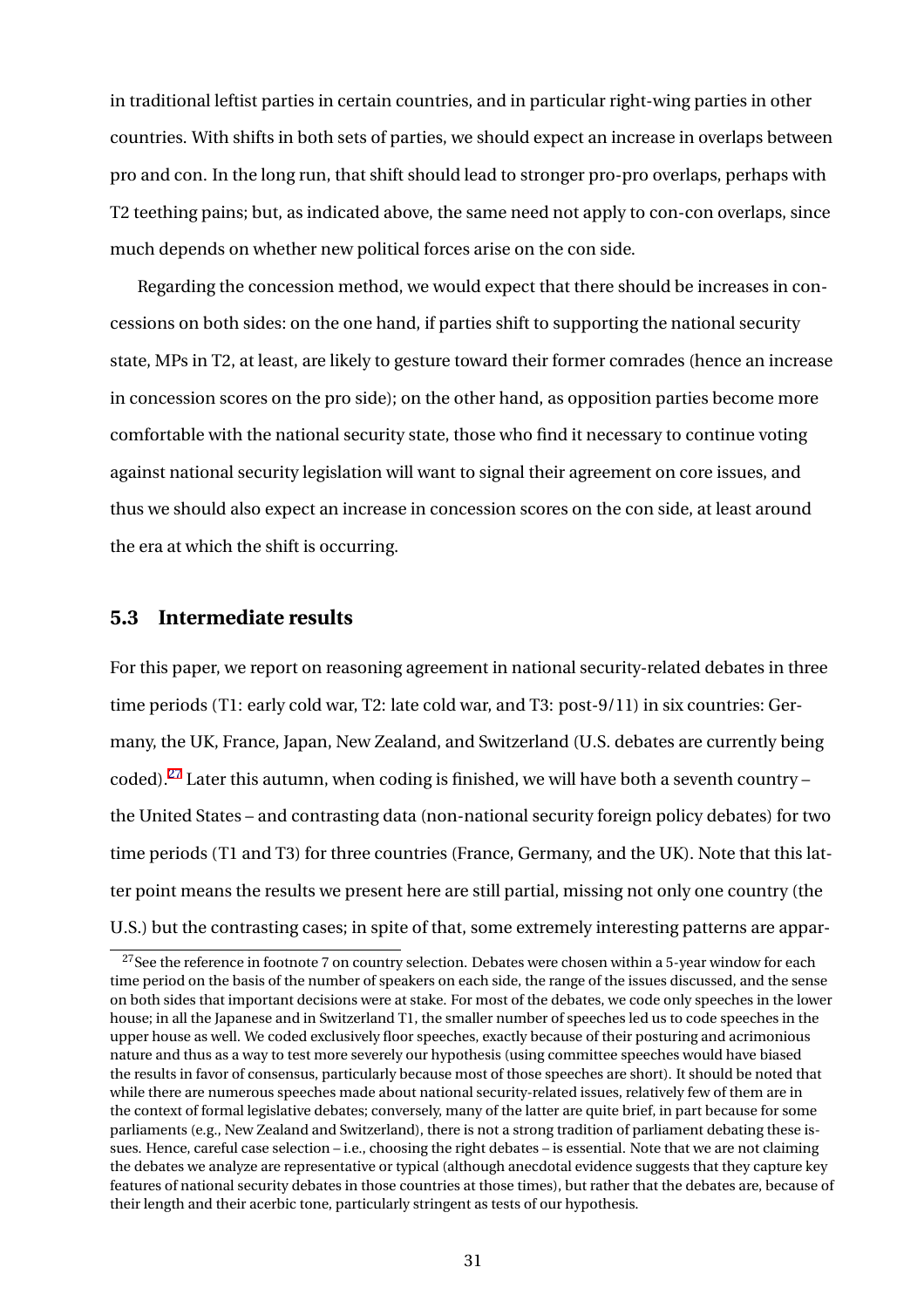in traditional leftist parties in certain countries, and in particular right-wing parties in other countries. With shifts in both sets of parties, we should expect an increase in overlaps between pro and con. In the long run, that shift should lead to stronger pro-pro overlaps, perhaps with T2 teething pains; but, as indicated above, the same need not apply to con-con overlaps, since much depends on whether new political forces arise on the con side.

Regarding the concession method, we would expect that there should be increases in concessions on both sides: on the one hand, if parties shift to supporting the national security state, MPs in T2, at least, are likely to gesture toward their former comrades (hence an increase in concession scores on the pro side); on the other hand, as opposition parties become more comfortable with the national security state, those who find it necessary to continue voting against national security legislation will want to signal their agreement on core issues, and thus we should also expect an increase in concession scores on the con side, at least around the era at which the shift is occurring.

### **5.3 Intermediate results**

For this paper, we report on reasoning agreement in national security-related debates in three time periods (T1: early cold war, T2: late cold war, and T3: post-9/11) in six countries: Germany, the UK, France, Japan, New Zealand, and Switzerland (U.S. debates are currently being coded).<sup>27</sup> Later this autumn, when coding is finished, we will have both a seventh country – the United States – and contrasting data (non-national security foreign policy debates) for two time periods (T1 and T3) for three countries (France, Germany, and the UK). Note that this latter point means the results we present here are still partial, missing not only one country (the U.S.) but the contrasting cases; in spite of that, some extremely interesting patterns are appar-

<sup>&</sup>lt;sup>27</sup>See the reference in footnote 7 on country selection. Debates were chosen within a 5-year window for each time period on the basis of the number of speakers on each side, the range of the issues discussed, and the sense on both sides that important decisions were at stake. For most of the debates, we code only speeches in the lower house; in all the Japanese and in Switzerland T1, the smaller number of speeches led us to code speeches in the upper house as well. We coded exclusively floor speeches, exactly because of their posturing and acrimonious nature and thus as a way to test more severely our hypothesis (using committee speeches would have biased the results in favor of consensus, particularly because most of those speeches are short). It should be noted that while there are numerous speeches made about national security-related issues, relatively few of them are in the context of formal legislative debates; conversely, many of the latter are quite brief, in part because for some parliaments (e.g., New Zealand and Switzerland), there is not a strong tradition of parliament debating these issues. Hence, careful case selection – i.e., choosing the right debates – is essential. Note that we are not claiming the debates we analyze are representative or typical (although anecdotal evidence suggests that they capture key features of national security debates in those countries at those times), but rather that the debates are, because of their length and their acerbic tone, particularly stringent as tests of our hypothesis.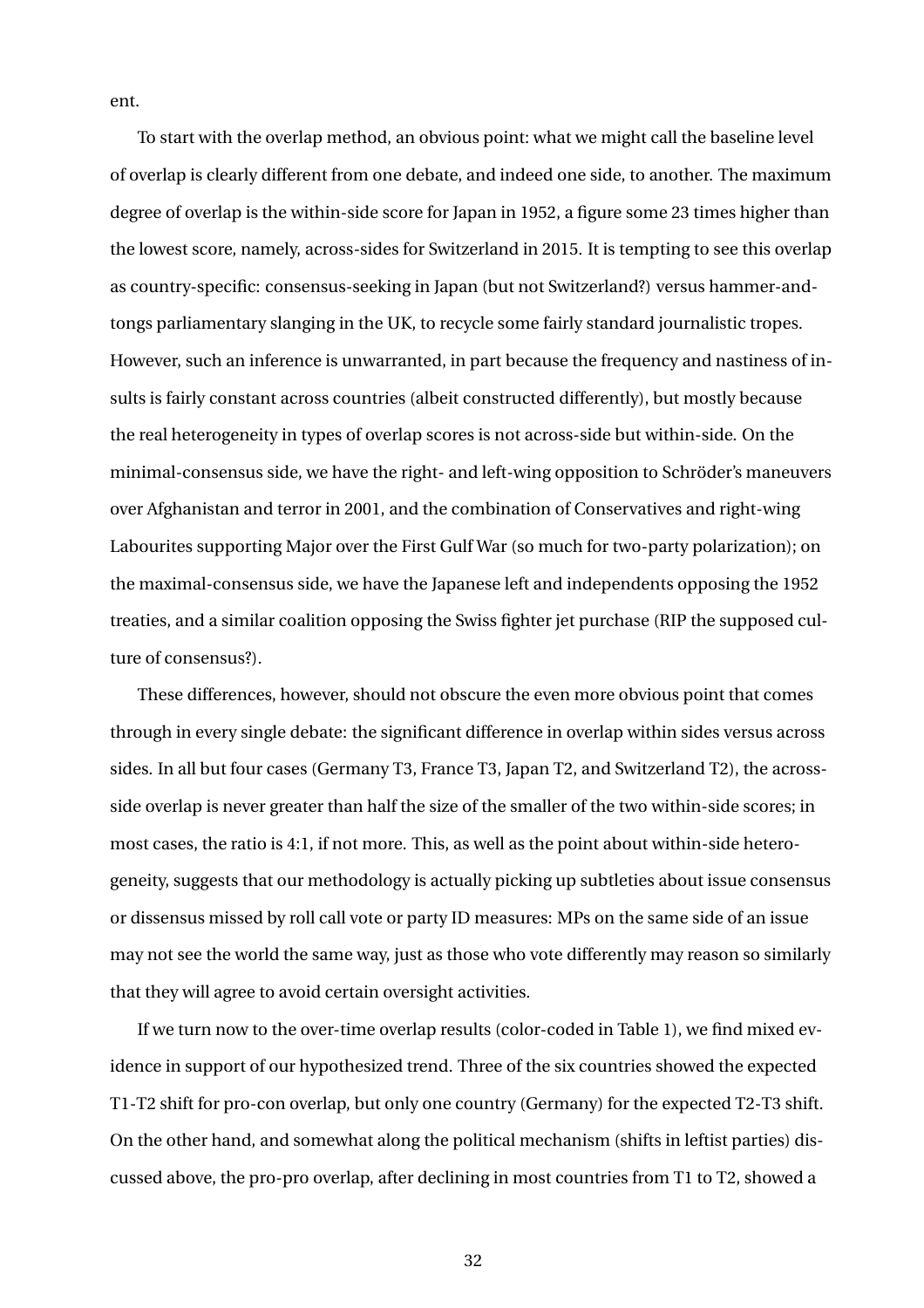ent.

To start with the overlap method, an obvious point: what we might call the baseline level of overlap is clearly different from one debate, and indeed one side, to another. The maximum degree of overlap is the within-side score for Japan in 1952, a figure some 23 times higher than the lowest score, namely, across-sides for Switzerland in 2015. It is tempting to see this overlap as country-specific: consensus-seeking in Japan (but not Switzerland?) versus hammer-andtongs parliamentary slanging in the UK, to recycle some fairly standard journalistic tropes. However, such an inference is unwarranted, in part because the frequency and nastiness of insults is fairly constant across countries (albeit constructed differently), but mostly because the real heterogeneity in types of overlap scores is not across-side but within-side. On the minimal-consensus side, we have the right- and left-wing opposition to Schröder's maneuvers over Afghanistan and terror in 2001, and the combination of Conservatives and right-wing Labourites supporting Major over the First Gulf War (so much for two-party polarization); on the maximal-consensus side, we have the Japanese left and independents opposing the 1952 treaties, and a similar coalition opposing the Swiss fighter jet purchase (RIP the supposed culture of consensus?).

These differences, however, should not obscure the even more obvious point that comes through in every single debate: the significant difference in overlap within sides versus across sides. In all but four cases (Germany T3, France T3, Japan T2, and Switzerland T2), the acrossside overlap is never greater than half the size of the smaller of the two within-side scores; in most cases, the ratio is 4:1, if not more. This, as well as the point about within-side heterogeneity, suggests that our methodology is actually picking up subtleties about issue consensus or dissensus missed by roll call vote or party ID measures: MPs on the same side of an issue may not see the world the same way, just as those who vote differently may reason so similarly that they will agree to avoid certain oversight activities.

If we turn now to the over-time overlap results (color-coded in Table 1), we find mixed evidence in support of our hypothesized trend. Three of the six countries showed the expected T1-T2 shift for pro-con overlap, but only one country (Germany) for the expected T2-T3 shift. On the other hand, and somewhat along the political mechanism (shifts in leftist parties) discussed above, the pro-pro overlap, after declining in most countries from T1 to T2, showed a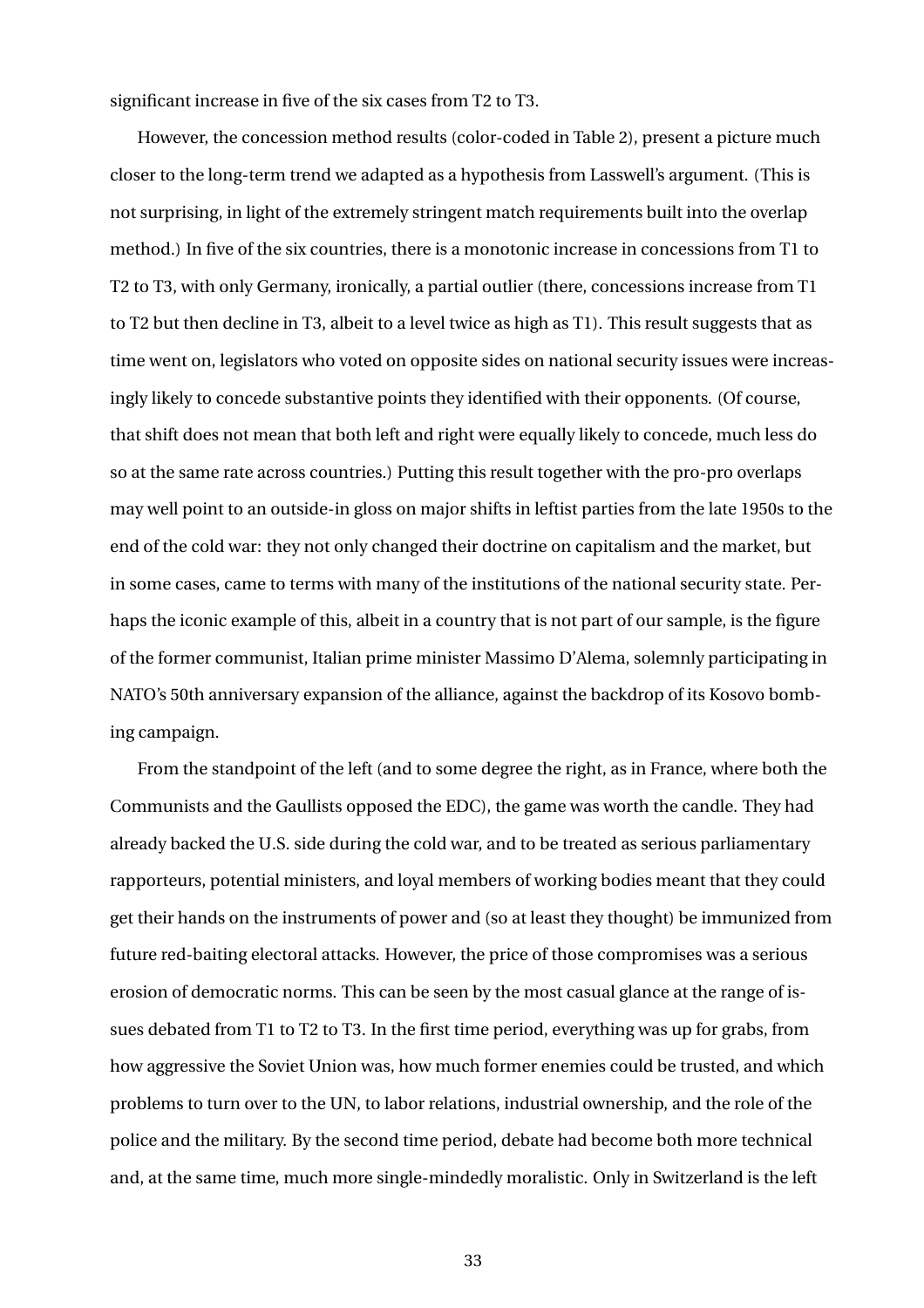significant increase in five of the six cases from T2 to T3.

However, the concession method results (color-coded in Table 2), present a picture much closer to the long-term trend we adapted as a hypothesis from Lasswell's argument. (This is not surprising, in light of the extremely stringent match requirements built into the overlap method.) In five of the six countries, there is a monotonic increase in concessions from T1 to T2 to T3, with only Germany, ironically, a partial outlier (there, concessions increase from T1 to T2 but then decline in T3, albeit to a level twice as high as T1). This result suggests that as time went on, legislators who voted on opposite sides on national security issues were increasingly likely to concede substantive points they identified with their opponents. (Of course, that shift does not mean that both left and right were equally likely to concede, much less do so at the same rate across countries.) Putting this result together with the pro-pro overlaps may well point to an outside-in gloss on major shifts in leftist parties from the late 1950s to the end of the cold war: they not only changed their doctrine on capitalism and the market, but in some cases, came to terms with many of the institutions of the national security state. Perhaps the iconic example of this, albeit in a country that is not part of our sample, is the figure of the former communist, Italian prime minister Massimo D'Alema, solemnly participating in NATO's 50th anniversary expansion of the alliance, against the backdrop of its Kosovo bombing campaign.

From the standpoint of the left (and to some degree the right, as in France, where both the Communists and the Gaullists opposed the EDC), the game was worth the candle. They had already backed the U.S. side during the cold war, and to be treated as serious parliamentary rapporteurs, potential ministers, and loyal members of working bodies meant that they could get their hands on the instruments of power and (so at least they thought) be immunized from future red-baiting electoral attacks. However, the price of those compromises was a serious erosion of democratic norms. This can be seen by the most casual glance at the range of issues debated from T1 to T2 to T3. In the first time period, everything was up for grabs, from how aggressive the Soviet Union was, how much former enemies could be trusted, and which problems to turn over to the UN, to labor relations, industrial ownership, and the role of the police and the military. By the second time period, debate had become both more technical and, at the same time, much more single-mindedly moralistic. Only in Switzerland is the left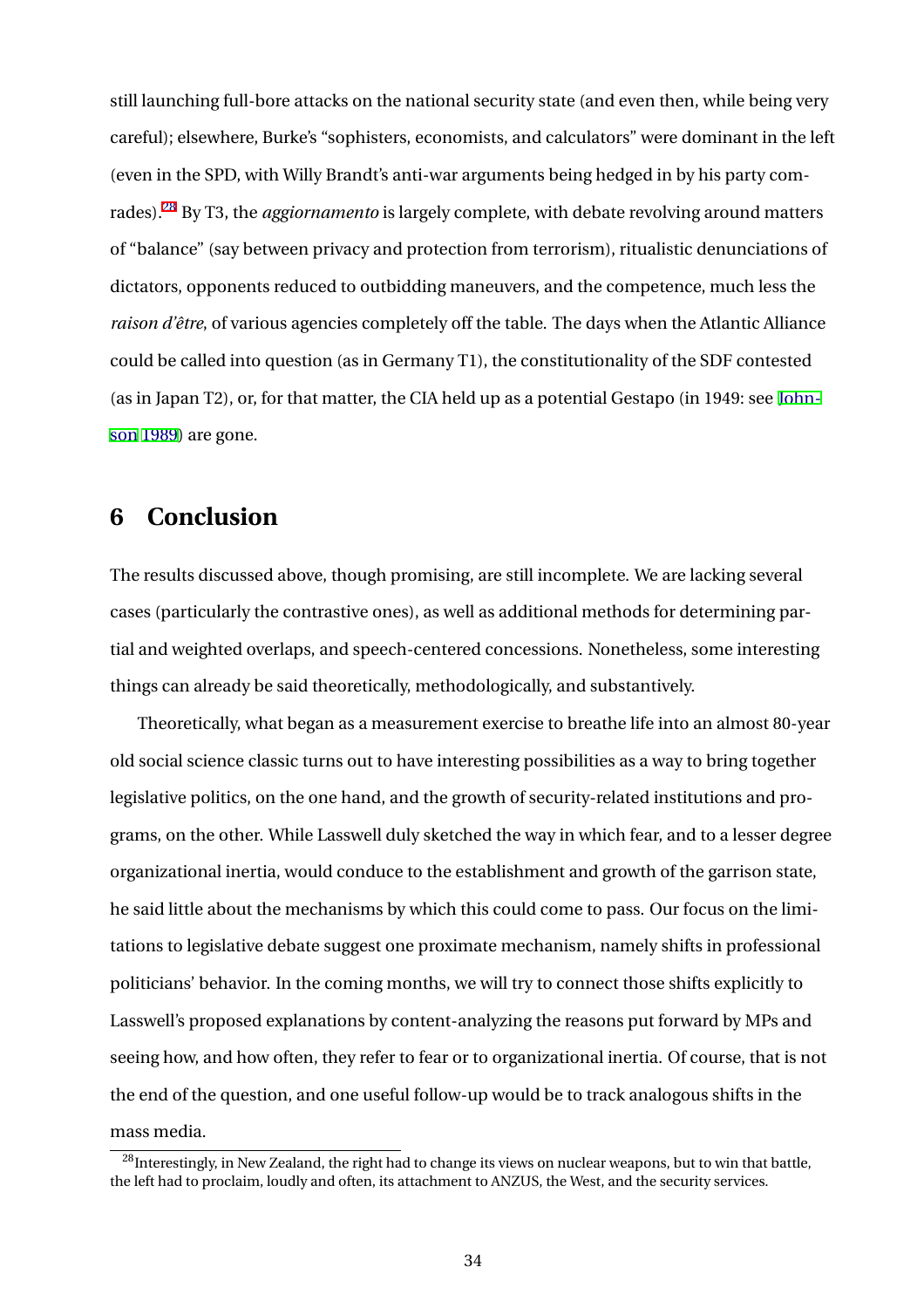still launching full-bore attacks on the national security state (and even then, while being very careful); elsewhere, Burke's "sophisters, economists, and calculators" were dominant in the left (even in the SPD, with Willy Brandt's anti-war arguments being hedged in by his party comrades).<sup>28</sup> By T3, the *aggiornamento* is largely complete, with debate revolving around matters of "balance" (say between privacy and protection from terrorism), ritualistic denunciations of dictators, opponents reduced to outbidding maneuvers, and the competence, much less the *raison d'être*, of various agencies completely off the table. The days when the Atlantic Alliance could be called into question (as in Germany T1), the constitutionality of the SDF contested (as in Japan T2), or, for that matter, the CIA held up as a potential Gestapo (in 1949: see Johnson 1989) are gone.

# **[6](#page-38-0) [Con](#page-38-0)clusion**

The results discussed above, though promising, are still incomplete. We are lacking several cases (particularly the contrastive ones), as well as additional methods for determining partial and weighted overlaps, and speech-centered concessions. Nonetheless, some interesting things can already be said theoretically, methodologically, and substantively.

Theoretically, what began as a measurement exercise to breathe life into an almost 80-year old social science classic turns out to have interesting possibilities as a way to bring together legislative politics, on the one hand, and the growth of security-related institutions and programs, on the other. While Lasswell duly sketched the way in which fear, and to a lesser degree organizational inertia, would conduce to the establishment and growth of the garrison state, he said little about the mechanisms by which this could come to pass. Our focus on the limitations to legislative debate suggest one proximate mechanism, namely shifts in professional politicians' behavior. In the coming months, we will try to connect those shifts explicitly to Lasswell's proposed explanations by content-analyzing the reasons put forward by MPs and seeing how, and how often, they refer to fear or to organizational inertia. Of course, that is not the end of the question, and one useful follow-up would be to track analogous shifts in the mass media.

<sup>&</sup>lt;sup>28</sup>Interestingly, in New Zealand, the right had to change its views on nuclear weapons, but to win that battle, the left had to proclaim, loudly and often, its attachment to ANZUS, the West, and the security services.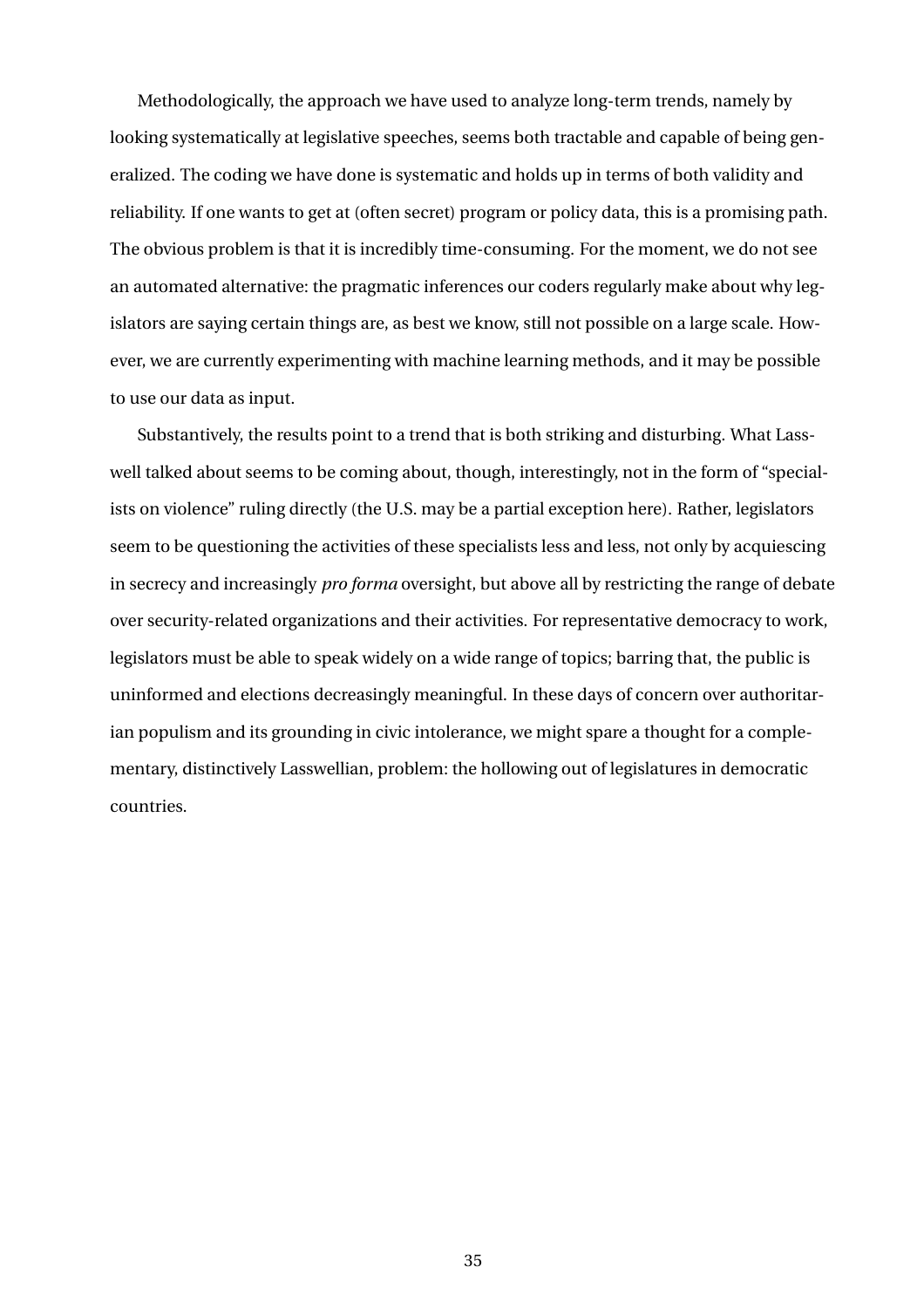Methodologically, the approach we have used to analyze long-term trends, namely by looking systematically at legislative speeches, seems both tractable and capable of being generalized. The coding we have done is systematic and holds up in terms of both validity and reliability. If one wants to get at (often secret) program or policy data, this is a promising path. The obvious problem is that it is incredibly time-consuming. For the moment, we do not see an automated alternative: the pragmatic inferences our coders regularly make about why legislators are saying certain things are, as best we know, still not possible on a large scale. However, we are currently experimenting with machine learning methods, and it may be possible to use our data as input.

Substantively, the results point to a trend that is both striking and disturbing. What Lasswell talked about seems to be coming about, though, interestingly, not in the form of "specialists on violence" ruling directly (the U.S. may be a partial exception here). Rather, legislators seem to be questioning the activities of these specialists less and less, not only by acquiescing in secrecy and increasingly *pro forma* oversight, but above all by restricting the range of debate over security-related organizations and their activities. For representative democracy to work, legislators must be able to speak widely on a wide range of topics; barring that, the public is uninformed and elections decreasingly meaningful. In these days of concern over authoritarian populism and its grounding in civic intolerance, we might spare a thought for a complementary, distinctively Lasswellian, problem: the hollowing out of legislatures in democratic countries.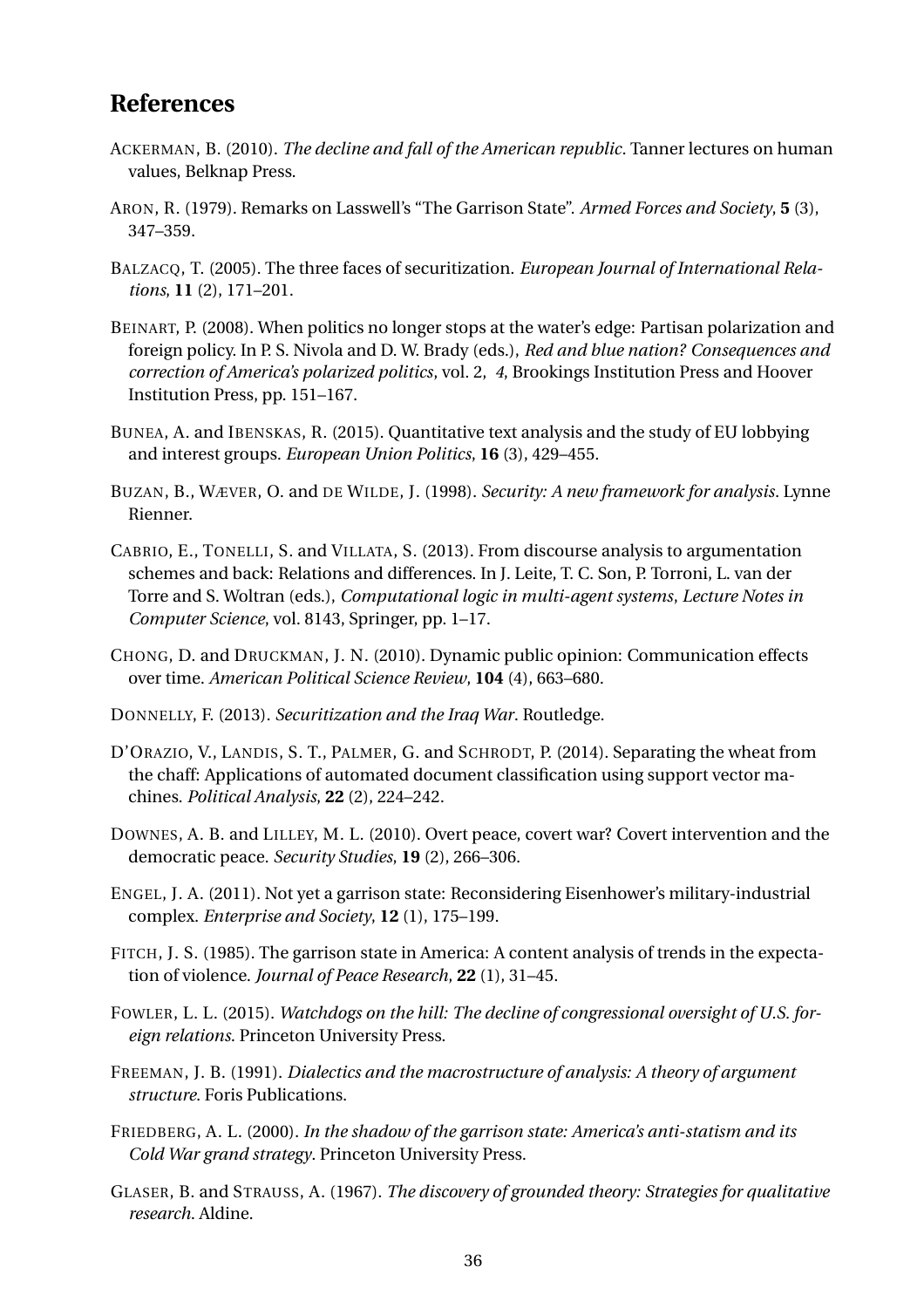# <span id="page-37-0"></span>**References**

- ACKERMAN, B. (2010). *The decline and fall of the American republic*. Tanner lectures on human values, Belknap Press.
- ARON, R. (1979). Remarks on Lasswell's "The Garrison State". *Armed Forces and Society*, **5** (3), 347–359.
- BALZACQ, T. (2005). The three faces of securitization. *European Journal of International Relations*, **11** (2), 171–201.
- BEINART, P. (2008). When politics no longer stops at the water's edge: Partisan polarization and foreign policy. In P. S. Nivola and D. W. Brady (eds.), *Red and blue nation? Consequences and correction of America's polarized politics*, vol. 2, *4*, Brookings Institution Press and Hoover Institution Press, pp. 151–167.
- BUNEA, A. and IBENSKAS, R. (2015). Quantitative text analysis and the study of EU lobbying and interest groups. *European Union Politics*, **16** (3), 429–455.
- BUZAN, B., WÆVER, O. and DE WILDE, J. (1998). *Security: A new framework for analysis*. Lynne Rienner.
- CABRIO, E., TONELLI, S. and VILLATA, S. (2013). From discourse analysis to argumentation schemes and back: Relations and differences. In J. Leite, T. C. Son, P. Torroni, L. van der Torre and S. Woltran (eds.), *Computational logic in multi-agent systems*, *Lecture Notes in Computer Science*, vol. 8143, Springer, pp. 1–17.
- CHONG, D. and DRUCKMAN, J. N. (2010). Dynamic public opinion: Communication effects over time. *American Political Science Review*, **104** (4), 663–680.
- DONNELLY, F. (2013). *Securitization and the Iraq War*. Routledge.
- D'ORAZIO, V., LANDIS, S. T., PALMER, G. and SCHRODT, P. (2014). Separating the wheat from the chaff: Applications of automated document classification using support vector machines. *Political Analysis*, **22** (2), 224–242.
- DOWNES, A. B. and LILLEY, M. L. (2010). Overt peace, covert war? Covert intervention and the democratic peace. *Security Studies*, **19** (2), 266–306.
- ENGEL, J. A. (2011). Not yet a garrison state: Reconsidering Eisenhower's military-industrial complex. *Enterprise and Society*, **12** (1), 175–199.
- FITCH, J. S. (1985). The garrison state in America: A content analysis of trends in the expectation of violence. *Journal of Peace Research*, **22** (1), 31–45.
- FOWLER, L. L. (2015). *Watchdogs on the hill: The decline of congressional oversight of U.S. foreign relations*. Princeton University Press.
- FREEMAN, J. B. (1991). *Dialectics and the macrostructure of analysis: A theory of argument structure*. Foris Publications.
- FRIEDBERG, A. L. (2000). *In the shadow of the garrison state: America's anti-statism and its Cold War grand strategy*. Princeton University Press.
- GLASER, B. and STRAUSS, A. (1967). *The discovery of grounded theory: Strategies for qualitative research*. Aldine.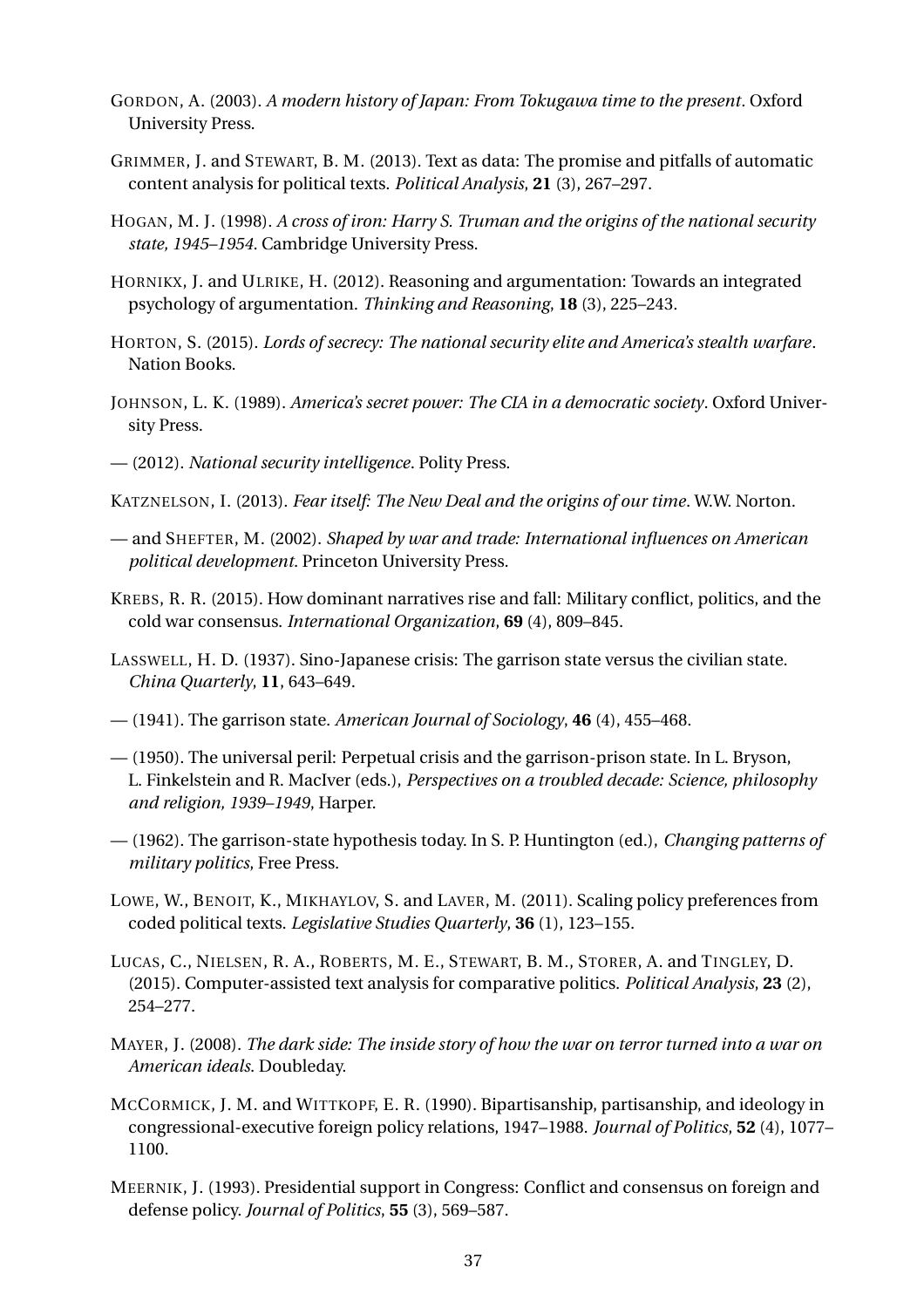- <span id="page-38-0"></span>GORDON, A. (2003). *A modern history of Japan: From Tokugawa time to the present*. Oxford University Press.
- GRIMMER, J. and STEWART, B. M. (2013). Text as data: The promise and pitfalls of automatic content analysis for political texts. *Political Analysis*, **21** (3), 267–297.
- HOGAN, M. J. (1998). *A cross of iron: Harry S. Truman and the origins of the national security state, 1945–1954*. Cambridge University Press.
- HORNIKX, J. and ULRIKE, H. (2012). Reasoning and argumentation: Towards an integrated psychology of argumentation. *Thinking and Reasoning*, **18** (3), 225–243.
- HORTON, S. (2015). *Lords of secrecy: The national security elite and America's stealth warfare*. Nation Books.
- JOHNSON, L. K. (1989). *America's secret power: The CIA in a democratic society*. Oxford University Press.
- (2012). *National security intelligence*. Polity Press.

KATZNELSON, I. (2013). *Fear itself: The New Deal and the origins of our time*. W.W. Norton.

- and SHEFTER, M. (2002). *Shaped by war and trade: International influences on American political development*. Princeton University Press.
- KREBS, R. R. (2015). How dominant narratives rise and fall: Military conflict, politics, and the cold war consensus. *International Organization*, **69** (4), 809–845.
- LASSWELL, H. D. (1937). Sino-Japanese crisis: The garrison state versus the civilian state. *China Quarterly*, **11**, 643–649.
- (1941). The garrison state. *American Journal of Sociology*, **46** (4), 455–468.
- (1950). The universal peril: Perpetual crisis and the garrison-prison state. In L. Bryson, L. Finkelstein and R. MacIver (eds.), *Perspectives on a troubled decade: Science, philosophy and religion, 1939–1949*, Harper.
- (1962). The garrison-state hypothesis today. In S. P. Huntington (ed.), *Changing patterns of military politics*, Free Press.
- LOWE, W., BENOIT, K., MIKHAYLOV, S. and LAVER, M. (2011). Scaling policy preferences from coded political texts. *Legislative Studies Quarterly*, **36** (1), 123–155.
- LUCAS, C., NIELSEN, R. A., ROBERTS, M. E., STEWART, B. M., STORER, A. and TINGLEY, D. (2015). Computer-assisted text analysis for comparative politics. *Political Analysis*, **23** (2), 254–277.
- MAYER, J. (2008). *The dark side: The inside story of how the war on terror turned into a war on American ideals*. Doubleday.
- MCCORMICK, J. M. and WITTKOPF, E. R. (1990). Bipartisanship, partisanship, and ideology in congressional-executive foreign policy relations, 1947–1988. *Journal of Politics*, **52** (4), 1077– 1100.
- MEERNIK, J. (1993). Presidential support in Congress: Conflict and consensus on foreign and defense policy. *Journal of Politics*, **55** (3), 569–587.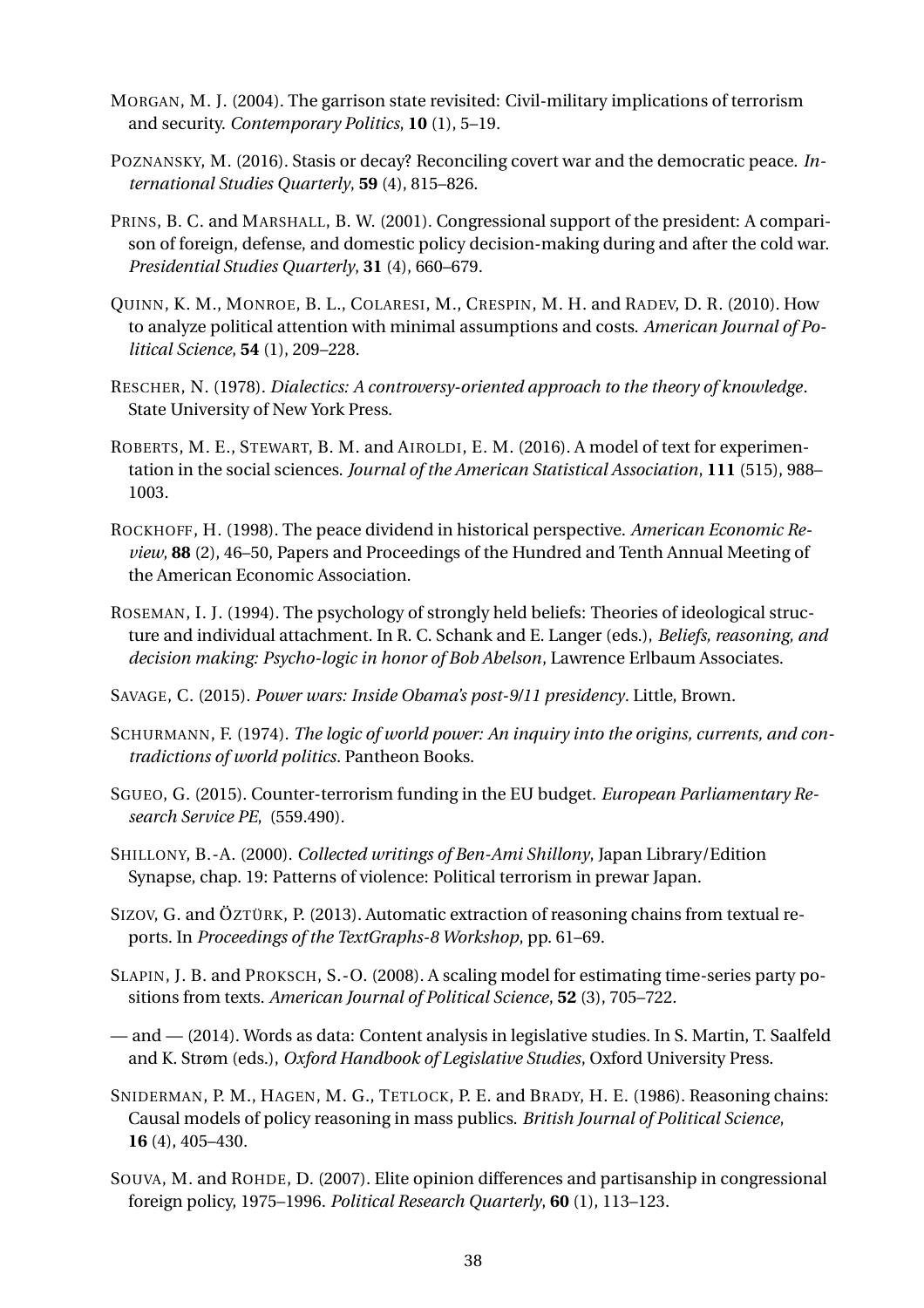- <span id="page-39-0"></span>MORGAN, M. J. (2004). The garrison state revisited: Civil-military implications of terrorism and security. *Contemporary Politics*, **10** (1), 5–19.
- POZNANSKY, M. (2016). Stasis or decay? Reconciling covert war and the democratic peace. *International Studies Quarterly*, **59** (4), 815–826.
- PRINS, B. C. and MARSHALL, B. W. (2001). Congressional support of the president: A comparison of foreign, defense, and domestic policy decision-making during and after the cold war. *Presidential Studies Quarterly*, **31** (4), 660–679.
- QUINN, K. M., MONROE, B. L., COLARESI, M., CRESPIN, M. H. and RADEV, D. R. (2010). How to analyze political attention with minimal assumptions and costs. *American Journal of Political Science*, **54** (1), 209–228.
- RESCHER, N. (1978). *Dialectics: A controversy-oriented approach to the theory of knowledge*. State University of New York Press.
- ROBERTS, M. E., STEWART, B. M. and AIROLDI, E. M. (2016). A model of text for experimentation in the social sciences. *Journal of the American Statistical Association*, **111** (515), 988– 1003.
- ROCKHOFF, H. (1998). The peace dividend in historical perspective. *American Economic Review*, **88** (2), 46–50, Papers and Proceedings of the Hundred and Tenth Annual Meeting of the American Economic Association.
- ROSEMAN, I. J. (1994). The psychology of strongly held beliefs: Theories of ideological structure and individual attachment. In R. C. Schank and E. Langer (eds.), *Beliefs, reasoning, and decision making: Psycho-logic in honor of Bob Abelson*, Lawrence Erlbaum Associates.
- SAVAGE, C. (2015). *Power wars: Inside Obama's post-9/11 presidency*. Little, Brown.
- SCHURMANN, F. (1974). *The logic of world power: An inquiry into the origins, currents, and contradictions of world politics*. Pantheon Books.
- SGUEO, G. (2015). Counter-terrorism funding in the EU budget. *European Parliamentary Research Service PE*, (559.490).
- SHILLONY, B.-A. (2000). *Collected writings of Ben-Ami Shillony*, Japan Library/Edition Synapse, chap. 19: Patterns of violence: Political terrorism in prewar Japan.
- SIZOV, G. and ÖZTÜRK, P. (2013). Automatic extraction of reasoning chains from textual reports. In *Proceedings of the TextGraphs-8 Workshop*, pp. 61–69.
- SLAPIN, J. B. and PROKSCH, S.-O. (2008). A scaling model for estimating time-series party positions from texts. *American Journal of Political Science*, **52** (3), 705–722.
- and (2014). Words as data: Content analysis in legislative studies. In S. Martin, T. Saalfeld and K. Strøm (eds.), *Oxford Handbook of Legislative Studies*, Oxford University Press.
- SNIDERMAN, P. M., HAGEN, M. G., TETLOCK, P. E. and BRADY, H. E. (1986). Reasoning chains: Causal models of policy reasoning in mass publics. *British Journal of Political Science*, **16** (4), 405–430.
- SOUVA, M. and ROHDE, D. (2007). Elite opinion differences and partisanship in congressional foreign policy, 1975–1996. *Political Research Quarterly*, **60** (1), 113–123.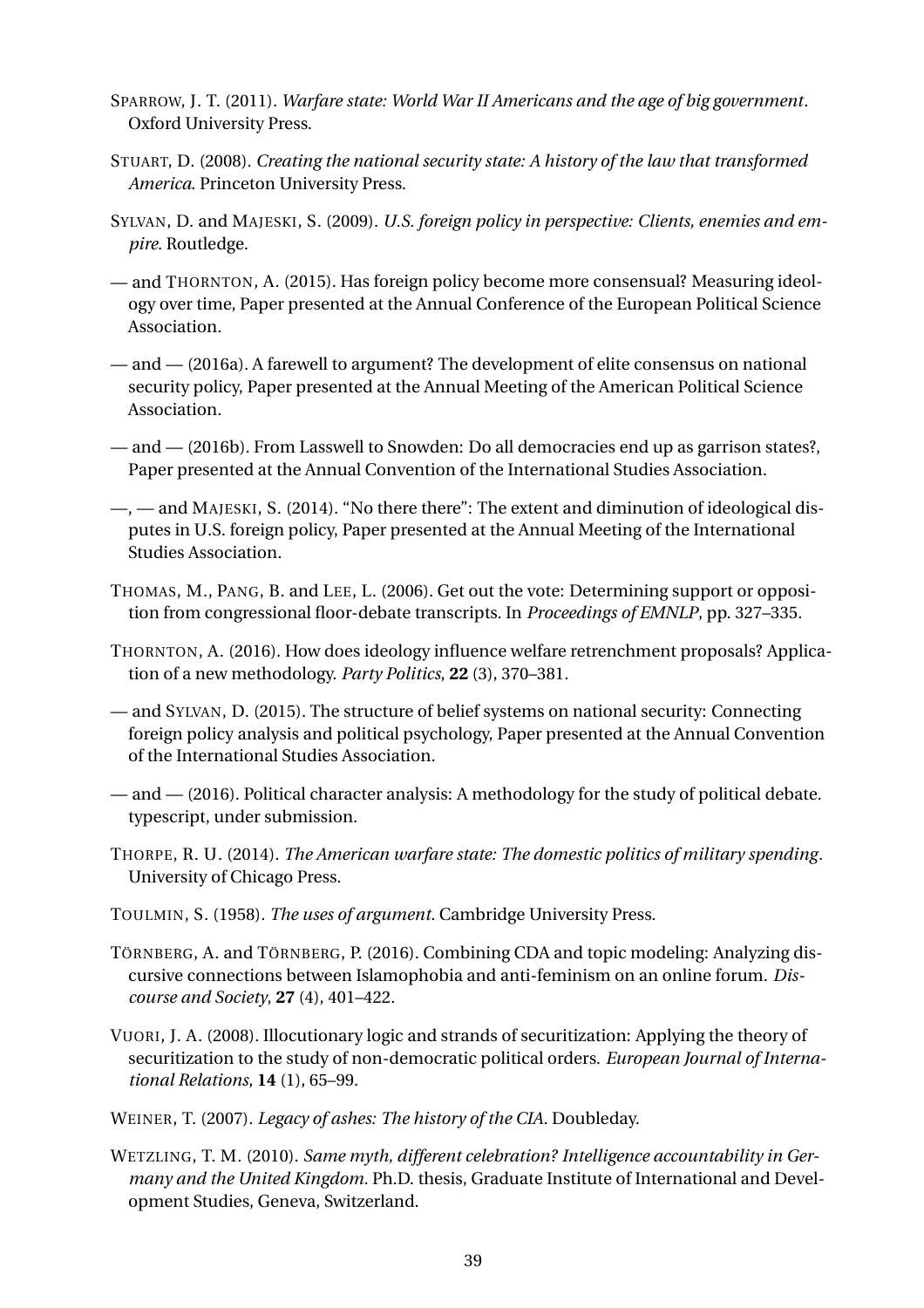- <span id="page-40-0"></span>SPARROW, J. T. (2011). *Warfare state: World War II Americans and the age of big government*. Oxford University Press.
- STUART, D. (2008). *Creating the national security state: A history of the law that transformed America*. Princeton University Press.
- SYLVAN, D. and MAJESKI, S. (2009). *U.S. foreign policy in perspective: Clients, enemies and empire*. Routledge.
- and THORNTON, A. (2015). Has foreign policy become more consensual? Measuring ideology over time, Paper presented at the Annual Conference of the European Political Science Association.
- and (2016a). A farewell to argument? The development of elite consensus on national security policy, Paper presented at the Annual Meeting of the American Political Science Association.
- and (2016b). From Lasswell to Snowden: Do all democracies end up as garrison states?, Paper presented at the Annual Convention of the International Studies Association.
- —, and MAJESKI, S. (2014). "No there there": The extent and diminution of ideological disputes in U.S. foreign policy, Paper presented at the Annual Meeting of the International Studies Association.
- THOMAS, M., PANG, B. and LEE, L. (2006). Get out the vote: Determining support or opposition from congressional floor-debate transcripts. In *Proceedings of EMNLP*, pp. 327–335.
- THORNTON, A. (2016). How does ideology influence welfare retrenchment proposals? Application of a new methodology. *Party Politics*, **22** (3), 370–381.
- and SYLVAN, D. (2015). The structure of belief systems on national security: Connecting foreign policy analysis and political psychology, Paper presented at the Annual Convention of the International Studies Association.
- and (2016). Political character analysis: A methodology for the study of political debate. typescript, under submission.
- THORPE, R. U. (2014). *The American warfare state: The domestic politics of military spending*. University of Chicago Press.
- TOULMIN, S. (1958). *The uses of argument*. Cambridge University Press.
- TÖRNBERG, A. and TÖRNBERG, P. (2016). Combining CDA and topic modeling: Analyzing discursive connections between Islamophobia and anti-feminism on an online forum. *Discourse and Society*, **27** (4), 401–422.
- VUORI, J. A. (2008). Illocutionary logic and strands of securitization: Applying the theory of securitization to the study of non-democratic political orders. *European Journal of International Relations*, **14** (1), 65–99.
- WEINER, T. (2007). *Legacy of ashes: The history of the CIA*. Doubleday.
- WETZLING, T. M. (2010). *Same myth, different celebration? Intelligence accountability in Germany and the United Kingdom*. Ph.D. thesis, Graduate Institute of International and Development Studies, Geneva, Switzerland.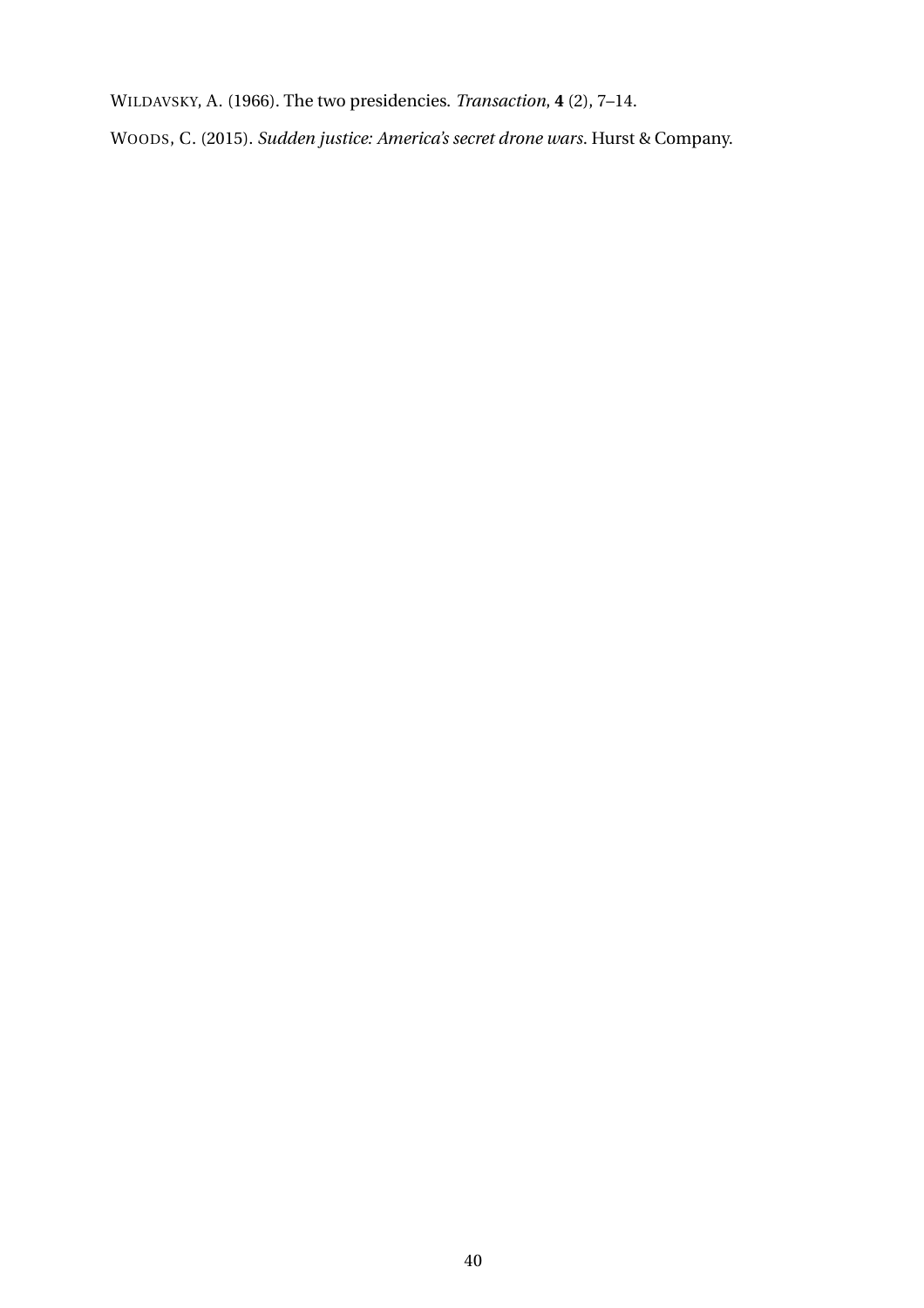<span id="page-41-0"></span>WILDAVSKY, A. (1966). The two presidencies. *Transaction*, **4** (2), 7–14.

WOODS, C. (2015). *Sudden justice: America's secret drone wars*. Hurst & Company.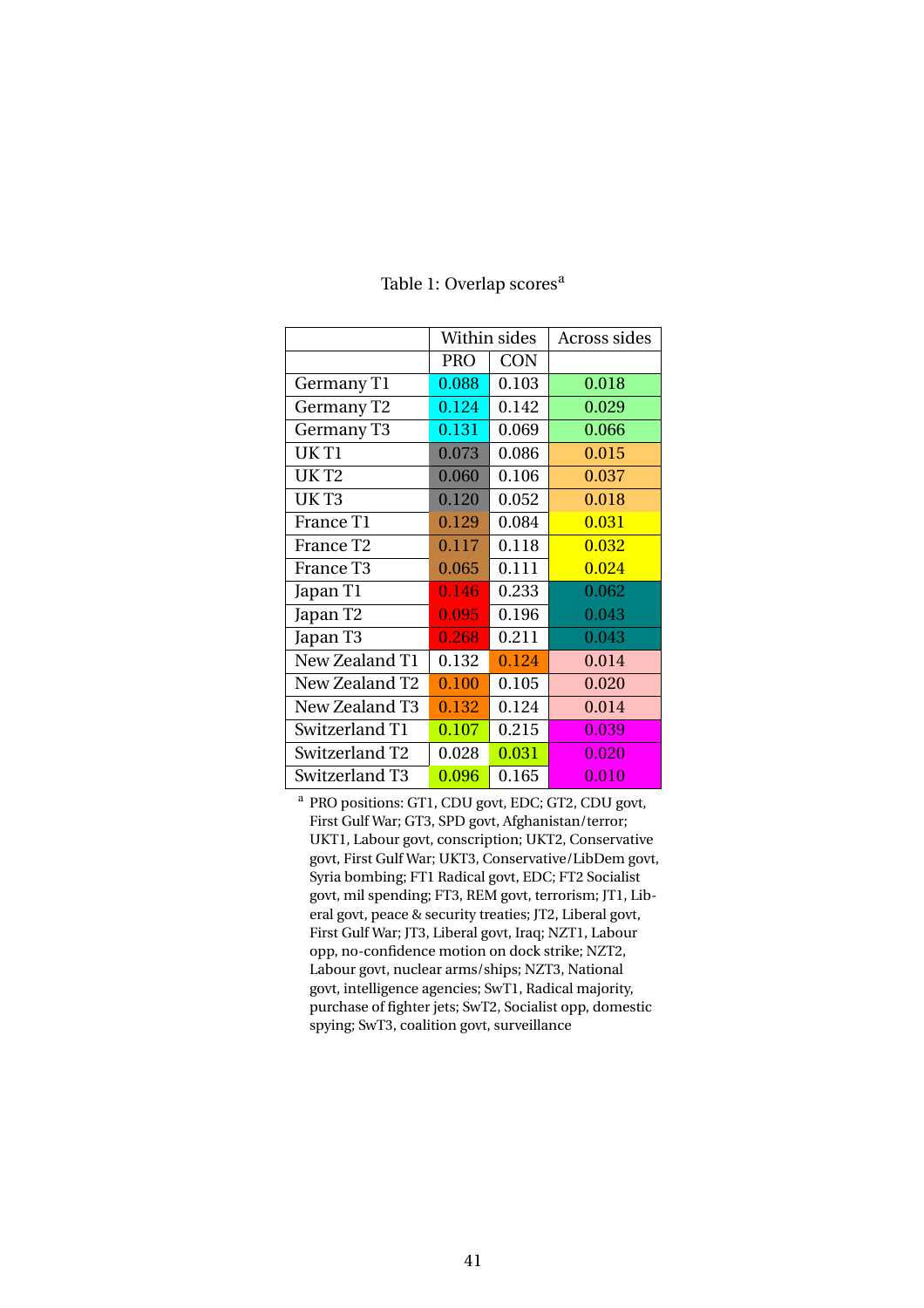|                        | Within sides |            | Across sides |
|------------------------|--------------|------------|--------------|
|                        | <b>PRO</b>   | <b>CON</b> |              |
| Germany T1             | 0.088        | 0.103      | 0.018        |
| Germany T2             | 0.124        | 0.142      | 0.029        |
| Germany T <sub>3</sub> | 0.131        | 0.069      | 0.066        |
| UKT1                   | 0.073        | 0.086      | 0.015        |
| UKT <sub>2</sub>       | 0.060        | 0.106      | 0.037        |
| UKT3                   | 0.120        | 0.052      | 0.018        |
| France T1              | 0.129        | 0.084      | 0.031        |
| France T <sub>2</sub>  | 0.117        | 0.118      | 0.032        |
| France T <sub>3</sub>  | 0.065        | 0.111      | 0.024        |
| Japan T1               | 0.146        | 0.233      | 0.062        |
| Japan T <sub>2</sub>   | 0.095        | 0.196      | 0.043        |
| Japan T3               | 0.268        | 0.211      | 0.043        |
| New Zealand T1         | 0.132        | 0.124      | 0.014        |
| New Zealand T2         | 0.100        | 0.105      | 0.020        |
| New Zealand T3         | 0.132        | 0.124      | 0.014        |
| Switzerland T1         | 0.107        | 0.215      | 0.039        |
| Switzerland T2         | 0.028        | 0.031      | 0.020        |
| Switzerland T3         | 0.096        | 0.165      | 0.010        |

### Table 1: Overlap scores<sup>a</sup>

<sup>a</sup> PRO positions: GT1, CDU govt, EDC; GT2, CDU govt, First Gulf War; GT3, SPD govt, Afghanistan/terror; UKT1, Labour govt, conscription; UKT2, Conservative govt, First Gulf War; UKT3, Conservative/LibDem govt, Syria bombing; FT1 Radical govt, EDC; FT2 Socialist govt, mil spending; FT3, REM govt, terrorism; JT1, Liberal govt, peace & security treaties; JT2, Liberal govt, First Gulf War; JT3, Liberal govt, Iraq; NZT1, Labour opp, no-confidence motion on dock strike; NZT2, Labour govt, nuclear arms/ships; NZT3, National govt, intelligence agencies; SwT1, Radical majority, purchase of fighter jets; SwT2, Socialist opp, domestic spying; SwT3, coalition govt, surveillance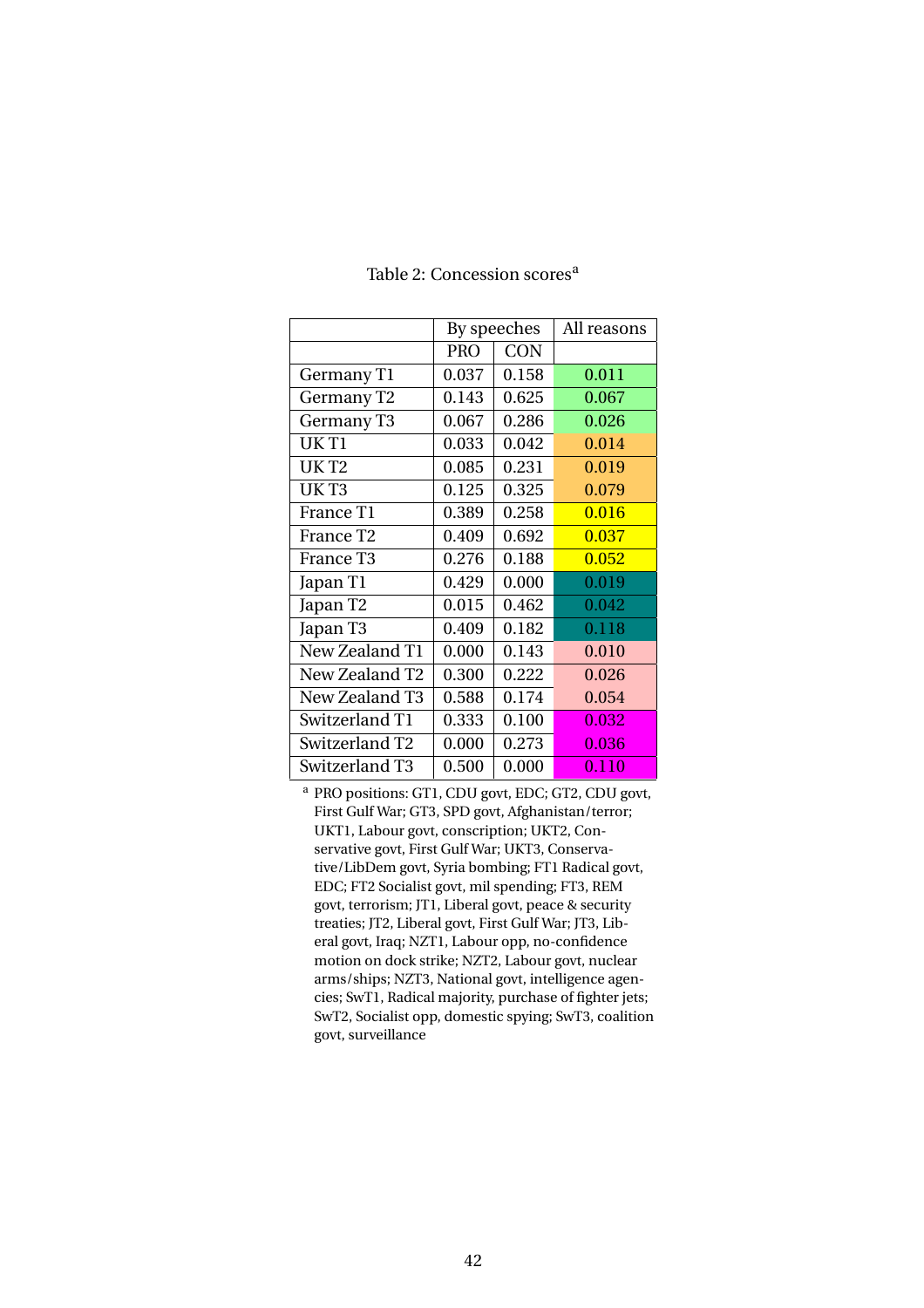|                        | By speeches |            | All reasons |
|------------------------|-------------|------------|-------------|
|                        | <b>PRO</b>  | <b>CON</b> |             |
| Germany T1             | 0.037       | 0.158      | 0.011       |
| Germany T <sub>2</sub> | 0.143       | 0.625      | 0.067       |
| Germany T3             | 0.067       | 0.286      | 0.026       |
| UKT1                   | 0.033       | 0.042      | 0.014       |
| UKT <sub>2</sub>       | 0.085       | 0.231      | 0.019       |
| UKT3                   | 0.125       | 0.325      | 0.079       |
| France T1              | 0.389       | 0.258      | 0.016       |
| France T <sub>2</sub>  | 0.409       | 0.692      | 0.037       |
| France T3              | 0.276       | 0.188      | 0.052       |
| Japan T1               | 0.429       | 0.000      | 0.019       |
| Japan T2               | 0.015       | 0.462      | 0.042       |
| Japan T <sub>3</sub>   | 0.409       | 0.182      | 0.118       |
| New Zealand T1         | 0.000       | 0.143      | 0.010       |
| New Zealand T2         | 0.300       | 0.222      | 0.026       |
| New Zealand T3         | 0.588       | 0.174      | 0.054       |
| Switzerland T1         | 0.333       | 0.100      | 0.032       |
| Switzerland T2         | 0.000       | 0.273      | 0.036       |
| Switzerland T3         | 0.500       | 0.000      | 0.110       |

### Table 2: Concession scores<sup>a</sup>

<sup>a</sup> PRO positions: GT1, CDU govt, EDC; GT2, CDU govt, First Gulf War; GT3, SPD govt, Afghanistan/terror; UKT1, Labour govt, conscription; UKT2, Conservative govt, First Gulf War; UKT3, Conservative/LibDem govt, Syria bombing; FT1 Radical govt, EDC; FT2 Socialist govt, mil spending; FT3, REM govt, terrorism; JT1, Liberal govt, peace & security treaties; JT2, Liberal govt, First Gulf War; JT3, Liberal govt, Iraq; NZT1, Labour opp, no-confidence motion on dock strike; NZT2, Labour govt, nuclear arms/ships; NZT3, National govt, intelligence agencies; SwT1, Radical majority, purchase of fighter jets; SwT2, Socialist opp, domestic spying; SwT3, coalition govt, surveillance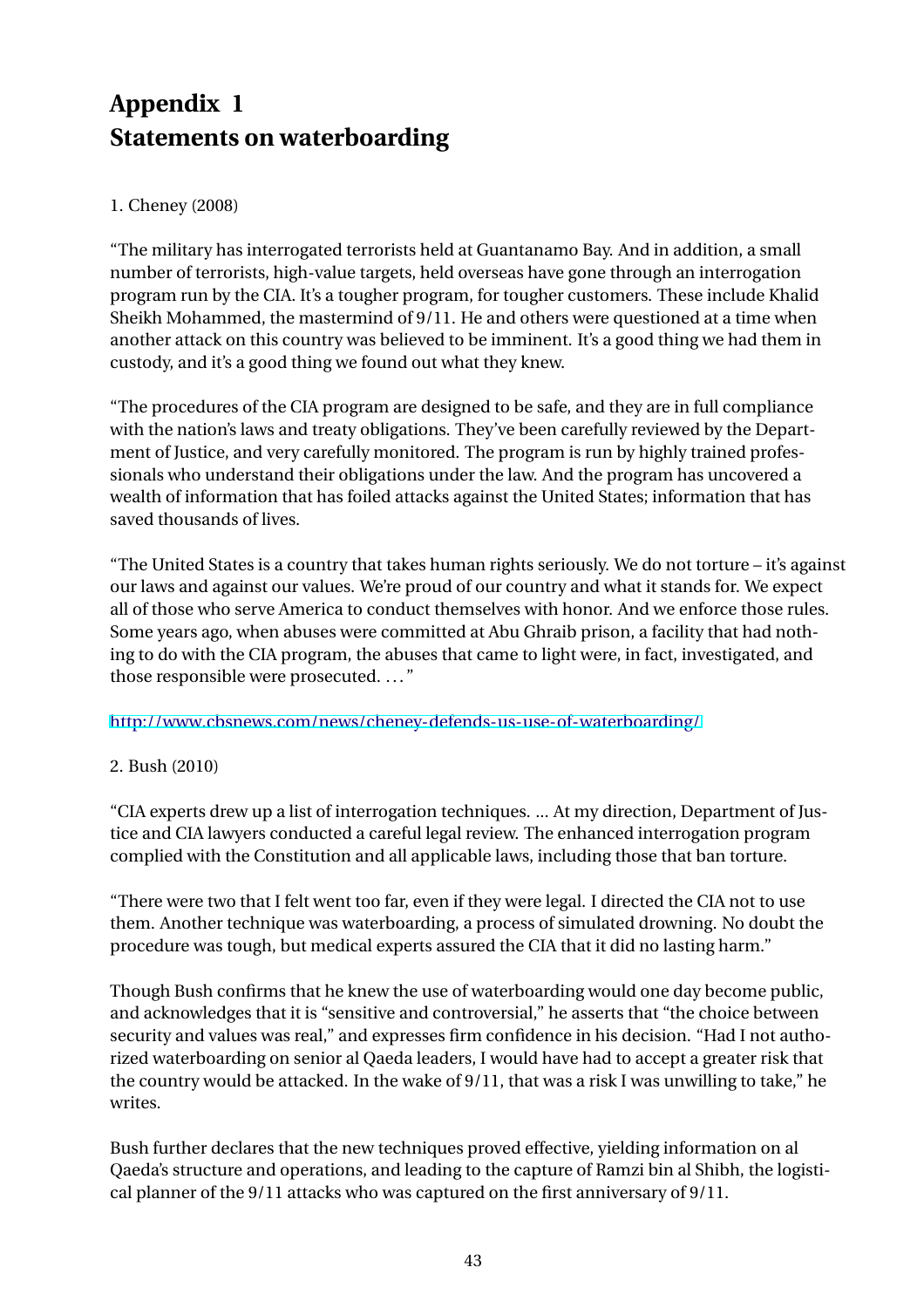# **Appendix 1 Statements on waterboarding**

### 1. Cheney (2008)

"The military has interrogated terrorists held at Guantanamo Bay. And in addition, a small number of terrorists, high-value targets, held overseas have gone through an interrogation program run by the CIA. It's a tougher program, for tougher customers. These include Khalid Sheikh Mohammed, the mastermind of 9/11. He and others were questioned at a time when another attack on this country was believed to be imminent. It's a good thing we had them in custody, and it's a good thing we found out what they knew.

"The procedures of the CIA program are designed to be safe, and they are in full compliance with the nation's laws and treaty obligations. They've been carefully reviewed by the Department of Justice, and very carefully monitored. The program is run by highly trained professionals who understand their obligations under the law. And the program has uncovered a wealth of information that has foiled attacks against the United States; information that has saved thousands of lives.

"The United States is a country that takes human rights seriously. We do not torture – it's against our laws and against our values. We're proud of our country and what it stands for. We expect all of those who serve America to conduct themselves with honor. And we enforce those rules. Some years ago, when abuses were committed at Abu Ghraib prison, a facility that had nothing to do with the CIA program, the abuses that came to light were, in fact, investigated, and those responsible were prosecuted. . . . "

### http://www.cbsnews.com/news/cheney-defends-us-use-of-waterboarding/

### 2. Bush (2010)

["CIA](http://www.cbsnews.com/news/cheney-defends-us-use-of-waterboarding/) [experts](http://www.cbsnews.com/news/cheney-defends-us-use-of-waterboarding/) [drew](http://www.cbsnews.com/news/cheney-defends-us-use-of-waterboarding/) [up](http://www.cbsnews.com/news/cheney-defends-us-use-of-waterboarding/) [a](http://www.cbsnews.com/news/cheney-defends-us-use-of-waterboarding/) [list](http://www.cbsnews.com/news/cheney-defends-us-use-of-waterboarding/) [of](http://www.cbsnews.com/news/cheney-defends-us-use-of-waterboarding/) [interrogation](http://www.cbsnews.com/news/cheney-defends-us-use-of-waterboarding/) [techniques.](http://www.cbsnews.com/news/cheney-defends-us-use-of-waterboarding/) [...](http://www.cbsnews.com/news/cheney-defends-us-use-of-waterboarding/) [At](http://www.cbsnews.com/news/cheney-defends-us-use-of-waterboarding/) [my](http://www.cbsnews.com/news/cheney-defends-us-use-of-waterboarding/) [direction,](http://www.cbsnews.com/news/cheney-defends-us-use-of-waterboarding/) [De](http://www.cbsnews.com/news/cheney-defends-us-use-of-waterboarding/)partment of Justice and CIA lawyers conducted a careful legal review. The enhanced interrogation program complied with the Constitution and all applicable laws, including those that ban torture.

"There were two that I felt went too far, even if they were legal. I directed the CIA not to use them. Another technique was waterboarding, a process of simulated drowning. No doubt the procedure was tough, but medical experts assured the CIA that it did no lasting harm."

Though Bush confirms that he knew the use of waterboarding would one day become public, and acknowledges that it is "sensitive and controversial," he asserts that "the choice between security and values was real," and expresses firm confidence in his decision. "Had I not authorized waterboarding on senior al Qaeda leaders, I would have had to accept a greater risk that the country would be attacked. In the wake of 9/11, that was a risk I was unwilling to take," he writes.

Bush further declares that the new techniques proved effective, yielding information on al Qaeda's structure and operations, and leading to the capture of Ramzi bin al Shibh, the logistical planner of the 9/11 attacks who was captured on the first anniversary of 9/11.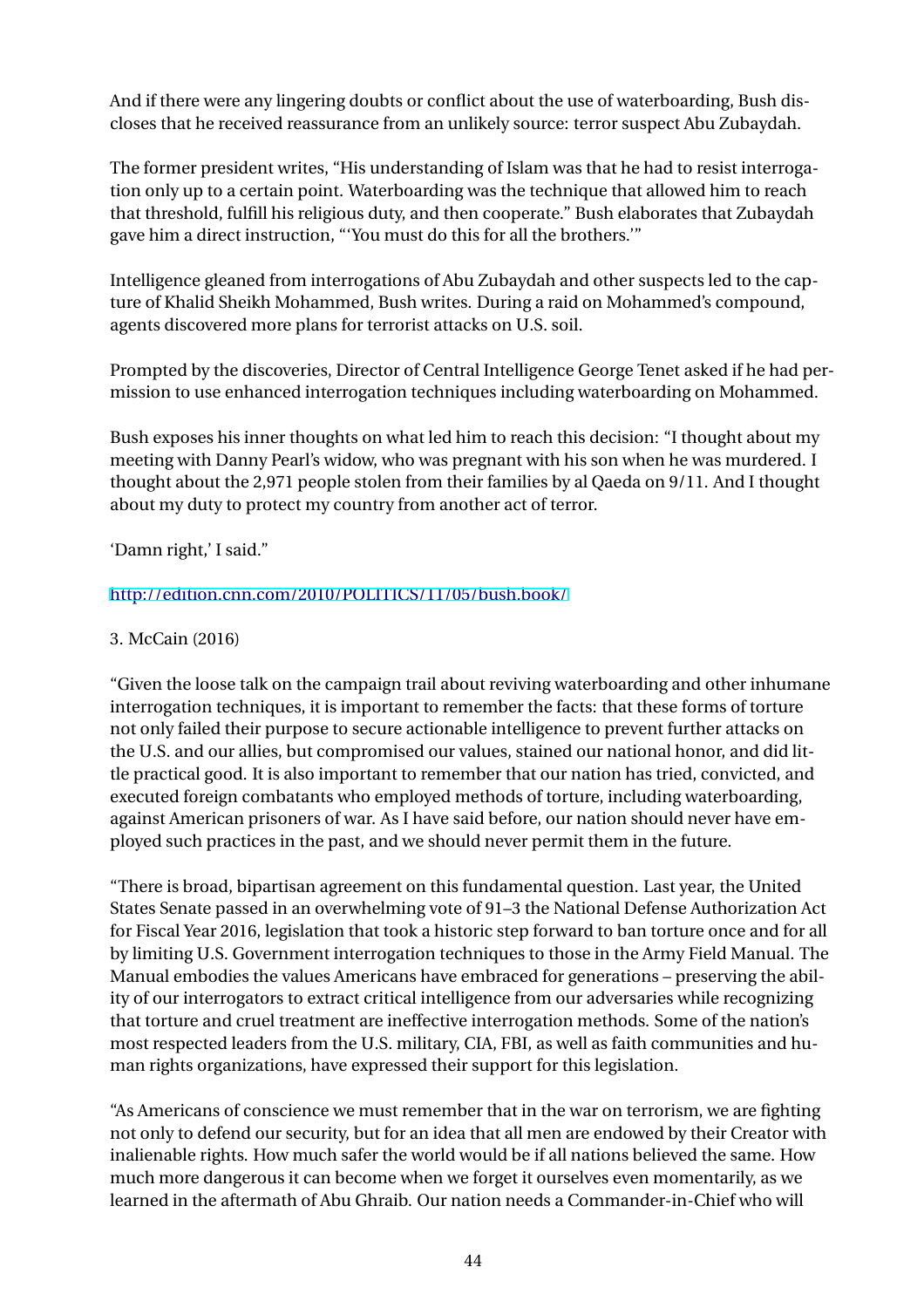And if there were any lingering doubts or conflict about the use of waterboarding, Bush discloses that he received reassurance from an unlikely source: terror suspect Abu Zubaydah.

The former president writes, "His understanding of Islam was that he had to resist interrogation only up to a certain point. Waterboarding was the technique that allowed him to reach that threshold, fulfill his religious duty, and then cooperate." Bush elaborates that Zubaydah gave him a direct instruction, "'You must do this for all the brothers.'"

Intelligence gleaned from interrogations of Abu Zubaydah and other suspects led to the capture of Khalid Sheikh Mohammed, Bush writes. During a raid on Mohammed's compound, agents discovered more plans for terrorist attacks on U.S. soil.

Prompted by the discoveries, Director of Central Intelligence George Tenet asked if he had permission to use enhanced interrogation techniques including waterboarding on Mohammed.

Bush exposes his inner thoughts on what led him to reach this decision: "I thought about my meeting with Danny Pearl's widow, who was pregnant with his son when he was murdered. I thought about the 2,971 people stolen from their families by al Qaeda on 9/11. And I thought about my duty to protect my country from another act of terror.

'Damn right,' I said."

### http://edition.cnn.com/2010/POLITICS/11/05/bush.book/

### 3. McCain (2016)

["Given](http://edition.cnn.com/2010/POLITICS/11/05/bush.book/) [the](http://edition.cnn.com/2010/POLITICS/11/05/bush.book/) [loose](http://edition.cnn.com/2010/POLITICS/11/05/bush.book/) [talk](http://edition.cnn.com/2010/POLITICS/11/05/bush.book/) [on](http://edition.cnn.com/2010/POLITICS/11/05/bush.book/) [the](http://edition.cnn.com/2010/POLITICS/11/05/bush.book/) [campaign](http://edition.cnn.com/2010/POLITICS/11/05/bush.book/) [trail](http://edition.cnn.com/2010/POLITICS/11/05/bush.book/) [about](http://edition.cnn.com/2010/POLITICS/11/05/bush.book/) [reviving](http://edition.cnn.com/2010/POLITICS/11/05/bush.book/) [wa](http://edition.cnn.com/2010/POLITICS/11/05/bush.book/)terboarding and other inhumane interrogation techniques, it is important to remember the facts: that these forms of torture not only failed their purpose to secure actionable intelligence to prevent further attacks on the U.S. and our allies, but compromised our values, stained our national honor, and did little practical good. It is also important to remember that our nation has tried, convicted, and executed foreign combatants who employed methods of torture, including waterboarding, against American prisoners of war. As I have said before, our nation should never have employed such practices in the past, and we should never permit them in the future.

"There is broad, bipartisan agreement on this fundamental question. Last year, the United States Senate passed in an overwhelming vote of 91–3 the National Defense Authorization Act for Fiscal Year 2016, legislation that took a historic step forward to ban torture once and for all by limiting U.S. Government interrogation techniques to those in the Army Field Manual. The Manual embodies the values Americans have embraced for generations – preserving the ability of our interrogators to extract critical intelligence from our adversaries while recognizing that torture and cruel treatment are ineffective interrogation methods. Some of the nation's most respected leaders from the U.S. military, CIA, FBI, as well as faith communities and human rights organizations, have expressed their support for this legislation.

"As Americans of conscience we must remember that in the war on terrorism, we are fighting not only to defend our security, but for an idea that all men are endowed by their Creator with inalienable rights. How much safer the world would be if all nations believed the same. How much more dangerous it can become when we forget it ourselves even momentarily, as we learned in the aftermath of Abu Ghraib. Our nation needs a Commander-in-Chief who will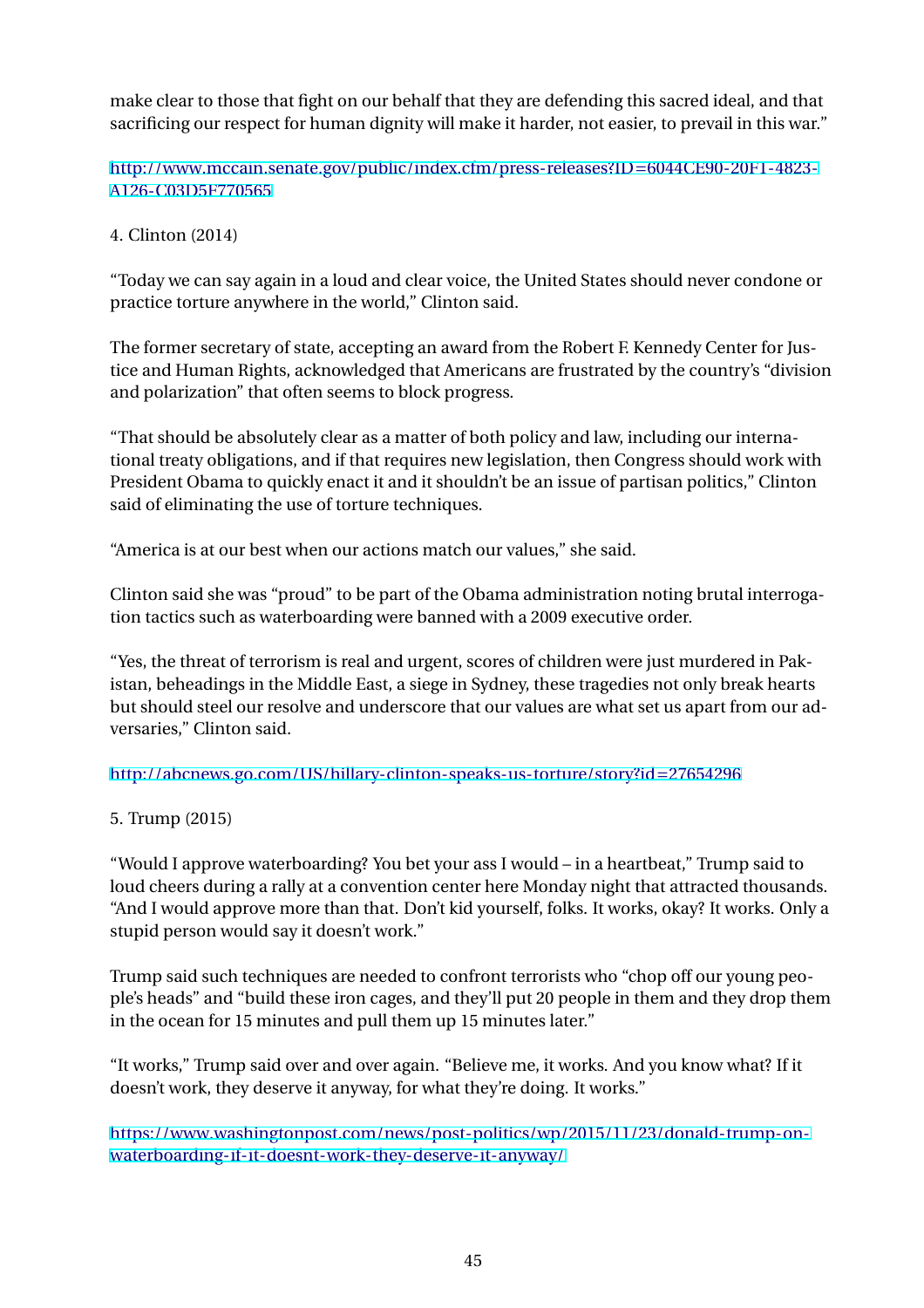make clear to those that fight on our behalf that they are defending this sacred ideal, and that sacrificing our respect for human dignity will make it harder, not easier, to prevail in this war."

http://www.mccain.senate.gov/public/index.cfm/press-releases?ID=6044CE90-20F1-4823- A126-C03D5F770565

### [4. Clinton \(2014\)](http://www.mccain.senate.gov/public/index.cfm/press-releases?ID=6044CE90-20F1-4823-A126-C03D5F770565)

["Today](http://www.mccain.senate.gov/public/index.cfm/press-releases?ID=6044CE90-20F1-4823-A126-C03D5F770565) [we](http://www.mccain.senate.gov/public/index.cfm/press-releases?ID=6044CE90-20F1-4823-A126-C03D5F770565) [can](http://www.mccain.senate.gov/public/index.cfm/press-releases?ID=6044CE90-20F1-4823-A126-C03D5F770565) [say](http://www.mccain.senate.gov/public/index.cfm/press-releases?ID=6044CE90-20F1-4823-A126-C03D5F770565) [ag](http://www.mccain.senate.gov/public/index.cfm/press-releases?ID=6044CE90-20F1-4823-A126-C03D5F770565)ain in a loud and clear voice, the United States should never condone or practice torture anywhere in the world," Clinton said.

The former secretary of state, accepting an award from the Robert F. Kennedy Center for Justice and Human Rights, acknowledged that Americans are frustrated by the country's "division and polarization" that often seems to block progress.

"That should be absolutely clear as a matter of both policy and law, including our international treaty obligations, and if that requires new legislation, then Congress should work with President Obama to quickly enact it and it shouldn't be an issue of partisan politics," Clinton said of eliminating the use of torture techniques.

"America is at our best when our actions match our values," she said.

Clinton said she was "proud" to be part of the Obama administration noting brutal interrogation tactics such as waterboarding were banned with a 2009 executive order.

"Yes, the threat of terrorism is real and urgent, scores of children were just murdered in Pakistan, beheadings in the Middle East, a siege in Sydney, these tragedies not only break hearts but should steel our resolve and underscore that our values are what set us apart from our adversaries," Clinton said.

http://abcnews.go.com/US/hillary-clinton-speaks-us-torture/story?id=27654296

### 5. Trump (2015)

["Would](http://abcnews.go.com/US/hillary-clinton-speaks-us-torture/story?id=27654296) [I](http://abcnews.go.com/US/hillary-clinton-speaks-us-torture/story?id=27654296) [approve](http://abcnews.go.com/US/hillary-clinton-speaks-us-torture/story?id=27654296) [waterboarding?](http://abcnews.go.com/US/hillary-clinton-speaks-us-torture/story?id=27654296) [You](http://abcnews.go.com/US/hillary-clinton-speaks-us-torture/story?id=27654296) [bet](http://abcnews.go.com/US/hillary-clinton-speaks-us-torture/story?id=27654296) [your](http://abcnews.go.com/US/hillary-clinton-speaks-us-torture/story?id=27654296) [ass](http://abcnews.go.com/US/hillary-clinton-speaks-us-torture/story?id=27654296) [I](http://abcnews.go.com/US/hillary-clinton-speaks-us-torture/story?id=27654296) [would](http://abcnews.go.com/US/hillary-clinton-speaks-us-torture/story?id=27654296) [–](http://abcnews.go.com/US/hillary-clinton-speaks-us-torture/story?id=27654296) [in](http://abcnews.go.com/US/hillary-clinton-speaks-us-torture/story?id=27654296) [a](http://abcnews.go.com/US/hillary-clinton-speaks-us-torture/story?id=27654296) [heartbeat,"](http://abcnews.go.com/US/hillary-clinton-speaks-us-torture/story?id=27654296) [Trump](http://abcnews.go.com/US/hillary-clinton-speaks-us-torture/story?id=27654296) said to loud cheers during a rally at a convention center here Monday night that attracted thousands. "And I would approve more than that. Don't kid yourself, folks. It works, okay? It works. Only a stupid person would say it doesn't work."

Trump said such techniques are needed to confront terrorists who "chop off our young people's heads" and "build these iron cages, and they'll put 20 people in them and they drop them in the ocean for 15 minutes and pull them up 15 minutes later."

"It works," Trump said over and over again. "Believe me, it works. And you know what? If it doesn't work, they deserve it anyway, for what they're doing. It works."

https://www.washingtonpost.com/news/post-politics/wp/2015/11/23/donald-trump-onwaterboarding-if-it-doesnt-work-they-deserve-it-anyway/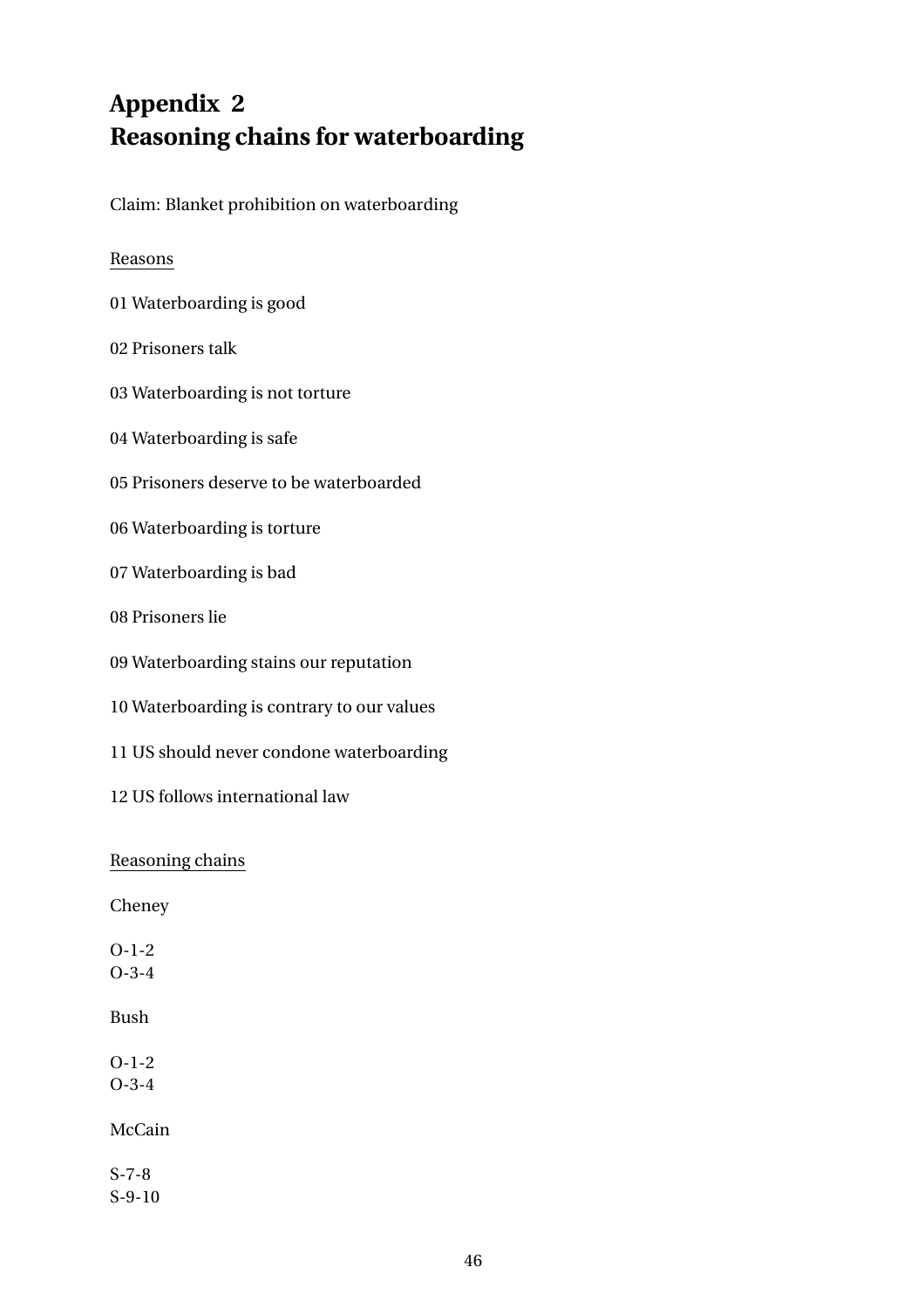# **Appendix 2 Reasoning chains for waterboarding**

Claim: Blanket prohibition on waterboarding

### Reasons

- 01 Waterboarding is good
- 02 Prisoners talk
- 03 Waterboarding is not torture
- 04 Waterboarding is safe
- 05 Prisoners deserve to be waterboarded
- 06 Waterboarding is torture
- 07 Waterboarding is bad
- 08 Prisoners lie
- 09 Waterboarding stains our reputation
- 10 Waterboarding is contrary to our values
- 11 US should never condone waterboarding
- 12 US follows international law

### Reasoning chains

Cheney

O-1-2 O-3-4

Bush

O-1-2 O-3-4

McCain

S-7-8 S-9-10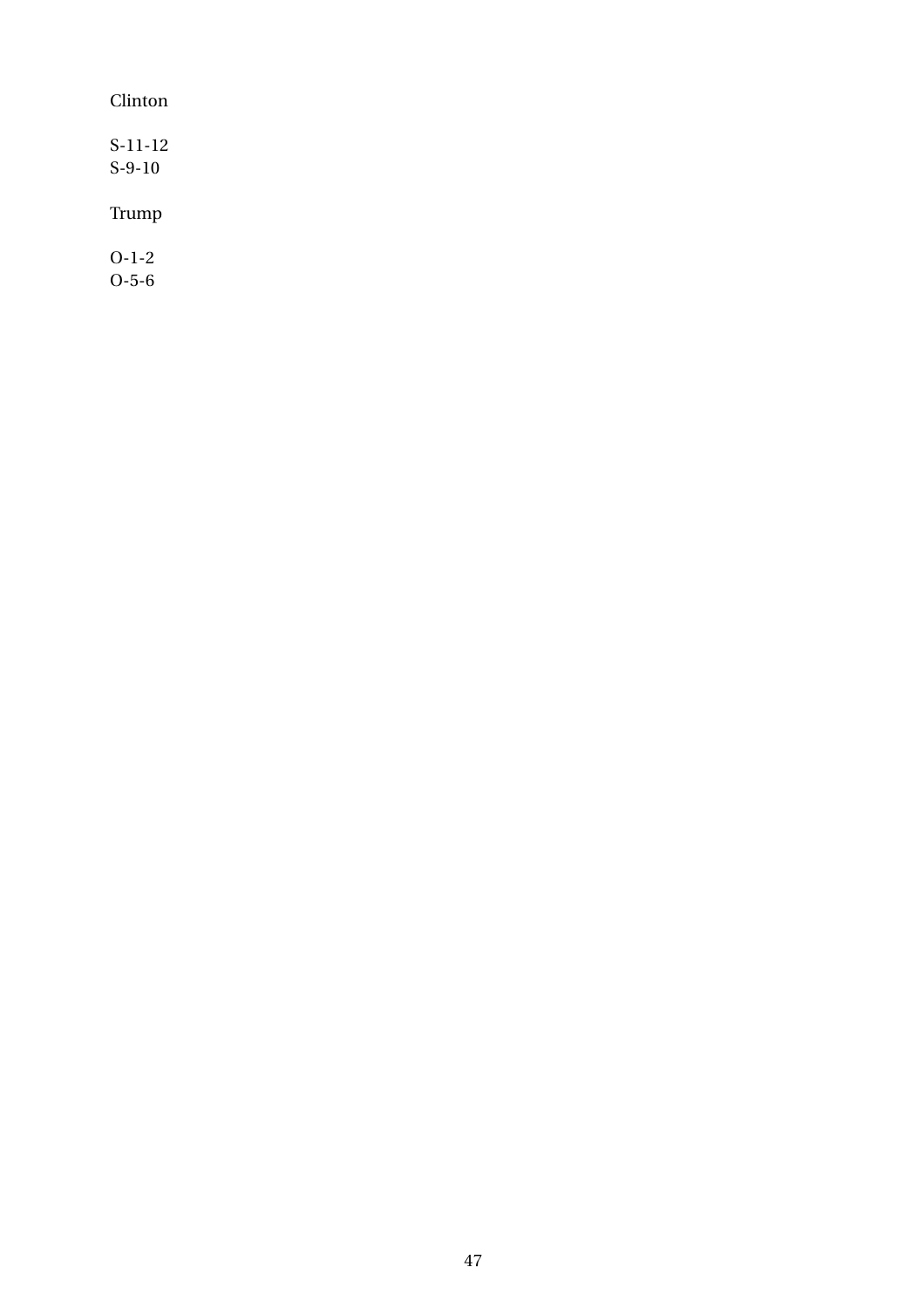## Clinton

| $S-11-12$ |
|-----------|
| $S-9-10$  |

## Trump

O-1-2 O-5-6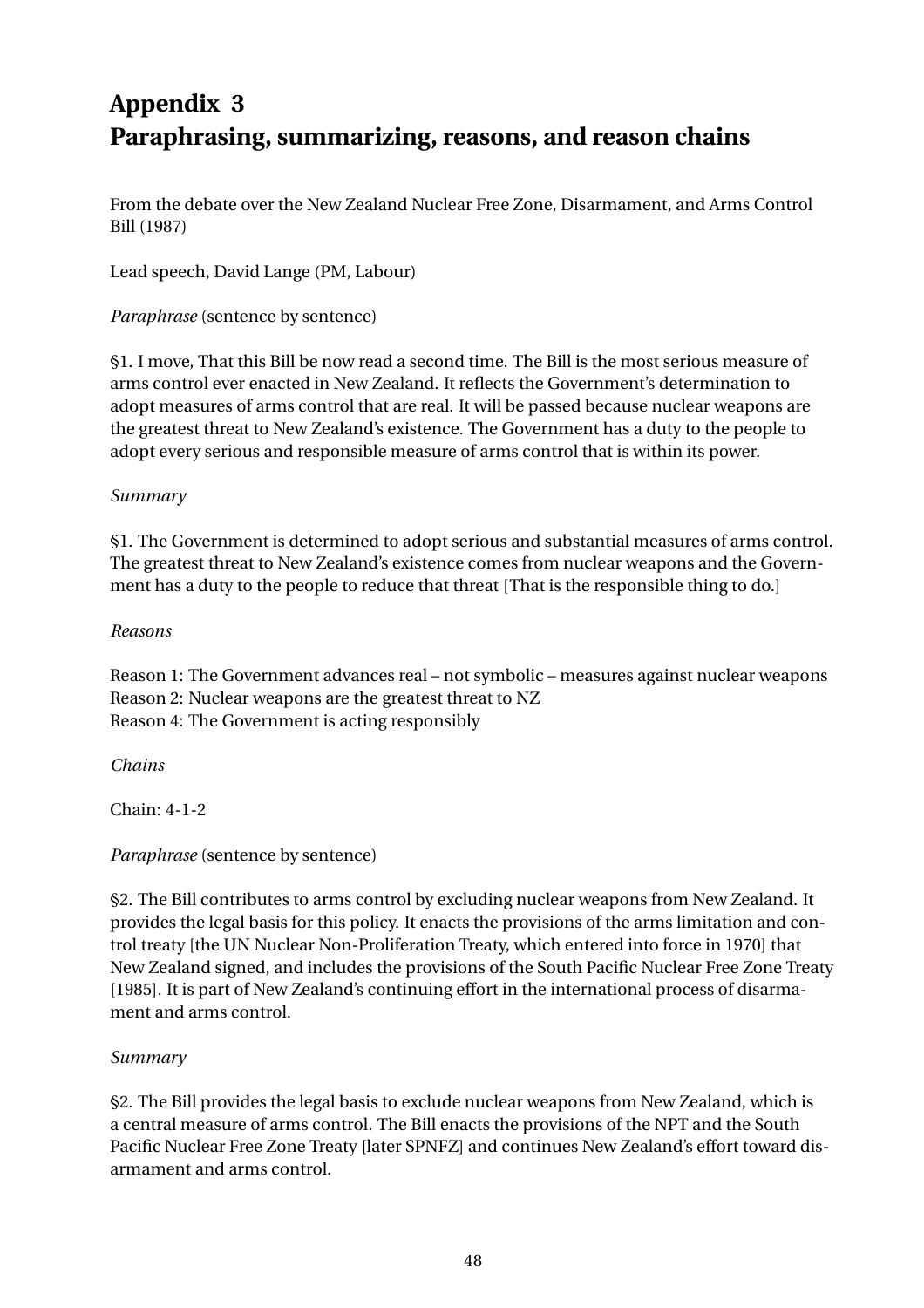# **Appendix 3 Paraphrasing, summarizing, reasons, and reason chains**

From the debate over the New Zealand Nuclear Free Zone, Disarmament, and Arms Control Bill (1987)

Lead speech, David Lange (PM, Labour)

*Paraphrase* (sentence by sentence)

§1. I move, That this Bill be now read a second time. The Bill is the most serious measure of arms control ever enacted in New Zealand. It reflects the Government's determination to adopt measures of arms control that are real. It will be passed because nuclear weapons are the greatest threat to New Zealand's existence. The Government has a duty to the people to adopt every serious and responsible measure of arms control that is within its power.

### *Summary*

§1. The Government is determined to adopt serious and substantial measures of arms control. The greatest threat to New Zealand's existence comes from nuclear weapons and the Government has a duty to the people to reduce that threat [That is the responsible thing to do.]

### *Reasons*

Reason 1: The Government advances real – not symbolic – measures against nuclear weapons Reason 2: Nuclear weapons are the greatest threat to NZ Reason 4: The Government is acting responsibly

*Chains*

Chain: 4-1-2

## *Paraphrase* (sentence by sentence)

§2. The Bill contributes to arms control by excluding nuclear weapons from New Zealand. It provides the legal basis for this policy. It enacts the provisions of the arms limitation and control treaty [the UN Nuclear Non-Proliferation Treaty, which entered into force in 1970] that New Zealand signed, and includes the provisions of the South Pacific Nuclear Free Zone Treaty [1985]. It is part of New Zealand's continuing effort in the international process of disarmament and arms control.

## *Summary*

§2. The Bill provides the legal basis to exclude nuclear weapons from New Zealand, which is a central measure of arms control. The Bill enacts the provisions of the NPT and the South Pacific Nuclear Free Zone Treaty [later SPNFZ] and continues New Zealand's effort toward disarmament and arms control.